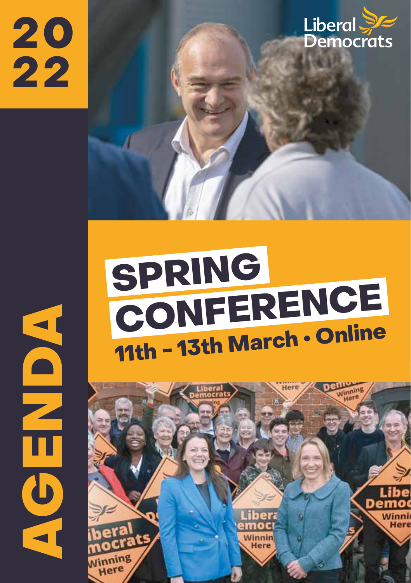20 22



# SPRING CONFERENCE

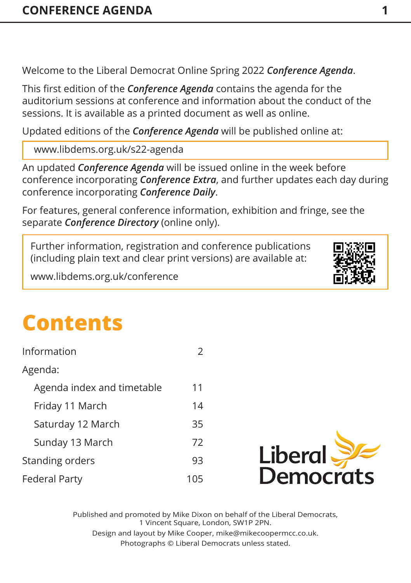Welcome to the Liberal Democrat Online Spring 2022 *Conference Agenda*.

This first edition of the *Conference Agenda* contains the agenda for the auditorium sessions at conference and information about the conduct of the sessions. It is available as a printed document as well as online.

Updated editions of the *Conference Agenda* will be published online at:

www.libdems.org.uk/s22-agenda

An updated *Conference Agenda* will be issued online in the week before conference incorporating *Conference Extra*, and further updates each day during conference incorporating *Conference Daily*.

For features, general conference information, exhibition and fringe, see the separate *Conference Directory* (online only).

Further information, registration and conference publications (including plain text and clear print versions) are available at:

www.libdems.org.uk/conference

# **Contents**

| Information                |    |  |
|----------------------------|----|--|
| Agenda:                    |    |  |
| Agenda index and timetable | 11 |  |
| Friday 11 March            | 14 |  |
| Saturday 12 March          | 35 |  |
| Sunday 13 March            | 72 |  |
| Standing orders            | 93 |  |
| <b>Federal Party</b>       |    |  |



Published and promoted by Mike Dixon on behalf of the Liberal Democrats, 1 Vincent Square, London, SW1P 2PN. Design and layout by Mike Cooper, mike@mikecoopermcc.co.uk. Photographs © Liberal Democrats unless stated.

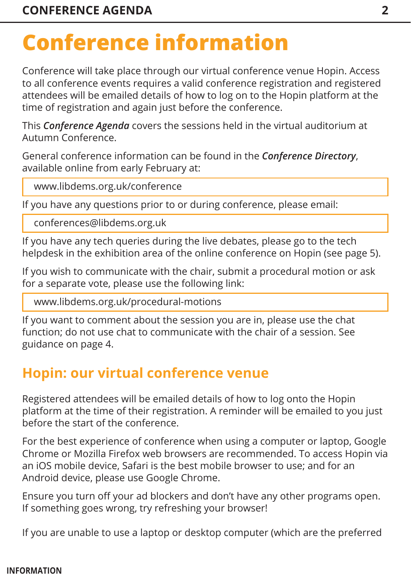<span id="page-2-0"></span>Conference will take place through our virtual conference venue Hopin. Access to all conference events requires a valid conference registration and registered attendees will be emailed details of how to log on to the Hopin platform at the time of registration and again just before the conference.

This *Conference Agenda* covers the sessions held in the virtual auditorium at Autumn Conference.

General conference information can be found in the *Conference Directory*, available online from early February at:

www.libdems.org.uk/conference

If you have any questions prior to or during conference, please email:

conferences@libdems.org.uk

If you have any tech queries during the live debates, please go to the tech helpdesk in the exhibition area of the online conference on Hopin (see page 5).

If you wish to communicate with the chair, submit a procedural motion or ask for a separate vote, please use the following link:

www.libdems.org.uk/procedural-motions

If you want to comment about the session you are in, please use the chat function; do not use chat to communicate with the chair of a session. See guidance [on page 4.](#page-4-0) 

### **Hopin: our virtual conference venue**

Registered attendees will be emailed details of how to log onto the Hopin platform at the time of their registration. A reminder will be emailed to you just before the start of the conference.

For the best experience of conference when using a computer or laptop, Google Chrome or Mozilla Firefox web browsers are recommended. To access Hopin via an iOS mobile device, Safari is the best mobile browser to use; and for an Android device, please use Google Chrome.

Ensure you turn off your ad blockers and don't have any other programs open. If something goes wrong, try refreshing your browser!

If you are unable to use a laptop or desktop computer (which are the preferred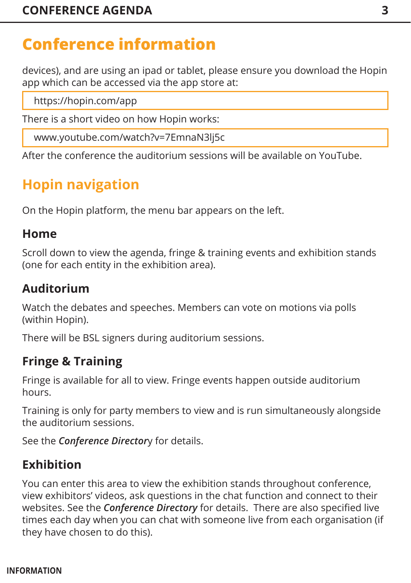devices), and are using an ipad or tablet, please ensure you download the Hopin app which can be accessed via the app store at:

https://hopin.com/app

There is a short video on how Hopin works:

www.youtube.com/watch?v=7EmnaN3lj5c

After the conference the auditorium sessions will be available on YouTube.

### **Hopin navigation**

On the Hopin platform, the menu bar appears on the left.

### **Home**

Scroll down to view the agenda, fringe & training events and exhibition stands (one for each entity in the exhibition area).

### **Auditorium**

Watch the debates and speeches. Members can vote on motions via polls (within Hopin).

There will be BSL signers during auditorium sessions.

### **Fringe & Training**

Fringe is available for all to view. Fringe events happen outside auditorium hours.

Training is only for party members to view and is run simultaneously alongside the auditorium sessions.

See the *Conference Director*y for details.

### **Exhibition**

You can enter this area to view the exhibition stands throughout conference, view exhibitors' videos, ask questions in the chat function and connect to their websites. See the *Conference Directory* for details. There are also specified live times each day when you can chat with someone live from each organisation (if they have chosen to do this).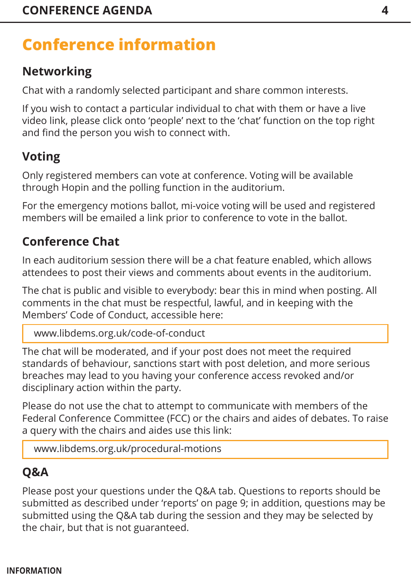### <span id="page-4-0"></span>**Networking**

Chat with a randomly selected participant and share common interests.

If you wish to contact a particular individual to chat with them or have a live video link, please click onto 'people' next to the 'chat' function on the top right and find the person you wish to connect with.

### **Voting**

Only registered members can vote at conference. Voting will be available through Hopin and the polling function in the auditorium.

For the emergency motions ballot, mi-voice voting will be used and registered members will be emailed a link prior to conference to vote in the ballot.

### **Conference Chat**

In each auditorium session there will be a chat feature enabled, which allows attendees to post their views and comments about events in the auditorium.

The chat is public and visible to everybody: bear this in mind when posting. All comments in the chat must be respectful, lawful, and in keeping with the Members' Code of Conduct, accessible here:

<www.libdems.org.uk/code-of-conduct>

The chat will be moderated, and if your post does not meet the required standards of behaviour, sanctions start with post deletion, and more serious breaches may lead to you having your conference access revoked and/or disciplinary action within the party.

Please do not use the chat to attempt to communicate with members of the Federal Conference Committee (FCC) or the chairs and aides of debates. To raise a query with the chairs and aides use this link:

<www.libdems.org.uk/procedural-motions>

### **Q&A**

Please post your questions under the Q&A tab. Questions to reports should be submitted as described under 'reports' [on page 9; in](#page-9-0) addition, questions may be submitted using the Q&A tab during the session and they may be selected by the chair, but that is not guaranteed.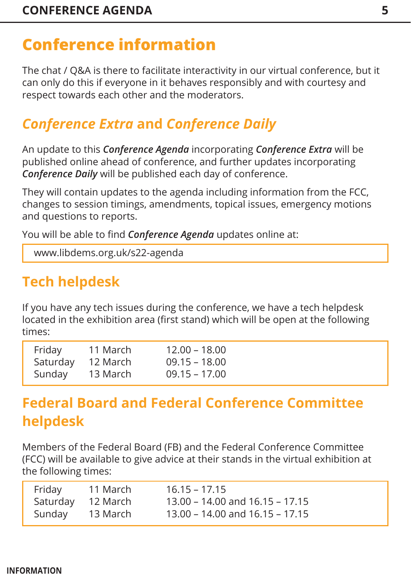The chat / Q&A is there to facilitate interactivity in our virtual conference, but it can only do this if everyone in it behaves responsibly and with courtesy and respect towards each other and the moderators.

### *Conference Extra* **and** *Conference Daily*

An update to this *Conference Agenda* incorporating *Conference Extra* will be published online ahead of conference, and further updates incorporating *Conference Daily* will be published each day of conference.

They will contain updates to the agenda including information from the FCC, changes to session timings, amendments, topical issues, emergency motions and questions to reports.

You will be able to find *Conference Agenda* updates online at:

www.libdems.org.uk/s22-agenda

### **Tech helpdesk**

If you have any tech issues during the conference, we have a tech helpdesk located in the exhibition area (first stand) which will be open at the following times:

| Friday   | 11 March | $12.00 - 18.00$ |
|----------|----------|-----------------|
| Saturday | 12 March | $09.15 - 18.00$ |
| Sunday   | 13 March | $09.15 - 17.00$ |

### **Federal Board and Federal Conference Committee helpdesk**

Members of the Federal Board (FB) and the Federal Conference Committee (FCC) will be available to give advice at their stands in the virtual exhibition at the following times:

| Friday            | 11 March | $16.15 - 17.15$                     |
|-------------------|----------|-------------------------------------|
| Saturday 12 March |          | 13.00 – 14.00 and $16.15 - 17.15$   |
| Sunday 13 March   |          | $13.00 - 14.00$ and $16.15 - 17.15$ |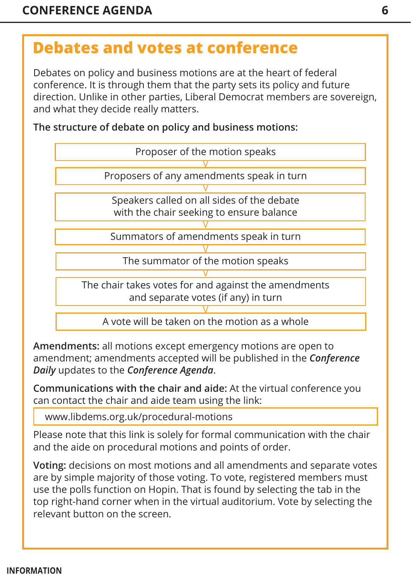### **Debates and votes at conference**

Debates on policy and business motions are at the heart of federal conference. It is through them that the party sets its policy and future direction. Unlike in other parties, Liberal Democrat members are sovereign, and what they decide really matters.

**The structure of debate on policy and business motions:**



**Amendments:** all motions except emergency motions are open to amendment; amendments accepted will be published in the *Conference Daily* updates to the *Conference Agenda*.

**Communications with the chair and aide:** At the virtual conference you can contact the chair and aide team using the link:

www.libdems.org.uk/procedural-motions

Please note that this link is solely for formal communication with the chair and the aide on procedural motions and points of order.

**Voting:** decisions on most motions and all amendments and separate votes are by simple majority of those voting. To vote, registered members must use the polls function on Hopin. That is found by selecting the tab in the top right-hand corner when in the virtual auditorium. Vote by selecting the relevant button on the screen.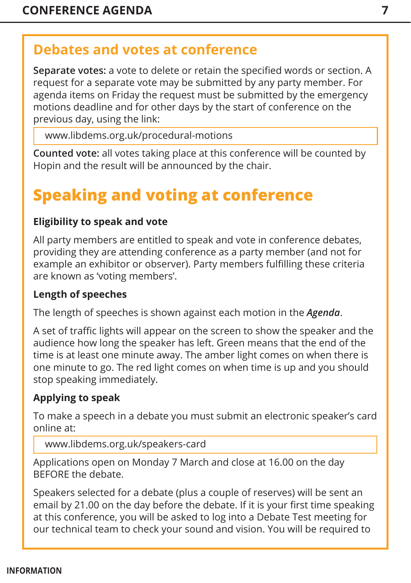### <span id="page-7-0"></span>**Debates and votes at conference**

**Separate votes:** a vote to delete or retain the specified words or section. A request for a separate vote may be submitted by any party member. For agenda items on Friday the request must be submitted by the emergency motions deadline and for other days by the start of conference on the previous day, using the link:

www.libdems.org.uk/procedural-motions

**Counted vote:** all votes taking place at this conference will be counted by Hopin and the result will be announced by the chair.

### **Speaking and voting at conference**

#### **Eligibility to speak and vote**

All party members are entitled to speak and vote in conference debates, providing they are attending conference as a party member (and not for example an exhibitor or observer). Party members fulfilling these criteria are known as 'voting members'.

#### **Length of speeches**

The length of speeches is shown against each motion in the *Agenda*.

A set of traffic lights will appear on the screen to show the speaker and the audience how long the speaker has left. Green means that the end of the time is at least one minute away. The amber light comes on when there is one minute to go. The red light comes on when time is up and you should stop speaking immediately.

### **Applying to speak**

To make a speech in a debate you must submit an electronic speaker's card online at:

```
www.libdems.org.uk/speakers-card
```
Applications open on Monday 7 March and close at 16.00 on the day BEFORE the debate.

Speakers selected for a debate (plus a couple of reserves) will be sent an email by 21.00 on the day before the debate. If it is your first time speaking at this conference, you will be asked to log into a Debate Test meeting for our technical team to check your sound and vision. You will be required to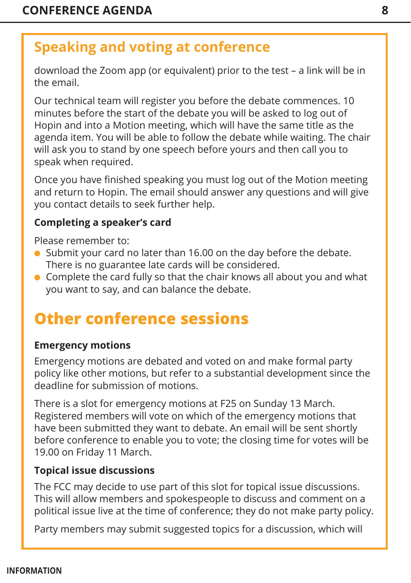### **Speaking and voting at conference**

download the Zoom app (or equivalent) prior to the test – a link will be in the email.

Our technical team will register you before the debate commences. 10 minutes before the start of the debate you will be asked to log out of Hopin and into a Motion meeting, which will have the same title as the agenda item. You will be able to follow the debate while waiting. The chair will ask you to stand by one speech before yours and then call you to speak when required.

Once you have finished speaking you must log out of the Motion meeting and return to Hopin. The email should answer any questions and will give you contact details to seek further help.

#### **Completing a speaker's card**

Please remember to:

- $\bullet$  Submit your card no later than 16.00 on the day before the debate. There is no guarantee late cards will be considered.
- $\bullet$  Complete the card fully so that the chair knows all about you and what you want to say, and can balance the debate.

### **Other conference sessions**

#### **Emergency motions**

Emergency motions are debated and voted on and make formal party policy like other motions, but refer to a substantial development since the deadline for submission of motions.

There is a slot for emergency motions at F25 on Sunday 13 March. Registered members will vote on which of the emergency motions that have been submitted they want to debate. An email will be sent shortly before conference to enable you to vote; the closing time for votes will be 19.00 on Friday 11 March.

#### **Topical issue discussions**

The FCC may decide to use part of this slot for topical issue discussions. This will allow members and spokespeople to discuss and comment on a political issue live at the time of conference; they do not make party policy.

Party members may submit suggested topics for a discussion, which will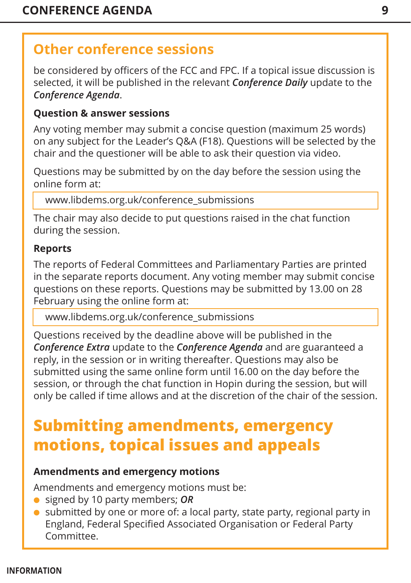### <span id="page-9-0"></span>**Other conference sessions**

be considered by officers of the FCC and FPC. If a topical issue discussion is selected, it will be published in the relevant *Conference Daily* update to the *Conference Agenda*.

#### **Question & answer sessions**

Any voting member may submit a concise question (maximum 25 words) on any subject for the Leader's Q&A (F18). Questions will be selected by the chair and the questioner will be able to ask their question via video.

Questions may be submitted by on the day before the session using the online form at:

www.libdems.org.uk/conference\_submissions

The chair may also decide to put questions raised in the chat function during the session.

#### **Reports**

The reports of Federal Committees and Parliamentary Parties are printed in the separate reports document. Any voting member may submit concise questions on these reports. Questions may be submitted by 13.00 on 28 February using the online form at:

www.libdems.org.uk/conference\_submissions

Questions received by the deadline above will be published in the *Conference Extra* update to the *Conference Agenda* and are guaranteed a reply, in the session or in writing thereafter. Questions may also be submitted using the same online form until 16.00 on the day before the session, or through the chat function in Hopin during the session, but will only be called if time allows and at the discretion of the chair of the session.

### **Submitting amendments, emergency motions, topical issues and appeals**

#### **Amendments and emergency motions**

Amendments and emergency motions must be:

- l signed by 10 party members; *OR*
- $\bullet$  submitted by one or more of: a local party, state party, regional party in England, Federal Specified Associated Organisation or Federal Party Committee.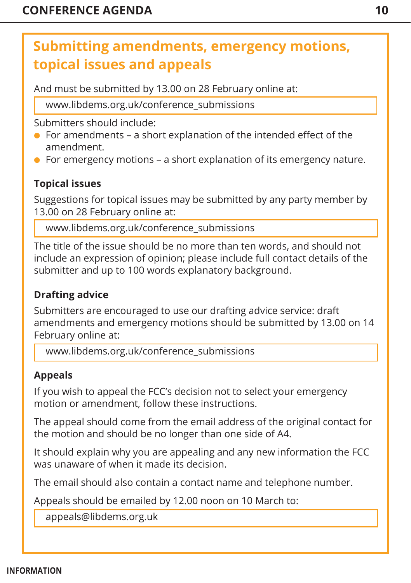### <span id="page-10-0"></span>**Submitting amendments, emergency motions, topical issues and appeals**

And must be submitted by 13.00 on 28 February online at:

www.libdems.org.uk/conference\_submissions

Submitters should include:

- $\bullet$  For amendments a short explanation of the intended effect of the amendment.
- $\bullet$  For emergency motions a short explanation of its emergency nature.

### **Topical issues**

Suggestions for topical issues may be submitted by any party member by 13.00 on 28 February online at:

www.libdems.org.uk/conference\_submissions

The title of the issue should be no more than ten words, and should not include an expression of opinion; please include full contact details of the submitter and up to 100 words explanatory background.

#### **Drafting advice**

Submitters are encouraged to use our drafting advice service: draft amendments and emergency motions should be submitted by 13.00 on 14 February online at:

www.libdems.org.uk/conference\_submissions

#### **Appeals**

If you wish to appeal the FCC's decision not to select your emergency motion or amendment, follow these instructions.

The appeal should come from the email address of the original contact for the motion and should be no longer than one side of A4.

It should explain why you are appealing and any new information the FCC was unaware of when it made its decision.

The email should also contain a contact name and telephone number.

Appeals should be emailed by 12.00 noon on 10 March to:

appeals@libdems.org.uk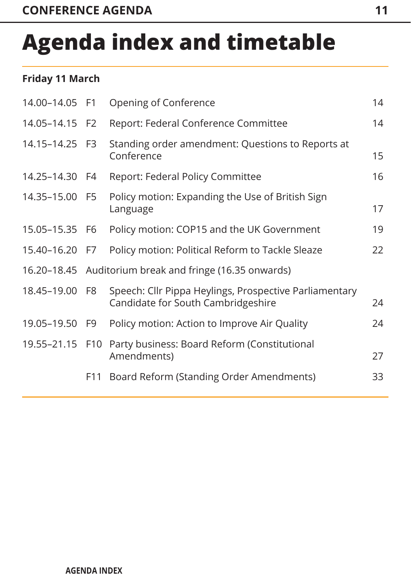# <span id="page-11-0"></span>**Agenda index and timetable**

#### **Friday 11 March**

| 14.00-14.05 F1 |                | Opening of Conference                                                                        | 14 |
|----------------|----------------|----------------------------------------------------------------------------------------------|----|
| 14.05-14.15    | F <sub>2</sub> | Report: Federal Conference Committee                                                         | 14 |
| 14.15-14.25 F3 |                | Standing order amendment: Questions to Reports at<br>Conference                              | 15 |
| 14.25-14.30 F4 |                | Report: Federal Policy Committee                                                             | 16 |
| 14.35-15.00 F5 |                | Policy motion: Expanding the Use of British Sign<br>Language                                 | 17 |
| 15.05–15.35 F6 |                | Policy motion: COP15 and the UK Government                                                   | 19 |
| 15.40-16.20 F7 |                | Policy motion: Political Reform to Tackle Sleaze                                             | 22 |
|                |                | 16.20–18.45 Auditorium break and fringe (16.35 onwards)                                      |    |
| 18.45-19.00 F8 |                | Speech: Cllr Pippa Heylings, Prospective Parliamentary<br>Candidate for South Cambridgeshire | 24 |
| 19.05-19.50 F9 |                | Policy motion: Action to Improve Air Quality                                                 | 24 |
|                |                | 19.55-21.15 F10 Party business: Board Reform (Constitutional<br>Amendments)                  | 27 |
|                |                | F11 Board Reform (Standing Order Amendments)                                                 | 33 |
|                |                |                                                                                              |    |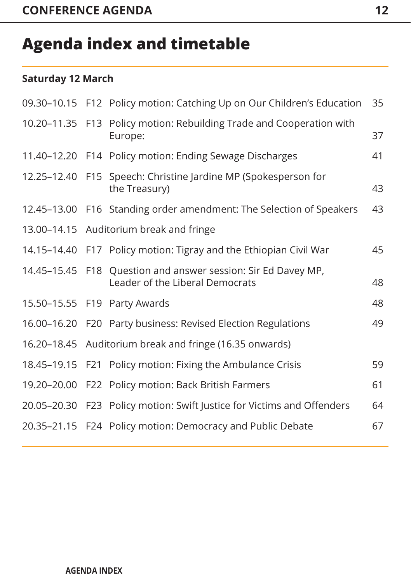### **Agenda index and timetable**

#### **Saturday 12 March**

|             | 09.30-10.15 F12 Policy motion: Catching Up on Our Children's Education                           | 35 |
|-------------|--------------------------------------------------------------------------------------------------|----|
|             | 10.20-11.35 F13 Policy motion: Rebuilding Trade and Cooperation with<br>Europe:                  | 37 |
|             | 11.40-12.20 F14 Policy motion: Ending Sewage Discharges                                          | 41 |
|             | 12.25-12.40 F15 Speech: Christine Jardine MP (Spokesperson for<br>the Treasury)                  | 43 |
|             | 12.45-13.00 F16 Standing order amendment: The Selection of Speakers                              | 43 |
|             | 13.00-14.15 Auditorium break and fringe                                                          |    |
|             | 14.15-14.40 F17 Policy motion: Tigray and the Ethiopian Civil War                                | 45 |
|             | 14.45-15.45 F18 Question and answer session: Sir Ed Davey MP,<br>Leader of the Liberal Democrats | 48 |
|             | 15.50-15.55 F19 Party Awards                                                                     | 48 |
|             | 16.00-16.20 F20 Party business: Revised Election Regulations                                     | 49 |
|             | 16.20-18.45 Auditorium break and fringe (16.35 onwards)                                          |    |
| 18.45-19.15 | F21 Policy motion: Fixing the Ambulance Crisis                                                   | 59 |
|             | 19.20-20.00 F22 Policy motion: Back British Farmers                                              | 61 |
|             | 20.05-20.30 F23 Policy motion: Swift Justice for Victims and Offenders                           | 64 |
|             | 20.35-21.15 F24 Policy motion: Democracy and Public Debate                                       | 67 |
|             |                                                                                                  |    |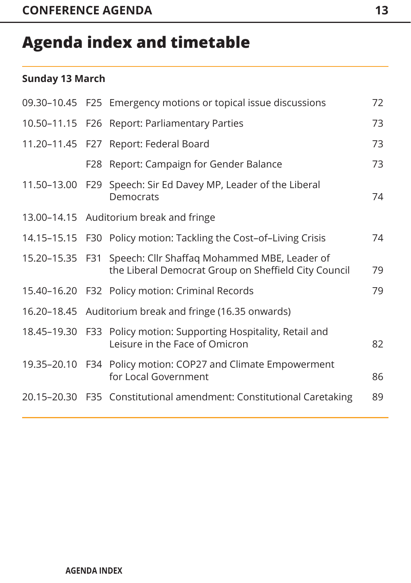### **Agenda index and timetable**

#### **Sunday 13 March**

|  | 09.30-10.45 F25 Emergency motions or topical issue discussions                                                       | 72 |
|--|----------------------------------------------------------------------------------------------------------------------|----|
|  | 10.50-11.15 F26 Report: Parliamentary Parties                                                                        | 73 |
|  | 11.20-11.45 F27 Report: Federal Board                                                                                | 73 |
|  | F28 Report: Campaign for Gender Balance                                                                              | 73 |
|  | 11.50-13.00 F29 Speech: Sir Ed Davey MP, Leader of the Liberal<br>Democrats                                          | 74 |
|  | 13.00-14.15 Auditorium break and fringe                                                                              |    |
|  | 14.15-15.15 F30 Policy motion: Tackling the Cost-of-Living Crisis                                                    | 74 |
|  | 15.20–15.35 F31 Speech: Cllr Shaffaq Mohammed MBE, Leader of<br>the Liberal Democrat Group on Sheffield City Council | 79 |
|  | 15.40-16.20 F32 Policy motion: Criminal Records                                                                      | 79 |
|  | 16.20–18.45 Auditorium break and fringe (16.35 onwards)                                                              |    |
|  | 18.45-19.30 F33 Policy motion: Supporting Hospitality, Retail and<br>Leisure in the Face of Omicron                  | 82 |
|  | 19.35-20.10 F34 Policy motion: COP27 and Climate Empowerment<br>for Local Government                                 | 86 |
|  | 20.15-20.30 F35 Constitutional amendment: Constitutional Caretaking                                                  | 89 |
|  |                                                                                                                      |    |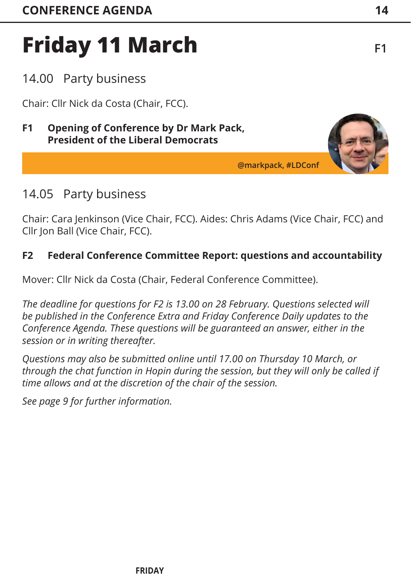### <span id="page-14-0"></span>14.00 Party business

Chair: Cllr Nick da Costa (Chair, FCC).

#### **F1 Opening of Conference by Dr Mark Pack, President of the Liberal Democrats**

### 14.05 Party business

Chair: Cara Jenkinson (Vice Chair, FCC). Aides: Chris Adams (Vice Chair, FCC) and Cllr Jon Ball (Vice Chair, FCC).

#### **F2 Federal Conference Committee Report: questions and accountability**

Mover: Cllr Nick da Costa (Chair, Federal Conference Committee).

*The deadline for questions for F2 is 13.00 on 28 February. Questions selected will be published in the Conference Extra and Friday Conference Daily updates to the Conference Agenda. These questions will be guaranteed an answer, either in the session or in writing thereafter.* 

*Questions may also be submitted online until 17.00 on Thursday 10 March, or through the chat function in Hopin during the session, but they will only be called if time allows and at the discretion of the chair of the session.*

*[See page 9 f](#page-9-0)or further information.* 





**@markpack, #LDConf**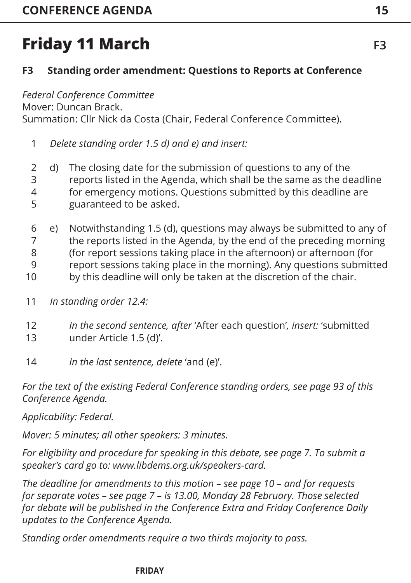### <span id="page-15-0"></span>**F3 Standing order amendment: Questions to Reports at Conference**

*Federal Conference Committee*  Mover: Duncan Brack. Summation: Cllr Nick da Costa (Chair, Federal Conference Committee).

*Delete standing order 1.5 d) and e) and insert:* 1

d) The closing date for the submission of questions to any of the reports listed in the Agenda, which shall be the same as the deadline for emergency motions. Questions submitted by this deadline are guaranteed to be asked. 2 3 4 5

e) Notwithstanding 1.5 (d), questions may always be submitted to any of the reports listed in the Agenda, by the end of the preceding morning (for report sessions taking place in the afternoon) or afternoon (for report sessions taking place in the morning). Any questions submitted by this deadline will only be taken at the discretion of the chair. 6 7 8 9 10

- *In standing order 12.4:* 11
- *In the second sentence, after* 'After each question'*, insert:* 'submitted under Article 1.5 (d)'. 12 13
- *In the last sentence, delete* 'and (e)'. 14

*For the text of the existing Federal Conference standing orders, [see page 93 o](#page-93-0)f this Conference Agenda.*

*Applicability: Federal.*

*Mover: 5 minutes; all other speakers: 3 minutes.* 

*For eligibility and procedure for speaking in this debate, [see page 7. T](#page-7-0)o submit a speaker's card go to: www.libdems.org.uk/speakers-card.* 

*The deadline for amendments to this motion – [see page 10](#page-10-0) – and for requests for separate votes [– see page 7 –](#page-7-0) is 13.00, Monday 28 February. Those selected for debate will be published in the Conference Extra and Friday Conference Daily updates to the Conference Agenda.*

*Standing order amendments require a two thirds majority to pass.*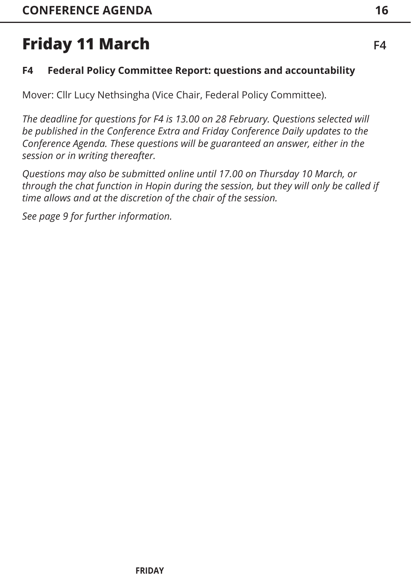### <span id="page-16-0"></span>**F4 Federal Policy Committee Report: questions and accountability**

Mover: Cllr Lucy Nethsingha (Vice Chair, Federal Policy Committee).

*The deadline for questions for F4 is 13.00 on 28 February. Questions selected will be published in the Conference Extra and Friday Conference Daily updates to the Conference Agenda. These questions will be guaranteed an answer, either in the session or in writing thereafter.* 

*Questions may also be submitted online until 17.00 on Thursday 10 March, or through the chat function in Hopin during the session, but they will only be called if time allows and at the discretion of the chair of the session.*

*[See page 9 fo](#page-9-0)r further information.*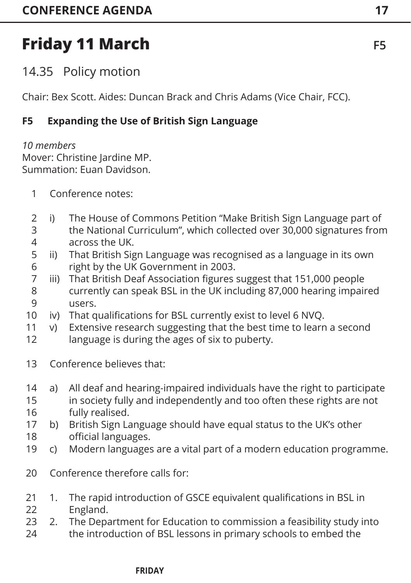<span id="page-17-0"></span>14.35 Policy motion

Chair: Bex Scott. Aides: Duncan Brack and Chris Adams (Vice Chair, FCC).

### **F5 Expanding the Use of British Sign Language**

*10 members* Mover: Christine Jardine MP. Summation: Euan Davidson.

- Conference notes: 1
- i) The House of Commons Petition "Make British Sign Language part of the National Curriculum", which collected over 30,000 signatures from across the UK. 2 3 4
- ii) That British Sign Language was recognised as a language in its own right by the UK Government in 2003. 5 6
- iii) That British Deaf Association figures suggest that 151,000 people currently can speak BSL in the UK including 87,000 hearing impaired users. 7 8 9
- iv) That qualifications for BSL currently exist to level 6 NVQ. 10
- v) Extensive research suggesting that the best time to learn a second 11
- language is during the ages of six to puberty. 12
- Conference believes that: 13
- a) All deaf and hearing-impaired individuals have the right to participate in society fully and independently and too often these rights are not fully realised. 14 15 16
- b) British Sign Language should have equal status to the UK's other official languages. 17 18
- c) Modern languages are a vital part of a modern education programme. 19
- Conference therefore calls for: 20
- 1. The rapid introduction of GSCE equivalent qualifications in BSL in England. 21 22
- 2. The Department for Education to commission a feasibility study into the introduction of BSL lessons in primary schools to embed the 23 24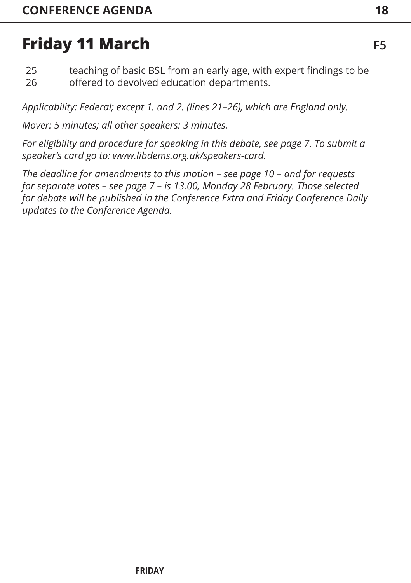teaching of basic BSL from an early age, with expert findings to be offered to devolved education departments. 25 26

*Applicability: Federal; except 1. and 2. (lines 21–26), which are England only.*

*Mover: 5 minutes; all other speakers: 3 minutes.* 

*For eligibility and procedure for speaking in this debate[, see page 7. T](#page-7-0)o submit a speaker's card go to: www.libdems.org.uk/speakers-card.* 

*The deadline for amendments to this motion – [see page 10](#page-10-0) – and for requests for separate votes [– see page 7](#page-7-0) – is 13.00, Monday 28 February. Those selected for debate will be published in the Conference Extra and Friday Conference Daily updates to the Conference Agenda.*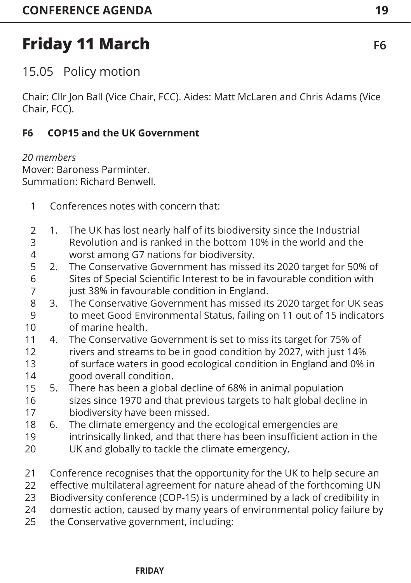<span id="page-19-0"></span>15.05 Policy motion

Chair: Cllr Jon Ball (Vice Chair, FCC). Aides: Matt McLaren and Chris Adams (Vice Chair, FCC).

#### **F6 COP15 and the UK Government**

*20 members* Mover: Baroness Parminter. Summation: Richard Benwell.

- Conferences notes with concern that: 1
- 1. The UK has lost nearly half of its biodiversity since the Industrial Revolution and is ranked in the bottom 10% in the world and the worst among G7 nations for biodiversity. 2 3 4
- 2. The Conservative Government has missed its 2020 target for 50% of Sites of Special Scientific Interest to be in favourable condition with just 38% in favourable condition in England. 5 6 7
- 3. The Conservative Government has missed its 2020 target for UK seas to meet Good Environmental Status, failing on 11 out of 15 indicators of marine health. 8 9 10
- 4. The Conservative Government is set to miss its target for 75% of rivers and streams to be in good condition by 2027, with just 14% of surface waters in good ecological condition in England and 0% in good overall condition. 11 12 13 14
- 5. There has been a global decline of 68% in animal population sizes since 1970 and that previous targets to halt global decline in biodiversity have been missed. 15 16 17
- 6. The climate emergency and the ecological emergencies are 18
- intrinsically linked, and that there has been insufficient action in the 19
- UK and globally to tackle the climate emergency. 20
- Conference recognises that the opportunity for the UK to help secure an 21
- effective multilateral agreement for nature ahead of the forthcoming UN 22
- Biodiversity conference (COP-15) is undermined by a lack of credibility in 23
- domestic action, caused by many years of environmental policy failure by 24
- the Conservative government, including: 25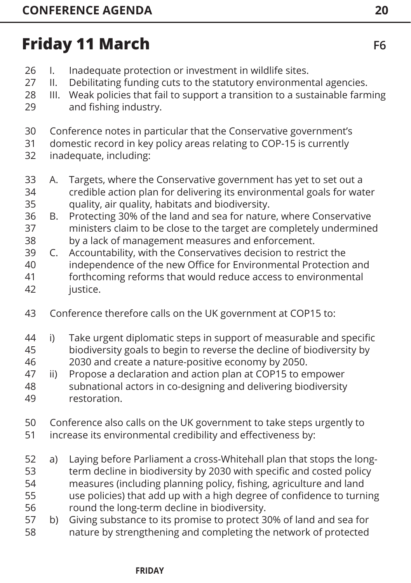- I. Inadequate protection or investment in wildlife sites. 26
- II. Debilitating funding cuts to the statutory environmental agencies. 27
- III. Weak policies that fail to support a transition to a sustainable farming and fishing industry. 28 29
- Conference notes in particular that the Conservative government's 30
- domestic record in key policy areas relating to COP-15 is currently 31
- inadequate, including: 32
- A. Targets, where the Conservative government has yet to set out a credible action plan for delivering its environmental goals for water quality, air quality, habitats and biodiversity. 33 34 35
- B. Protecting 30% of the land and sea for nature, where Conservative ministers claim to be close to the target are completely undermined 36 37
- by a lack of management measures and enforcement. 38
- C. Accountability, with the Conservatives decision to restrict the independence of the new Office for Environmental Protection and forthcoming reforms that would reduce access to environmental justice. 39 40 41 42
- Conference therefore calls on the UK government at COP15 to: 43
- i) Take urgent diplomatic steps in support of measurable and specific biodiversity goals to begin to reverse the decline of biodiversity by 44 45
- 2030 and create a nature-positive economy by 2050. 46
- ii) Propose a declaration and action plan at COP15 to empower subnational actors in co-designing and delivering biodiversity restoration. 47 48 49
- Conference also calls on the UK government to take steps urgently to increase its environmental credibility and effectiveness by: 50 51
- a) Laying before Parliament a cross-Whitehall plan that stops the longterm decline in biodiversity by 2030 with specific and costed policy measures (including planning policy, fishing, agriculture and land use policies) that add up with a high degree of confidence to turning round the long-term decline in biodiversity. 52 53 54 55 56
- b) Giving substance to its promise to protect 30% of land and sea for nature by strengthening and completing the network of protected 57 58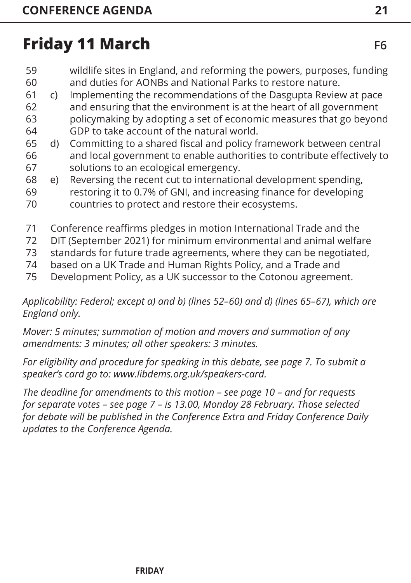- wildlife sites in England, and reforming the powers, purposes, funding and duties for AONBs and National Parks to restore nature. 59 60
- c) Implementing the recommendations of the Dasgupta Review at pace and ensuring that the environment is at the heart of all government policymaking by adopting a set of economic measures that go beyond GDP to take account of the natural world. 61 62 63 64
- d) Committing to a shared fiscal and policy framework between central and local government to enable authorities to contribute effectively to solutions to an ecological emergency. 65 66 67
- e) Reversing the recent cut to international development spending, restoring it to 0.7% of GNI, and increasing finance for developing 68 69
- countries to protect and restore their ecosystems. 70
- Conference reaffirms pledges in motion International Trade and the 71
- DIT (September 2021) for minimum environmental and animal welfare 72
- standards for future trade agreements, where they can be negotiated, 73
- based on a UK Trade and Human Rights Policy, and a Trade and 74
- Development Policy, as a UK successor to the Cotonou agreement. 75

*Applicability: Federal; except a) and b) (lines 52–60) and d) (lines 65–67), which are England only.*

*Mover: 5 minutes; summation of motion and movers and summation of any amendments: 3 minutes; all other speakers: 3 minutes.* 

*For eligibility and procedure for speaking in this debate[, see page 7. T](#page-7-0)o submit a speaker's card go to: www.libdems.org.uk/speakers-card.* 

*The deadline for amendments to this motion – [see page 10](#page-10-0) – and for requests for separate votes [– see page 7](#page-7-0) – is 13.00, Monday 28 February. Those selected for debate will be published in the Conference Extra and Friday Conference Daily updates to the Conference Agenda.*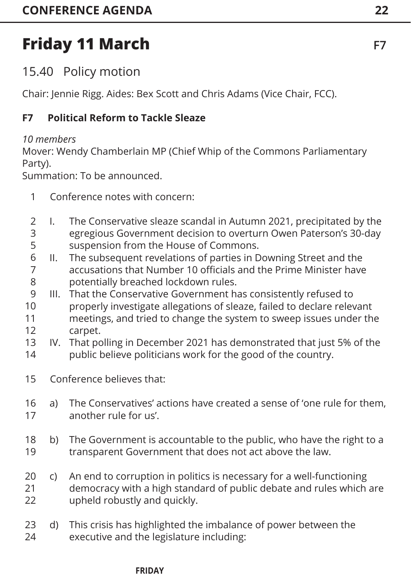<span id="page-22-0"></span>15.40 Policy motion

Chair: Jennie Rigg. Aides: Bex Scott and Chris Adams (Vice Chair, FCC).

### **F7 Political Reform to Tackle Sleaze**

#### *10 members*

Mover: Wendy Chamberlain MP (Chief Whip of the Commons Parliamentary Party).

Summation: To be announced.

- Conference notes with concern: 1
- I. The Conservative sleaze scandal in Autumn 2021, precipitated by the egregious Government decision to overturn Owen Paterson's 30-day suspension from the House of Commons.  $\overline{\phantom{0}}$ 3 5
- II. The subsequent revelations of parties in Downing Street and the accusations that Number 10 officials and the Prime Minister have potentially breached lockdown rules. 6 7 8
- III. That the Conservative Government has consistently refused to properly investigate allegations of sleaze, failed to declare relevant meetings, and tried to change the system to sweep issues under the carpet. 9 10 11 12
- IV. That polling in December 2021 has demonstrated that just 5% of the public believe politicians work for the good of the country. 13 14
- Conference believes that: 15
- a) The Conservatives' actions have created a sense of 'one rule for them, another rule for us'. 16 17
- b) The Government is accountable to the public, who have the right to a transparent Government that does not act above the law. 18 19
- c) An end to corruption in politics is necessary for a well-functioning democracy with a high standard of public debate and rules which are upheld robustly and quickly. 20 21  $22$
- d) This crisis has highlighted the imbalance of power between the executive and the legislature including: 23 24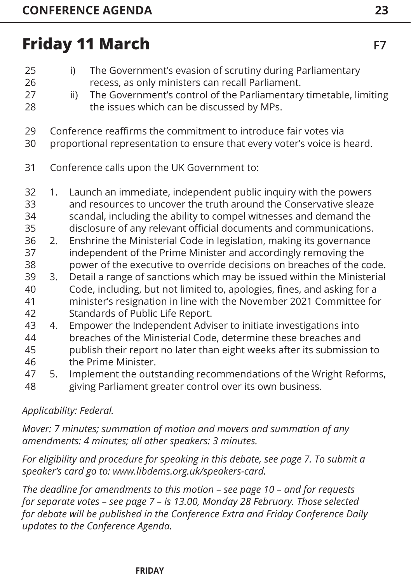| 25<br>26<br>27<br>28                                           |                                             | i)<br>ii) | The Government's evasion of scrutiny during Parliamentary<br>recess, as only ministers can recall Parliament.<br>The Government's control of the Parliamentary timetable, limiting<br>the issues which can be discussed by MPs.                                                                                                                                                                                                                                                                                                                                                                                                                                                                                                                                  |  |  |
|----------------------------------------------------------------|---------------------------------------------|-----------|------------------------------------------------------------------------------------------------------------------------------------------------------------------------------------------------------------------------------------------------------------------------------------------------------------------------------------------------------------------------------------------------------------------------------------------------------------------------------------------------------------------------------------------------------------------------------------------------------------------------------------------------------------------------------------------------------------------------------------------------------------------|--|--|
| 29<br>30                                                       |                                             |           | Conference reaffirms the commitment to introduce fair votes via<br>proportional representation to ensure that every voter's voice is heard.                                                                                                                                                                                                                                                                                                                                                                                                                                                                                                                                                                                                                      |  |  |
| 31                                                             | Conference calls upon the UK Government to: |           |                                                                                                                                                                                                                                                                                                                                                                                                                                                                                                                                                                                                                                                                                                                                                                  |  |  |
| 32<br>33<br>34<br>35<br>36<br>37<br>38<br>39<br>40<br>41<br>42 | 1.<br>2.<br>3.                              |           | Launch an immediate, independent public inquiry with the powers<br>and resources to uncover the truth around the Conservative sleaze<br>scandal, including the ability to compel witnesses and demand the<br>disclosure of any relevant official documents and communications.<br>Enshrine the Ministerial Code in legislation, making its governance<br>independent of the Prime Minister and accordingly removing the<br>power of the executive to override decisions on breaches of the code.<br>Detail a range of sanctions which may be issued within the Ministerial<br>Code, including, but not limited to, apologies, fines, and asking for a<br>minister's resignation in line with the November 2021 Committee for<br>Standards of Public Life Report. |  |  |
| 43<br>44<br>45                                                 | 4.                                          |           | Empower the Independent Adviser to initiate investigations into<br>breaches of the Ministerial Code, determine these breaches and<br>publish their report no later than eight weeks after its submission to                                                                                                                                                                                                                                                                                                                                                                                                                                                                                                                                                      |  |  |
| 46                                                             |                                             |           | the Prime Minister.<br>$\mathbf{r}$ and $\mathbf{r}$ and $\mathbf{r}$ and $\mathbf{r}$ and $\mathbf{r}$ and $\mathbf{r}$ and $\mathbf{r}$ and $\mathbf{r}$ and $\mathbf{r}$ and $\mathbf{r}$ and $\mathbf{r}$ and $\mathbf{r}$ and $\mathbf{r}$ and $\mathbf{r}$ and $\mathbf{r}$ and $\mathbf{r}$ and $\mathbf{r}$ and                                                                                                                                                                                                                                                                                                                                                                                                                                          |  |  |

5. Implement the outstanding recommendations of the Wright Reforms, giving Parliament greater control over its own business. 47 48

#### *Applicability: Federal.*

*Mover: 7 minutes; summation of motion and movers and summation of any amendments: 4 minutes; all other speakers: 3 minutes.* 

*For eligibility and procedure for speaking in this debate[, see page 7. T](#page-7-0)o submit a speaker's card go to: www.libdems.org.uk/speakers-card.* 

*The deadline for amendments to this motion – [see page 10](#page-10-0) – and for requests for separate votes [– see page 7 –](#page-7-0) is 13.00, Monday 28 February. Those selected for debate will be published in the Conference Extra and Friday Conference Daily updates to the Conference Agenda.*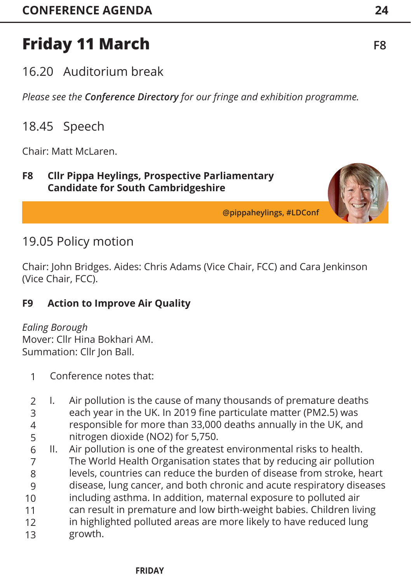<span id="page-24-0"></span>16.20 Auditorium break

*Please see the Conference Directory for our fringe and exhibition programme.*

### 18.45 Speech

Chair: Matt McLaren.

#### **F8 Cllr Pippa Heylings, Prospective Parliamentary Candidate for South Cambridgeshire**

**@pippaheylings, #LDConf**

### 19.05 Policy motion

Chair: John Bridges. Aides: Chris Adams (Vice Chair, FCC) and Cara Jenkinson (Vice Chair, FCC).

### **F9 Action to Improve Air Quality**

*Ealing Borough*  Mover: Cllr Hina Bokhari AM. Summation: Cllr Jon Ball.

- Conference notes that: 1
- I. Air pollution is the cause of many thousands of premature deaths each year in the UK. In 2019 fine particulate matter (PM2.5) was responsible for more than 33,000 deaths annually in the UK, and nitrogen dioxide (NO2) for 5,750. 2 3 4 5
- II. Air pollution is one of the greatest environmental risks to health. The World Health Organisation states that by reducing air pollution levels, countries can reduce the burden of disease from stroke, heart disease, lung cancer, and both chronic and acute respiratory diseases including asthma. In addition, maternal exposure to polluted air can result in premature and low birth-weight babies. Children living in highlighted polluted areas are more likely to have reduced lung growth. 6 7 8 9 10 11 12 13

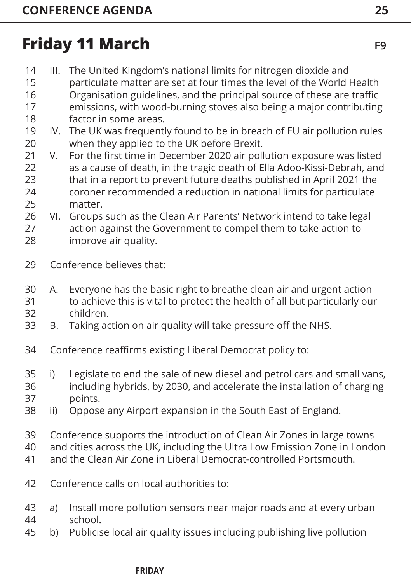- III. The United Kingdom's national limits for nitrogen dioxide and 14
- particulate matter are set at four times the level of the World Health Organisation guidelines, and the principal source of these are traffic emissions, with wood-burning stoves also being a major contributing factor in some areas. 15 16 17 18
- IV. The UK was frequently found to be in breach of EU air pollution rules when they applied to the UK before Brexit. 19 20
- V. For the first time in December 2020 air pollution exposure was listed as a cause of death, in the tragic death of Ella Adoo-Kissi-Debrah, and that in a report to prevent future deaths published in April 2021 the coroner recommended a reduction in national limits for particulate matter. 21 22 23 24 25
- VI. Groups such as the Clean Air Parents' Network intend to take legal action against the Government to compel them to take action to improve air quality. 26 27 28
- Conference believes that: 29
- A. Everyone has the basic right to breathe clean air and urgent action to achieve this is vital to protect the health of all but particularly our children. 30 31 32
- B. Taking action on air quality will take pressure off the NHS. 33
- Conference reaffirms existing Liberal Democrat policy to: 34
- i) Legislate to end the sale of new diesel and petrol cars and small vans, including hybrids, by 2030, and accelerate the installation of charging points. 35 36 37
- ii) Oppose any Airport expansion in the South East of England. 38
- Conference supports the introduction of Clean Air Zones in large towns 39
- and cities across the UK, including the Ultra Low Emission Zone in London 40
- and the Clean Air Zone in Liberal Democrat-controlled Portsmouth. 41
- Conference calls on local authorities to: 42
- a) Install more pollution sensors near major roads and at every urban school. 43 44
- b) Publicise local air quality issues including publishing live pollution 45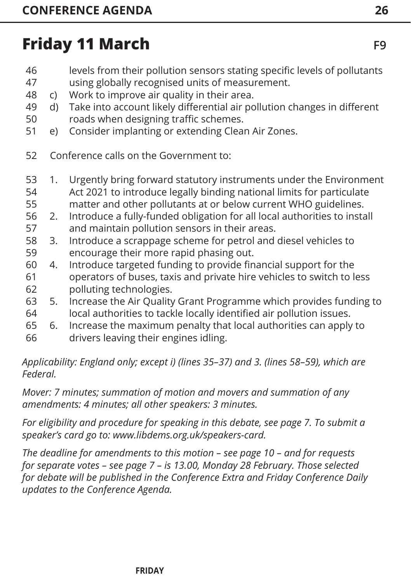- levels from their pollution sensors stating specific levels of pollutants using globally recognised units of measurement. 46 47
- c) Work to improve air quality in their area. 48
- d) Take into account likely differential air pollution changes in different 49
- roads when designing traffic schemes. 50
- e) Consider implanting or extending Clean Air Zones. 51
- Conference calls on the Government to: 52
- 1. Urgently bring forward statutory instruments under the Environment Act 2021 to introduce legally binding national limits for particulate matter and other pollutants at or below current WHO guidelines. 53 54 55
- 2. Introduce a fully-funded obligation for all local authorities to install 56
- and maintain pollution sensors in their areas. 57
- 3. Introduce a scrappage scheme for petrol and diesel vehicles to encourage their more rapid phasing out. 58 59
- 4. Introduce targeted funding to provide financial support for the operators of buses, taxis and private hire vehicles to switch to less polluting technologies. 60 61 62
- 5. Increase the Air Quality Grant Programme which provides funding to local authorities to tackle locally identified air pollution issues. 63 64
- 6. Increase the maximum penalty that local authorities can apply to 65
- drivers leaving their engines idling. 66

*Applicability: England only; except i) (lines 35–37) and 3. (lines 58–59), which are Federal.*

*Mover: 7 minutes; summation of motion and movers and summation of any amendments: 4 minutes; all other speakers: 3 minutes.* 

*For eligibility and procedure for speaking in this debate[, see page 7. T](#page-7-0)o submit a speaker's card go to: www.libdems.org.uk/speakers-card.* 

*The deadline for amendments to this motion – [see page 10](#page-10-0) – and for requests for separate votes [– see page 7](#page-7-0) – is 13.00, Monday 28 February. Those selected for debate will be published in the Conference Extra and Friday Conference Daily updates to the Conference Agenda.*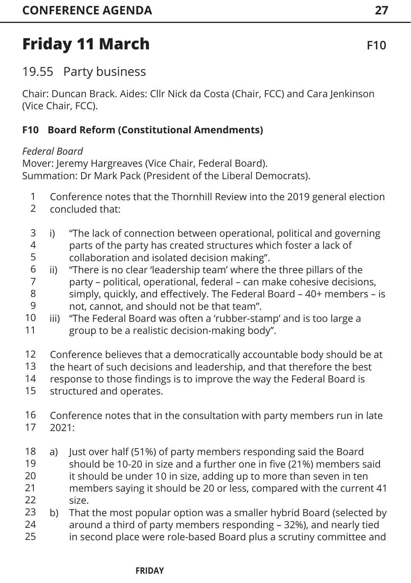### <span id="page-27-0"></span>19.55 Party business

Chair: Duncan Brack. Aides: Cllr Nick da Costa (Chair, FCC) and Cara Jenkinson (Vice Chair, FCC).

#### **F10 Board Reform (Constitutional Amendments)**

#### *Federal Board*

Mover: Jeremy Hargreaves (Vice Chair, Federal Board). Summation: Dr Mark Pack (President of the Liberal Democrats).

- Conference notes that the Thornhill Review into the 2019 general election 1
- concluded that:  $\mathfrak{D}$
- i) "The lack of connection between operational, political and governing parts of the party has created structures which foster a lack of collaboration and isolated decision making". 3 4 5
- ii) "There is no clear 'leadership team' where the three pillars of the party – political, operational, federal – can make cohesive decisions, simply, quickly, and effectively. The Federal Board – 40+ members – is not, cannot, and should not be that team". 6 7 8 9
- iii) "The Federal Board was often a 'rubber-stamp' and is too large a group to be a realistic decision-making body". 10 11
- Conference believes that a democratically accountable body should be at 12
- the heart of such decisions and leadership, and that therefore the best 13
- response to those findings is to improve the way the Federal Board is 14
- structured and operates. 15
- Conference notes that in the consultation with party members run in late 2021: 16 17
- a) Just over half (51%) of party members responding said the Board should be 10-20 in size and a further one in five (21%) members said it should be under 10 in size, adding up to more than seven in ten members saying it should be 20 or less, compared with the current 41 size. 18 19 20 21 22
- b) That the most popular option was a smaller hybrid Board (selected by around a third of party members responding – 32%), and nearly tied 23 24
- in second place were role-based Board plus a scrutiny committee and 25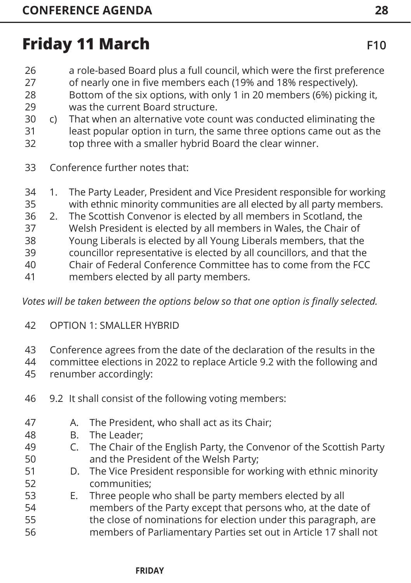- a role-based Board plus a full council, which were the first preference 26
- of nearly one in five members each (19% and 18% respectively). 27
- Bottom of the six options, with only 1 in 20 members (6%) picking it, was the current Board structure. 28 29
- c) That when an alternative vote count was conducted eliminating the 30
- least popular option in turn, the same three options came out as the top three with a smaller hybrid Board the clear winner. 31 32
- Conference further notes that: 33
- 1. The Party Leader, President and Vice President responsible for working with ethnic minority communities are all elected by all party members. 34 35
- 2. The Scottish Convenor is elected by all members in Scotland, the 36
- Welsh President is elected by all members in Wales, the Chair of 37
- Young Liberals is elected by all Young Liberals members, that the 38
- councillor representative is elected by all councillors, and that the 39
- Chair of Federal Conference Committee has to come from the FCC 40
- members elected by all party members. 41

*Votes will be taken between the options below so that one option is finally selected.*

- OPTION 1: SMALLER HYBRID 42
- Conference agrees from the date of the declaration of the results in the 43
- committee elections in 2022 to replace Article 9.2 with the following and 44
- renumber accordingly: 45
- 9.2 It shall consist of the following voting members: 46
- A. The President, who shall act as its Chair; 47
- B. The Leader; 48

52

- C. The Chair of the English Party, the Convenor of the Scottish Party and the President of the Welsh Party; 49 50 51
	- D. The Vice President responsible for working with ethnic minority communities;
- E. Three people who shall be party members elected by all members of the Party except that persons who, at the date of the close of nominations for election under this paragraph, are members of Parliamentary Parties set out in Article 17 shall not 53 54 55 56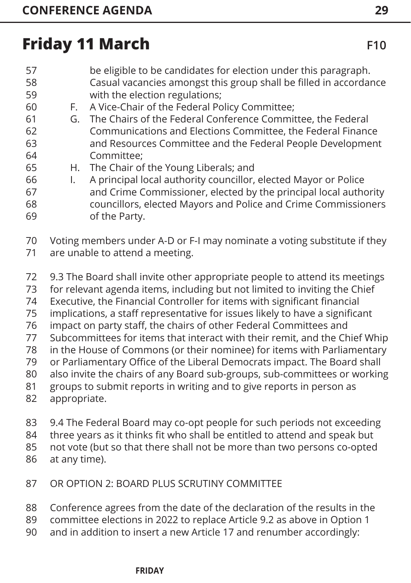- be eligible to be candidates for election under this paragraph. Casual vacancies amongst this group shall be filled in accordance with the election regulations; 57 58 59
- F. A Vice-Chair of the Federal Policy Committee; 60
- G. The Chairs of the Federal Conference Committee, the Federal Communications and Elections Committee, the Federal Finance and Resources Committee and the Federal People Development Committee; 61 62 63 64
- H. The Chair of the Young Liberals; and 65
- I. A principal local authority councillor, elected Mayor or Police and Crime Commissioner, elected by the principal local authority councillors, elected Mayors and Police and Crime Commissioners of the Party. 66 67 68 69

Voting members under A-D or F-I may nominate a voting substitute if they 70

- are unable to attend a meeting. 71
- 9.3 The Board shall invite other appropriate people to attend its meetings 72
- for relevant agenda items, including but not limited to inviting the Chief 73
- Executive, the Financial Controller for items with significant financial 74
- implications, a staff representative for issues likely to have a significant 75
- impact on party staff, the chairs of other Federal Committees and 76
- Subcommittees for items that interact with their remit, and the Chief Whip 77
- in the House of Commons (or their nominee) for items with Parliamentary 78
- or Parliamentary Office of the Liberal Democrats impact. The Board shall 79
- also invite the chairs of any Board sub-groups, sub-committees or working 80
- groups to submit reports in writing and to give reports in person as 81
- appropriate. 82
- 9.4 The Federal Board may co-opt people for such periods not exceeding 83
- three years as it thinks fit who shall be entitled to attend and speak but 84
- not vote (but so that there shall not be more than two persons co-opted 85
- at any time). 86
- OR OPTION 2: BOARD PLUS SCRUTINY COMMITTEE 87
- Conference agrees from the date of the declaration of the results in the 88
- committee elections in 2022 to replace Article 9.2 as above in Option 1 89
- and in addition to insert a new Article 17 and renumber accordingly: 90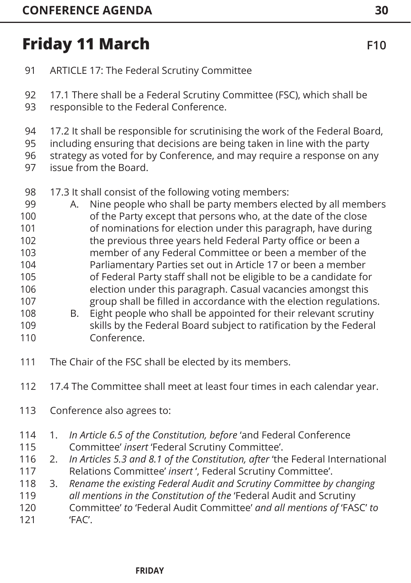ARTICLE 17: The Federal Scrutiny Committee 91

17.1 There shall be a Federal Scrutiny Committee (FSC), which shall be responsible to the Federal Conference. 92 93

17.2 It shall be responsible for scrutinising the work of the Federal Board, 94

including ensuring that decisions are being taken in line with the party 95

strategy as voted for by Conference, and may require a response on any 96

- issue from the Board. 97
- 17.3 It shall consist of the following voting members: 98
- A. Nine people who shall be party members elected by all members of the Party except that persons who, at the date of the close of nominations for election under this paragraph, have during the previous three years held Federal Party office or been a member of any Federal Committee or been a member of the Parliamentary Parties set out in Article 17 or been a member of Federal Party staff shall not be eligible to be a candidate for election under this paragraph. Casual vacancies amongst this group shall be filled in accordance with the election regulations. 99 100 101 102 103 104 105 106 107
- B. Eight people who shall be appointed for their relevant scrutiny skills by the Federal Board subject to ratification by the Federal Conference. 108 109 110
- The Chair of the FSC shall be elected by its members. 111
- 17.4 The Committee shall meet at least four times in each calendar year. 112
- Conference also agrees to: 113
- 1. *In Article 6.5 of the Constitution, before* 'and Federal Conference Committee' *insert* 'Federal Scrutiny Committee'. 114 115
- 2. *In Articles 5.3 and 8.1 of the Constitution, after* 'the Federal International Relations Committee' *insert* ', Federal Scrutiny Committee'. 116 117
- 3. *Rename the existing Federal Audit and Scrutiny Committee by changing*  118
- *all mentions in the Constitution of the* 'Federal Audit and Scrutiny 119
- Committee' *to* 'Federal Audit Committee' *and all mentions of* 'FASC' *to* 'FAC'. 120 121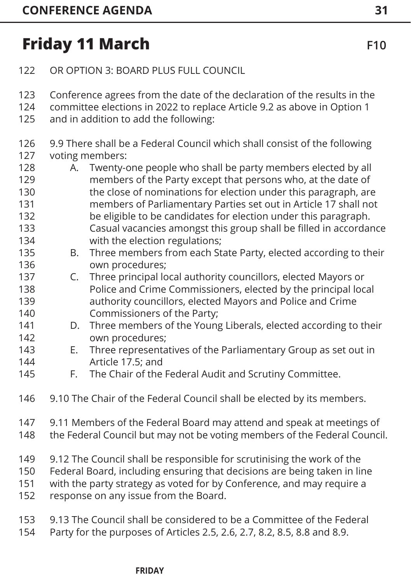136

- OR OPTION 3: BOARD PLUS FULL COUNCIL 122
- Conference agrees from the date of the declaration of the results in the 123
- committee elections in 2022 to replace Article 9.2 as above in Option 1 124
- and in addition to add the following: 125
- 9.9 There shall be a Federal Council which shall consist of the following voting members: 126 127
- A. Twenty-one people who shall be party members elected by all members of the Party except that persons who, at the date of the close of nominations for election under this paragraph, are members of Parliamentary Parties set out in Article 17 shall not be eligible to be candidates for election under this paragraph. 128 129 130 131 132 133
- Casual vacancies amongst this group shall be filled in accordance with the election regulations; 134 135
	- B. Three members from each State Party, elected according to their own procedures;
- C. Three principal local authority councillors, elected Mayors or Police and Crime Commissioners, elected by the principal local authority councillors, elected Mayors and Police and Crime Commissioners of the Party; 137 138 139 140
- D. Three members of the Young Liberals, elected according to their own procedures; 141 142
- E. Three representatives of the Parliamentary Group as set out in Article 17.5; and 143 144
- F. The Chair of the Federal Audit and Scrutiny Committee. 145
- 9.10 The Chair of the Federal Council shall be elected by its members. 146
- 9.11 Members of the Federal Board may attend and speak at meetings of 147
- the Federal Council but may not be voting members of the Federal Council. 148
- 9.12 The Council shall be responsible for scrutinising the work of the 149
- Federal Board, including ensuring that decisions are being taken in line 150
- with the party strategy as voted for by Conference, and may require a 151
- response on any issue from the Board. 152
- 9.13 The Council shall be considered to be a Committee of the Federal 153
- Party for the purposes of Articles 2.5, 2.6, 2.7, 8.2, 8.5, 8.8 and 8.9. 154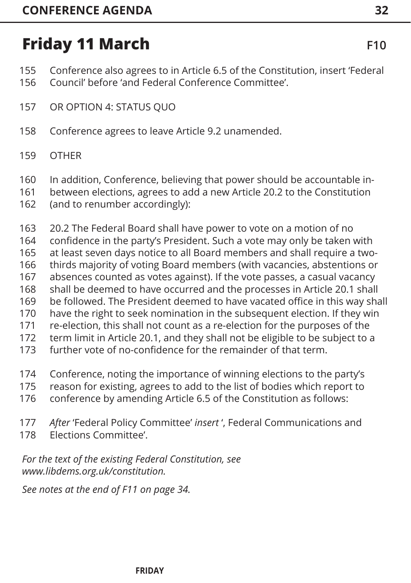- Conference also agrees to in Article 6.5 of the Constitution, insert 'Federal Council' before 'and Federal Conference Committee'. 155 156
- OR OPTION 4: STATUS QUO 157
- Conference agrees to leave Article 9.2 unamended. 158
- **OTHER** 159
- In addition, Conference, believing that power should be accountable in-160
- between elections, agrees to add a new Article 20.2 to the Constitution 161
- (and to renumber accordingly): 162
- 20.2 The Federal Board shall have power to vote on a motion of no 163
- confidence in the party's President. Such a vote may only be taken with 164
- at least seven days notice to all Board members and shall require a two-165
- thirds majority of voting Board members (with vacancies, abstentions or 166
- absences counted as votes against). If the vote passes, a casual vacancy 167
- shall be deemed to have occurred and the processes in Article 20.1 shall 168
- be followed. The President deemed to have vacated office in this way shall 169
- have the right to seek nomination in the subsequent election. If they win 170
- re-election, this shall not count as a re-election for the purposes of the 171
- term limit in Article 20.1, and they shall not be eligible to be subject to a 172
- further vote of no-confidence for the remainder of that term. 173
- Conference, noting the importance of winning elections to the party's 174
- reason for existing, agrees to add to the list of bodies which report to 175
- conference by amending Article 6.5 of the Constitution as follows: 176
- *After* 'Federal Policy Committee' *insert* ', Federal Communications and 177
- Elections Committee'. 178

*For the text of the existing Federal Constitution, see www.libdems.org.uk/constitution.*

*See notes at the end of F1[1 on page 34.](#page--1-0)*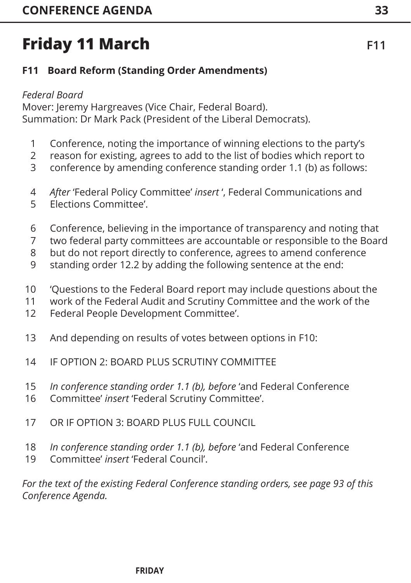### <span id="page-33-0"></span>**F11 Board Reform (Standing Order Amendments)**

#### *Federal Board*

Mover: Jeremy Hargreaves (Vice Chair, Federal Board). Summation: Dr Mark Pack (President of the Liberal Democrats).

- Conference, noting the importance of winning elections to the party's 1
- reason for existing, agrees to add to the list of bodies which report to 2
- conference by amending conference standing order 1.1 (b) as follows: 3
- *After* 'Federal Policy Committee' *insert* ', Federal Communications and 4
- Elections Committee'. 5
- Conference, believing in the importance of transparency and noting that 6
- two federal party committees are accountable or responsible to the Board 7
- but do not report directly to conference, agrees to amend conference 8
- standing order 12.2 by adding the following sentence at the end: 9
- 'Questions to the Federal Board report may include questions about the 10
- work of the Federal Audit and Scrutiny Committee and the work of the 11
- Federal People Development Committee'. 12
- And depending on results of votes between options in F10: 13
- IF OPTION 2: BOARD PLUS SCRUTINY COMMITTEE 14
- *In conference standing order 1.1 (b), before* 'and Federal Conference 15
- Committee' *insert* 'Federal Scrutiny Committee'. 16
- OR IF OPTION 3: BOARD PLUS FULL COUNCIL 17
- *In conference standing order 1.1 (b), before* 'and Federal Conference 18
- Committee' *insert* 'Federal Council'. 19

*For the text of the existing Federal Conference standing orders[, see page 93](#page-93-0) of this Conference Agenda.*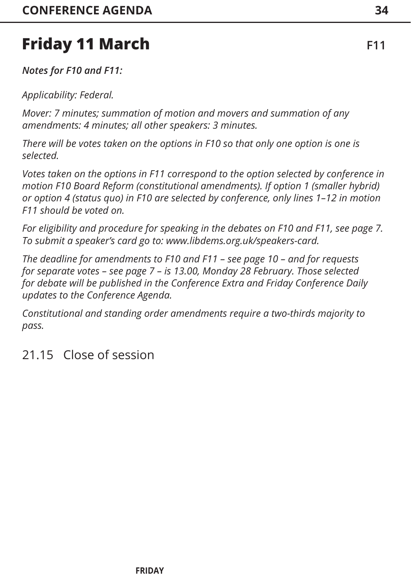*Notes for F10 and F11:*

*Applicability: Federal.*

*Mover: 7 minutes; summation of motion and movers and summation of any amendments: 4 minutes; all other speakers: 3 minutes.* 

*There will be votes taken on the options in F10 so that only one option is one is selected.*

*Votes taken on the options in F11 correspond to the option selected by conference in motion F10 Board Reform (constitutional amendments). If option 1 (smaller hybrid) or option 4 (status quo) in F10 are selected by conference, only lines 1–12 in motion F11 should be voted on.*

*For eligibility and procedure for speaking in the debates on F10 and F11, [see page 7](#page-7-0). To submit a speaker's card go to: www.libdems.org.uk/speakers-card.* 

*The deadline for amendments to F10 and F11 – [see page 10](#page-10-0) – and for requests for separate votes – s[ee page 7 –](#page-7-0) is 13.00, Monday 28 February. Those selected for debate will be published in the Conference Extra and Friday Conference Daily updates to the Conference Agenda.*

*Constitutional and standing order amendments require a two-thirds majority to pass.* 

### 21.15 Close of session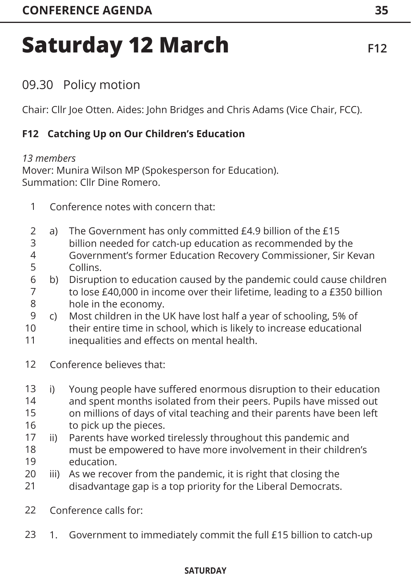# <span id="page-35-0"></span>**Saturday 12 March** F12

### 09.30 Policy motion

Chair: Cllr Joe Otten. Aides: John Bridges and Chris Adams (Vice Chair, FCC).

#### **F12 Catching Up on Our Children's Education**

#### *13 members*

Mover: Munira Wilson MP (Spokesperson for Education). Summation: Cllr Dine Romero.

- Conference notes with concern that: 1
- a) The Government has only committed £4.9 billion of the £15 billion needed for catch-up education as recommended by the Government's former Education Recovery Commissioner, Sir Kevan Collins.  $\mathfrak{D}$ 3 4 5
- b) Disruption to education caused by the pandemic could cause children to lose £40,000 in income over their lifetime, leading to a £350 billion hole in the economy. 6 7 8
- c) Most children in the UK have lost half a year of schooling, 5% of 9
- their entire time in school, which is likely to increase educational inequalities and effects on mental health. 10 11
- Conference believes that: 12
- i) Young people have suffered enormous disruption to their education and spent months isolated from their peers. Pupils have missed out on millions of days of vital teaching and their parents have been left to pick up the pieces. 13 14 15 16
- ii) Parents have worked tirelessly throughout this pandemic and must be empowered to have more involvement in their children's education. 17 18 19
- iii) As we recover from the pandemic, it is right that closing the disadvantage gap is a top priority for the Liberal Democrats. 20 21
- Conference calls for: 22
- 1. Government to immediately commit the full £15 billion to catch-up 23

#### **INFORMATION SATURDAY CREATING**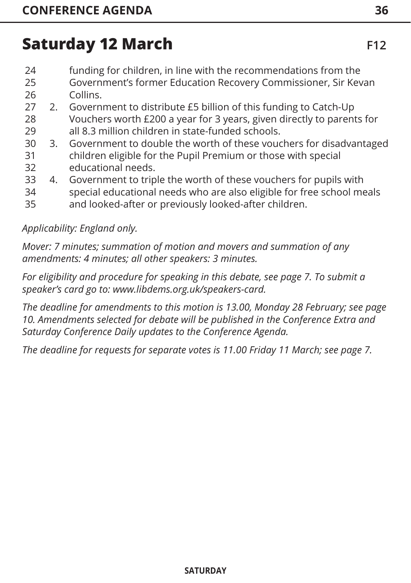- funding for children, in line with the recommendations from the 24
- Government's former Education Recovery Commissioner, Sir Kevan Collins. 25 26
- 2. Government to distribute £5 billion of this funding to Catch-Up Vouchers worth £200 a year for 3 years, given directly to parents for 27 28 29
- all 8.3 million children in state-funded schools. 3. Government to double the worth of these vouchers for disadvantaged children eligible for the Pupil Premium or those with special 30 31
- educational needs. 32
- 4. Government to triple the worth of these vouchers for pupils with 33
- special educational needs who are also eligible for free school meals 34
- and looked-after or previously looked-after children. 35

### *Applicability: England only.*

*Mover: 7 minutes; summation of motion and movers and summation of any amendments: 4 minutes; all other speakers: 3 minutes.* 

*For eligibility and procedure for speaking in this deba[te, see page 7.](#page-7-0) To submit a speaker's card go to: www.libdems.org.uk/speakers-card.* 

*The deadline for amendments to this motion is 13.00, Monday 28 February[; see page](#page-10-0)  [10.](#page-10-0) Amendments selected for debate will be published in the Conference Extra and Saturday Conference Daily updates to the Conference Agenda.*

*The deadline for requests for separate votes is 11.00 Friday 11 March; [see page 7.](#page-7-0)*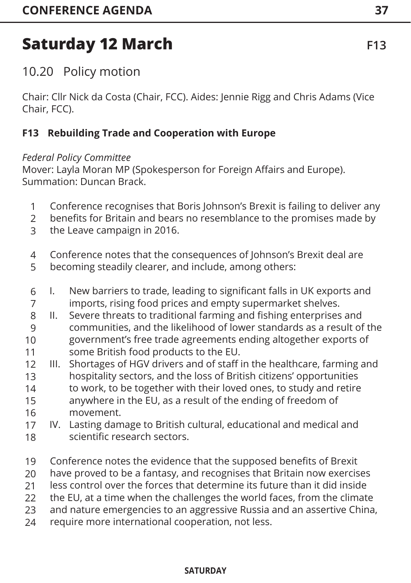10.20 Policy motion

Chair: Cllr Nick da Costa (Chair, FCC). Aides: Jennie Rigg and Chris Adams (Vice Chair, FCC).

### **F13 Rebuilding Trade and Cooperation with Europe**

### *Federal Policy Committee*

Mover: Layla Moran MP (Spokesperson for Foreign Affairs and Europe). Summation: Duncan Brack.

- Conference recognises that Boris Johnson's Brexit is failing to deliver any 1
- benefits for Britain and bears no resemblance to the promises made by 2
- the Leave campaign in 2016. 3
- Conference notes that the consequences of Johnson's Brexit deal are 4
- becoming steadily clearer, and include, among others: 5
- I. New barriers to trade, leading to significant falls in UK exports and imports, rising food prices and empty supermarket shelves. 6 7
- II. Severe threats to traditional farming and fishing enterprises and communities, and the likelihood of lower standards as a result of the government's free trade agreements ending altogether exports of some British food products to the EU. 8 9 10 11
- III. Shortages of HGV drivers and of staff in the healthcare, farming and hospitality sectors, and the loss of British citizens' opportunities to work, to be together with their loved ones, to study and retire anywhere in the EU, as a result of the ending of freedom of movement. 12 13 14 15 16
- IV. Lasting damage to British cultural, educational and medical and scientific research sectors. 17 18
- Conference notes the evidence that the supposed benefits of Brexit 19
- have proved to be a fantasy, and recognises that Britain now exercises 20
- less control over the forces that determine its future than it did inside 21
- the EU, at a time when the challenges the world faces, from the climate 22
- and nature emergencies to an aggressive Russia and an assertive China, 23
- require more international cooperation, not less. 24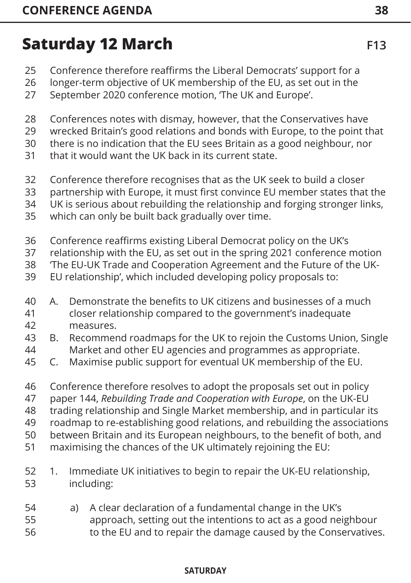- Conference therefore reaffirms the Liberal Democrats' support for a 25
- longer-term objective of UK membership of the EU, as set out in the 26
- September 2020 conference motion, 'The UK and Europe'. 27
- Conferences notes with dismay, however, that the Conservatives have 28
- wrecked Britain's good relations and bonds with Europe, to the point that 29
- there is no indication that the EU sees Britain as a good neighbour, nor 30
- that it would want the UK back in its current state. 31
- Conference therefore recognises that as the UK seek to build a closer 32
- partnership with Europe, it must first convince EU member states that the 33
- UK is serious about rebuilding the relationship and forging stronger links, 34
- which can only be built back gradually over time. 35
- Conference reaffirms existing Liberal Democrat policy on the UK's 36
- relationship with the EU, as set out in the spring 2021 conference motion 37
- 'The EU-UK Trade and Cooperation Agreement and the Future of the UK-38
- EU relationship', which included developing policy proposals to: 39
- A. Demonstrate the benefits to UK citizens and businesses of a much closer relationship compared to the government's inadequate measures. 40 41 42
- B. Recommend roadmaps for the UK to rejoin the Customs Union, Single Market and other EU agencies and programmes as appropriate. 43 44
- C. Maximise public support for eventual UK membership of the EU. 45
- Conference therefore resolves to adopt the proposals set out in policy 46
- paper 144, *Rebuilding Trade and Cooperation with Europe*, on the UK-EU 47
- trading relationship and Single Market membership, and in particular its 48
- roadmap to re-establishing good relations, and rebuilding the associations 49
- between Britain and its European neighbours, to the benefit of both, and 50
- maximising the chances of the UK ultimately rejoining the EU: 51
- 1. Immediate UK initiatives to begin to repair the UK-EU relationship, including: 52 53
- a) A clear declaration of a fundamental change in the UK's approach, setting out the intentions to act as a good neighbour to the EU and to repair the damage caused by the Conservatives. 54 55 56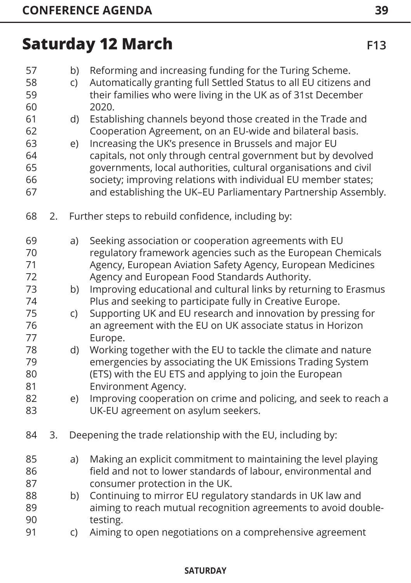| 57<br>58<br>59<br>60                   |    | b)<br>C) | Reforming and increasing funding for the Turing Scheme.<br>Automatically granting full Settled Status to all EU citizens and<br>their families who were living in the UK as of 31st December<br>2020.                                                                                                                                                                                                                                                      |
|----------------------------------------|----|----------|------------------------------------------------------------------------------------------------------------------------------------------------------------------------------------------------------------------------------------------------------------------------------------------------------------------------------------------------------------------------------------------------------------------------------------------------------------|
| 61<br>62<br>63<br>64<br>65<br>66<br>67 |    | d)<br>e) | Establishing channels beyond those created in the Trade and<br>Cooperation Agreement, on an EU-wide and bilateral basis.<br>Increasing the UK's presence in Brussels and major EU<br>capitals, not only through central government but by devolved<br>governments, local authorities, cultural organisations and civil<br>society; improving relations with individual EU member states;<br>and establishing the UK-EU Parliamentary Partnership Assembly. |
| 68                                     | 2. |          | Further steps to rebuild confidence, including by:                                                                                                                                                                                                                                                                                                                                                                                                         |
| 69<br>70<br>71<br>72                   |    | a)       | Seeking association or cooperation agreements with EU<br>regulatory framework agencies such as the European Chemicals<br>Agency, European Aviation Safety Agency, European Medicines<br>Agency and European Food Standards Authority.                                                                                                                                                                                                                      |
| 73<br>74                               |    | b)       | Improving educational and cultural links by returning to Erasmus<br>Plus and seeking to participate fully in Creative Europe.                                                                                                                                                                                                                                                                                                                              |
| 75<br>76<br>77                         |    | C)       | Supporting UK and EU research and innovation by pressing for<br>an agreement with the EU on UK associate status in Horizon<br>Europe.                                                                                                                                                                                                                                                                                                                      |
| 78<br>79<br>80<br>81                   |    | d)       | Working together with the EU to tackle the climate and nature<br>emergencies by associating the UK Emissions Trading System<br>(ETS) with the EU ETS and applying to join the European<br>Environment Agency.                                                                                                                                                                                                                                              |
| 82<br>83                               |    | e)       | Improving cooperation on crime and policing, and seek to reach a<br>UK-EU agreement on asylum seekers.                                                                                                                                                                                                                                                                                                                                                     |
| 84                                     | 3. |          | Deepening the trade relationship with the EU, including by:                                                                                                                                                                                                                                                                                                                                                                                                |
| 85<br>86<br>87                         |    | a)       | Making an explicit commitment to maintaining the level playing<br>field and not to lower standards of labour, environmental and<br>consumer protection in the UK.                                                                                                                                                                                                                                                                                          |
| 88<br>89<br>90                         |    | b)       | Continuing to mirror EU regulatory standards in UK law and<br>aiming to reach mutual recognition agreements to avoid double-<br>testing.                                                                                                                                                                                                                                                                                                                   |
| 91                                     |    | C)       | Aiming to open negotiations on a comprehensive agreement                                                                                                                                                                                                                                                                                                                                                                                                   |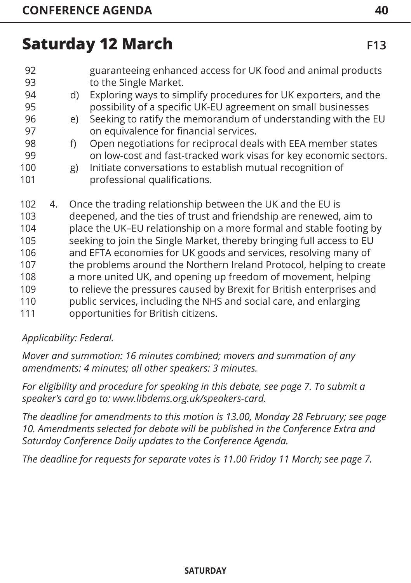- guaranteeing enhanced access for UK food and animal products to the Single Market. 92 93
- d) Exploring ways to simplify procedures for UK exporters, and the possibility of a specific UK-EU agreement on small businesses 94 95
- e) Seeking to ratify the memorandum of understanding with the EU on equivalence for financial services. 96 97
- f) Open negotiations for reciprocal deals with EEA member states on low-cost and fast-tracked work visas for key economic sectors. 98 99
- g) Initiate conversations to establish mutual recognition of professional qualifications. 100 101
- 4. Once the trading relationship between the UK and the EU is deepened, and the ties of trust and friendship are renewed, aim to place the UK–EU relationship on a more formal and stable footing by seeking to join the Single Market, thereby bringing full access to EU and EFTA economies for UK goods and services, resolving many of the problems around the Northern Ireland Protocol, helping to create a more united UK, and opening up freedom of movement, helping to relieve the pressures caused by Brexit for British enterprises and public services, including the NHS and social care, and enlarging opportunities for British citizens. 102 103 104 105 106 107 108 109 110 111

### *Applicability: Federal.*

*Mover and summation: 16 minutes combined; movers and summation of any amendments: 4 minutes; all other speakers: 3 minutes.* 

*For eligibility and procedure for speaking in this debate, [see page 7](#page-7-0). To submit a speaker's card go to: www.libdems.org.uk/speakers-card.* 

*The deadline for amendments to this motion is 13.00, Monday 28 February; [see page](#page-10-0)  [10. A](#page-10-0)mendments selected for debate will be published in the Conference Extra and Saturday Conference Daily updates to the Conference Agenda.*

*The deadline for requests for separate votes is 11.00 Friday 11 March; [see page 7](#page-7-0).*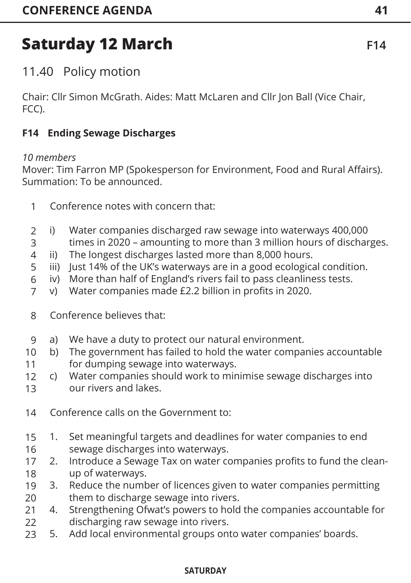11.40 Policy motion

Chair: Cllr Simon McGrath. Aides: Matt McLaren and Cllr Jon Ball (Vice Chair, FCC).

### **F14 Ending Sewage Discharges**

#### *10 members*

Mover: Tim Farron MP (Spokesperson for Environment, Food and Rural Affairs). Summation: To be announced.

- Conference notes with concern that: 1
- i) Water companies discharged raw sewage into waterways 400,000  $\mathfrak{D}$
- times in 2020 amounting to more than 3 million hours of discharges. 3
- ii) The longest discharges lasted more than 8,000 hours. 4
- iii) Just 14% of the UK's waterways are in a good ecological condition. 5
- iv) More than half of England's rivers fail to pass cleanliness tests. 6
- v) Water companies made £2.2 billion in profits in 2020. 7
- Conference believes that: 8
- a) We have a duty to protect our natural environment. 9
- b) The government has failed to hold the water companies accountable for dumping sewage into waterways. 10 11
- c) Water companies should work to minimise sewage discharges into our rivers and lakes. 12 13
- Conference calls on the Government to: 14
- 1. Set meaningful targets and deadlines for water companies to end sewage discharges into waterways. 15 16
- 2. Introduce a Sewage Tax on water companies profits to fund the cleanup of waterways. 17 18
- 3. Reduce the number of licences given to water companies permitting them to discharge sewage into rivers. 19 20
- 4. Strengthening Ofwat's powers to hold the companies accountable for discharging raw sewage into rivers. 21  $22$
- 5. Add local environmental groups onto water companies' boards. 23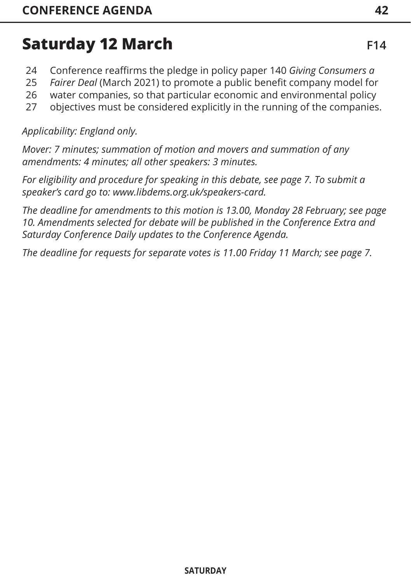- Conference reaffirms the pledge in policy paper 140 *Giving Consumers a*  24
- *Fairer Deal* (March 2021) to promote a public benefit company model for 25
- water companies, so that particular economic and environmental policy 26
- objectives must be considered explicitly in the running of the companies. 27

### *Applicability: England only.*

*Mover: 7 minutes; summation of motion and movers and summation of any amendments: 4 minutes; all other speakers: 3 minutes.* 

*For eligibility and procedure for speaking in this debate, [see page 7.](#page-7-0) To submit a speaker's card go to: www.libdems.org.uk/speakers-card.* 

*The deadline for amendments to this motion is 13.00, Monday 28 February; [see page](#page-10-0)  [10. Am](#page-10-0)endments selected for debate will be published in the Conference Extra and Saturday Conference Daily updates to the Conference Agenda.* 

*The deadline for requests for separate votes is 11.00 Friday 11 March; [see page 7.](#page-7-0)*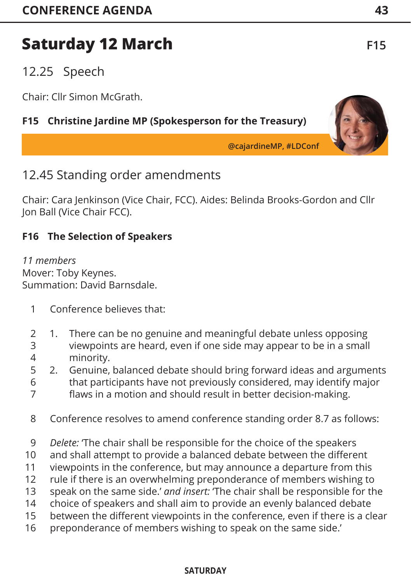## 12.25 Speech

Chair: Cllr Simon McGrath.

### **F15 Christine Jardine MP (Spokesperson for the Treasury)**

**@cajardineMP, #LDConf**

### 12.45 Standing order amendments

Chair: Cara Jenkinson (Vice Chair, FCC). Aides: Belinda Brooks-Gordon and Cllr Jon Ball (Vice Chair FCC).

### **F16 The Selection of Speakers**

*11 members*  Mover: Toby Keynes. Summation: David Barnsdale.

- Conference believes that: 1
- 1. There can be no genuine and meaningful debate unless opposing viewpoints are heard, even if one side may appear to be in a small minority. 2 3 4
- 2. Genuine, balanced debate should bring forward ideas and arguments that participants have not previously considered, may identify major 5 6
- flaws in a motion and should result in better decision-making. 7
- Conference resolves to amend conference standing order 8.7 as follows: 8
- *Delete:* 'The chair shall be responsible for the choice of the speakers 9
- and shall attempt to provide a balanced debate between the different 10
- viewpoints in the conference, but may announce a departure from this 11
- rule if there is an overwhelming preponderance of members wishing to 12
- speak on the same side.' *and insert:* 'The chair shall be responsible for the choice of speakers and shall aim to provide an evenly balanced debate 13 14
- between the different viewpoints in the conference, even if there is a clear 15
- preponderance of members wishing to speak on the same side.' 16

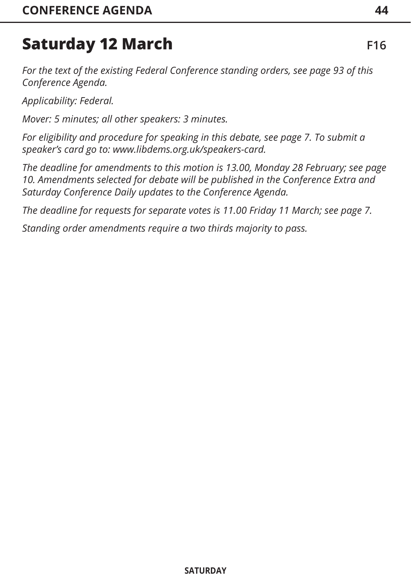*For the text of the existing Federal Conference standing orders, [see page 93 o](#page-93-0)f this Conference Agenda.*

*Applicability: Federal.*

*Mover: 5 minutes; all other speakers: 3 minutes.* 

*For eligibility and procedure for speaking in this debate, [see page 7](#page-7-0). To submit a speaker's card go to: www.libdems.org.uk/speakers-card.* 

*The deadline for amendments to this motion is 13.00, Monday 28 February; [see page](#page-10-0)  [10. A](#page-10-0)mendments selected for debate will be published in the Conference Extra and Saturday Conference Daily updates to the Conference Agenda.* 

*The deadline for requests for separate votes is 11.00 Friday 11 March; [see page 7](#page-7-0).*

*Standing order amendments require a two thirds majority to pass.*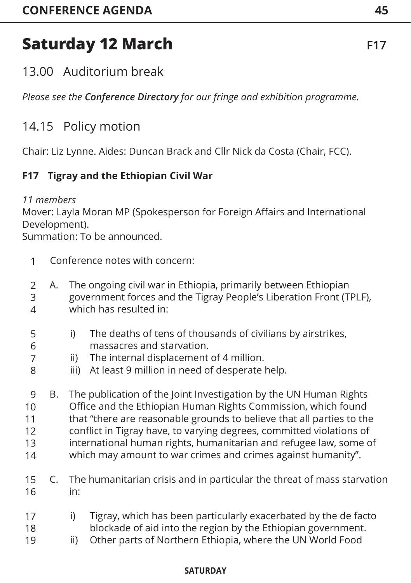## 13.00 Auditorium break

*Please see the Conference Directory for our fringe and exhibition programme.*

## 14.15 Policy motion

Chair: Liz Lynne. Aides: Duncan Brack and Cllr Nick da Costa (Chair, FCC).

### **F17 Tigray and the Ethiopian Civil War**

#### *11 members*

7 8

Mover: Layla Moran MP (Spokesperson for Foreign Affairs and International Development).

Summation: To be announced.

- Conference notes with concern: 1
- A. The ongoing civil war in Ethiopia, primarily between Ethiopian government forces and the Tigray People's Liberation Front (TPLF), which has resulted in: 2 3 4
- i) The deaths of tens of thousands of civilians by airstrikes, massacres and starvation. 5 6
	- ii) The internal displacement of 4 million.
	- iii) At least 9 million in need of desperate help.
- B. The publication of the Joint Investigation by the UN Human Rights Office and the Ethiopian Human Rights Commission, which found that "there are reasonable grounds to believe that all parties to the conflict in Tigray have, to varying degrees, committed violations of international human rights, humanitarian and refugee law, some of which may amount to war crimes and crimes against humanity". 9 10 11 12 13 14
- C. The humanitarian crisis and in particular the threat of mass starvation in: 15 16
- i) Tigray, which has been particularly exacerbated by the de facto blockade of aid into the region by the Ethiopian government. 17 18
- ii) Other parts of Northern Ethiopia, where the UN World Food 19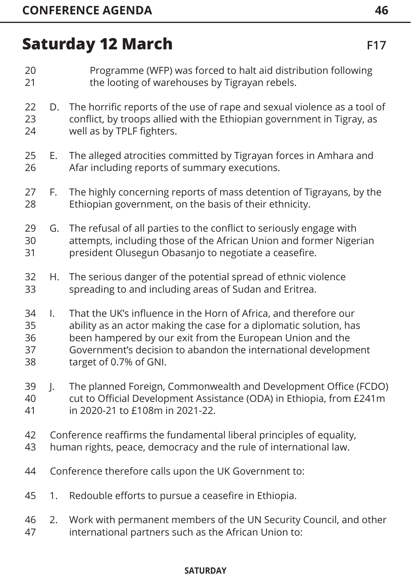- Programme (WFP) was forced to halt aid distribution following the looting of warehouses by Tigrayan rebels. 20 21
- D. The horrific reports of the use of rape and sexual violence as a tool of conflict, by troops allied with the Ethiopian government in Tigray, as well as by TPLF fighters. 22 23 24
- E. The alleged atrocities committed by Tigrayan forces in Amhara and Afar including reports of summary executions. 25 26
- F. The highly concerning reports of mass detention of Tigrayans, by the Ethiopian government, on the basis of their ethnicity. 27 28
- G. The refusal of all parties to the conflict to seriously engage with attempts, including those of the African Union and former Nigerian president Olusegun Obasanjo to negotiate a ceasefire. 29 30 31
- H. The serious danger of the potential spread of ethnic violence spreading to and including areas of Sudan and Eritrea. 32 33
- I. That the UK's influence in the Horn of Africa, and therefore our ability as an actor making the case for a diplomatic solution, has been hampered by our exit from the European Union and the Government's decision to abandon the international development target of 0.7% of GNI. 34 35 36 37 38
- J. The planned Foreign, Commonwealth and Development Office (FCDO) cut to Official Development Assistance (ODA) in Ethiopia, from £241m in 2020-21 to £108m in 2021-22. 39 40 41
- Conference reaffirms the fundamental liberal principles of equality, 42
- human rights, peace, democracy and the rule of international law. 43
- Conference therefore calls upon the UK Government to: 44
- 1. Redouble efforts to pursue a ceasefire in Ethiopia. 45
- 2. Work with permanent members of the UN Security Council, and other international partners such as the African Union to: 46 47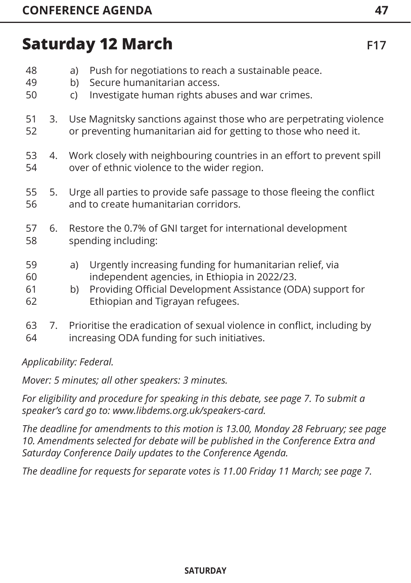| 48<br>49<br>50       |    | Push for negotiations to reach a sustainable peace.<br>a)<br>Secure humanitarian access.<br>b)<br>Investigate human rights abuses and war crimes.<br>C)                                                                  |  |  |
|----------------------|----|--------------------------------------------------------------------------------------------------------------------------------------------------------------------------------------------------------------------------|--|--|
| 51<br>52             | 3. | Use Magnitsky sanctions against those who are perpetrating violence<br>or preventing humanitarian aid for getting to those who need it.                                                                                  |  |  |
| 53<br>54             | 4. | Work closely with neighbouring countries in an effort to prevent spill<br>over of ethnic violence to the wider region.                                                                                                   |  |  |
| 55<br>56             | 5. | Urge all parties to provide safe passage to those fleeing the conflict<br>and to create humanitarian corridors.                                                                                                          |  |  |
| 57<br>58             | 6. | Restore the 0.7% of GNI target for international development<br>spending including:                                                                                                                                      |  |  |
| 59<br>60<br>61<br>62 |    | Urgently increasing funding for humanitarian relief, via<br>a)<br>independent agencies, in Ethiopia in 2022/23.<br>Providing Official Development Assistance (ODA) support for<br>b)<br>Ethiopian and Tigrayan refugees. |  |  |
| 63<br>64             | 7. | Prioritise the eradication of sexual violence in conflict, including by<br>increasing ODA funding for such initiatives.                                                                                                  |  |  |

*Applicability: Federal.*

*Mover: 5 minutes; all other speakers: 3 minutes.* 

*For eligibility and procedure for speaking in this debate, [see page 7.](#page-7-0) To submit a speaker's card go to: www.libdems.org.uk/speakers-card.* 

*The deadline for amendments to this motion is 13.00, Monday 28 February; [see page](#page-10-0)  [10. Am](#page-10-0)endments selected for debate will be published in the Conference Extra and Saturday Conference Daily updates to the Conference Agenda.*

*The deadline for requests for separate votes is 11.00 Friday 11 March; [see page 7.](#page-7-0)*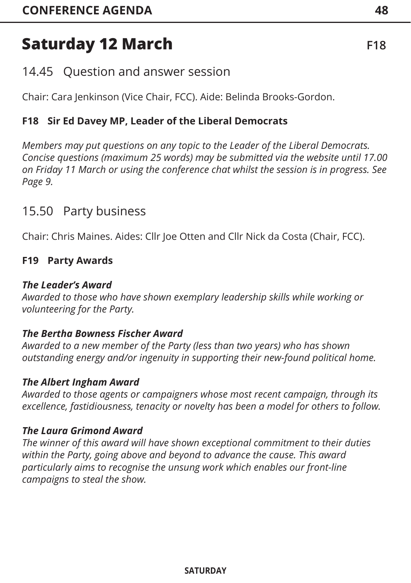## 14.45 Question and answer session

Chair: Cara Jenkinson (Vice Chair, FCC). Aide: Belinda Brooks-Gordon.

### **F18 Sir Ed Davey MP, Leader of the Liberal Democrats**

*Members may put questions on any topic to the Leader of the Liberal Democrats. Concise questions (maximum 25 words) may be submitted via the website until 17.00 on Friday 11 March or using the conference chat whilst the session is in progress. See [Page 9.](#page-9-0)*

### 15.50 Party business

Chair: Chris Maines. Aides: Cllr Joe Otten and Cllr Nick da Costa (Chair, FCC).

### **F19 Party Awards**

#### *The Leader's Award*

*Awarded to those who have shown exemplary leadership skills while working or volunteering for the Party.* 

#### *The Bertha Bowness Fischer Award*

*Awarded to a new member of the Party (less than two years) who has shown outstanding energy and/or ingenuity in supporting their new-found political home.* 

#### *The Albert Ingham Award*

*Awarded to those agents or campaigners whose most recent campaign, through its excellence, fastidiousness, tenacity or novelty has been a model for others to follow.*

#### *The Laura Grimond Award*

*The winner of this award will have shown exceptional commitment to their duties within the Party, going above and beyond to advance the cause. This award particularly aims to recognise the unsung work which enables our front-line campaigns to steal the show.*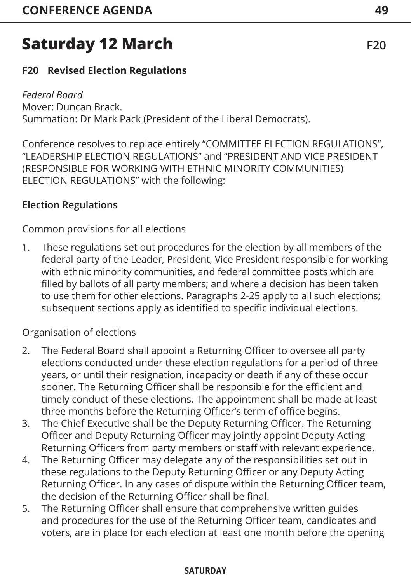### **F20 Revised Election Regulations**

### *Federal Board*

Mover: Duncan Brack. Summation: Dr Mark Pack (President of the Liberal Democrats).

Conference resolves to replace entirely "COMMITTEE ELECTION REGULATIONS", "LEADERSHIP ELECTION REGULATIONS" and "PRESIDENT AND VICE PRESIDENT (RESPONSIBLE FOR WORKING WITH ETHNIC MINORITY COMMUNITIES) ELECTION REGULATIONS" with the following:

### **Election Regulations**

Common provisions for all elections

1. These regulations set out procedures for the election by all members of the federal party of the Leader, President, Vice President responsible for working with ethnic minority communities, and federal committee posts which are filled by ballots of all party members; and where a decision has been taken to use them for other elections. Paragraphs 2-25 apply to all such elections; subsequent sections apply as identified to specific individual elections.

### Organisation of elections

- 2. The Federal Board shall appoint a Returning Officer to oversee all party elections conducted under these election regulations for a period of three years, or until their resignation, incapacity or death if any of these occur sooner. The Returning Officer shall be responsible for the efficient and timely conduct of these elections. The appointment shall be made at least three months before the Returning Officer's term of office begins.
- 3. The Chief Executive shall be the Deputy Returning Officer. The Returning Officer and Deputy Returning Officer may jointly appoint Deputy Acting Returning Officers from party members or staff with relevant experience.
- 4. The Returning Officer may delegate any of the responsibilities set out in these regulations to the Deputy Returning Officer or any Deputy Acting Returning Officer. In any cases of dispute within the Returning Officer team, the decision of the Returning Officer shall be final.
- 5. The Returning Officer shall ensure that comprehensive written guides and procedures for the use of the Returning Officer team, candidates and voters, are in place for each election at least one month before the opening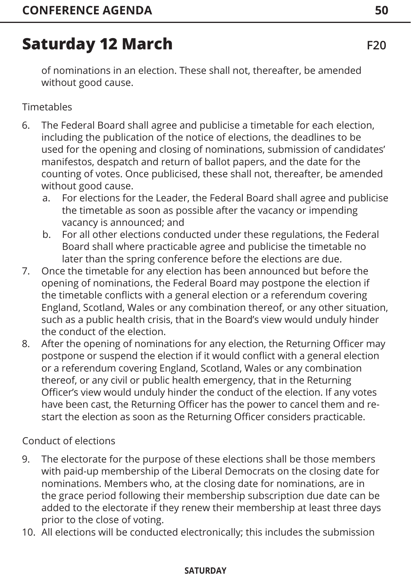of nominations in an election. These shall not, thereafter, be amended without good cause.

### Timetables

- 6. The Federal Board shall agree and publicise a timetable for each election, including the publication of the notice of elections, the deadlines to be used for the opening and closing of nominations, submission of candidates' manifestos, despatch and return of ballot papers, and the date for the counting of votes. Once publicised, these shall not, thereafter, be amended without good cause.
	- a. For elections for the Leader, the Federal Board shall agree and publicise the timetable as soon as possible after the vacancy or impending vacancy is announced; and
	- b. For all other elections conducted under these regulations, the Federal Board shall where practicable agree and publicise the timetable no later than the spring conference before the elections are due.
- 7. Once the timetable for any election has been announced but before the opening of nominations, the Federal Board may postpone the election if the timetable conflicts with a general election or a referendum covering England, Scotland, Wales or any combination thereof, or any other situation, such as a public health crisis, that in the Board's view would unduly hinder the conduct of the election.
- 8. After the opening of nominations for any election, the Returning Officer may postpone or suspend the election if it would conflict with a general election or a referendum covering England, Scotland, Wales or any combination thereof, or any civil or public health emergency, that in the Returning Officer's view would unduly hinder the conduct of the election. If any votes have been cast, the Returning Officer has the power to cancel them and restart the election as soon as the Returning Officer considers practicable.

Conduct of elections

- 9. The electorate for the purpose of these elections shall be those members with paid-up membership of the Liberal Democrats on the closing date for nominations. Members who, at the closing date for nominations, are in the grace period following their membership subscription due date can be added to the electorate if they renew their membership at least three days prior to the close of voting.
- 10. All elections will be conducted electronically; this includes the submission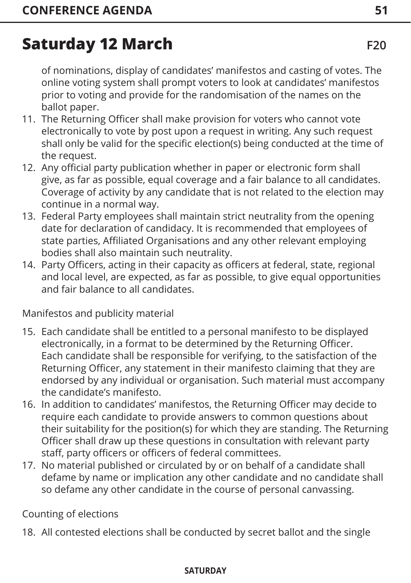of nominations, display of candidates' manifestos and casting of votes. The online voting system shall prompt voters to look at candidates' manifestos prior to voting and provide for the randomisation of the names on the ballot paper.

- 11. The Returning Officer shall make provision for voters who cannot vote electronically to vote by post upon a request in writing. Any such request shall only be valid for the specific election(s) being conducted at the time of the request.
- 12. Any official party publication whether in paper or electronic form shall give, as far as possible, equal coverage and a fair balance to all candidates. Coverage of activity by any candidate that is not related to the election may continue in a normal way.
- 13. Federal Party employees shall maintain strict neutrality from the opening date for declaration of candidacy. It is recommended that employees of state parties, Affiliated Organisations and any other relevant employing bodies shall also maintain such neutrality.
- 14. Party Officers, acting in their capacity as officers at federal, state, regional and local level, are expected, as far as possible, to give equal opportunities and fair balance to all candidates.

Manifestos and publicity material

- 15. Each candidate shall be entitled to a personal manifesto to be displayed electronically, in a format to be determined by the Returning Officer. Each candidate shall be responsible for verifying, to the satisfaction of the Returning Officer, any statement in their manifesto claiming that they are endorsed by any individual or organisation. Such material must accompany the candidate's manifesto.
- 16. In addition to candidates' manifestos, the Returning Officer may decide to require each candidate to provide answers to common questions about their suitability for the position(s) for which they are standing. The Returning Officer shall draw up these questions in consultation with relevant party staff, party officers or officers of federal committees.
- 17. No material published or circulated by or on behalf of a candidate shall defame by name or implication any other candidate and no candidate shall so defame any other candidate in the course of personal canvassing.

Counting of elections

18. All contested elections shall be conducted by secret ballot and the single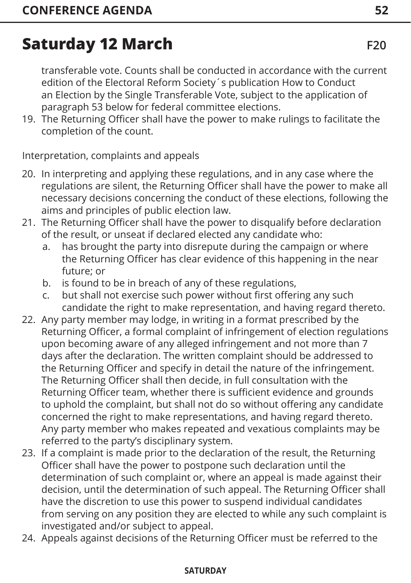transferable vote. Counts shall be conducted in accordance with the current edition of the Electoral Reform Society´s publication How to Conduct an Election by the Single Transferable Vote, subject to the application of paragraph 53 below for federal committee elections.

19. The Returning Officer shall have the power to make rulings to facilitate the completion of the count.

Interpretation, complaints and appeals

- 20. In interpreting and applying these regulations, and in any case where the regulations are silent, the Returning Officer shall have the power to make all necessary decisions concerning the conduct of these elections, following the aims and principles of public election law.
- 21. The Returning Officer shall have the power to disqualify before declaration of the result, or unseat if declared elected any candidate who:
	- a. has brought the party into disrepute during the campaign or where the Returning Officer has clear evidence of this happening in the near future; or
	- b. is found to be in breach of any of these regulations,
	- c. but shall not exercise such power without first offering any such candidate the right to make representation, and having regard thereto.
- 22. Any party member may lodge, in writing in a format prescribed by the Returning Officer, a formal complaint of infringement of election regulations upon becoming aware of any alleged infringement and not more than 7 days after the declaration. The written complaint should be addressed to the Returning Officer and specify in detail the nature of the infringement. The Returning Officer shall then decide, in full consultation with the Returning Officer team, whether there is sufficient evidence and grounds to uphold the complaint, but shall not do so without offering any candidate concerned the right to make representations, and having regard thereto. Any party member who makes repeated and vexatious complaints may be referred to the party's disciplinary system.
- 23. If a complaint is made prior to the declaration of the result, the Returning Officer shall have the power to postpone such declaration until the determination of such complaint or, where an appeal is made against their decision, until the determination of such appeal. The Returning Officer shall have the discretion to use this power to suspend individual candidates from serving on any position they are elected to while any such complaint is investigated and/or subject to appeal.
- 24. Appeals against decisions of the Returning Officer must be referred to the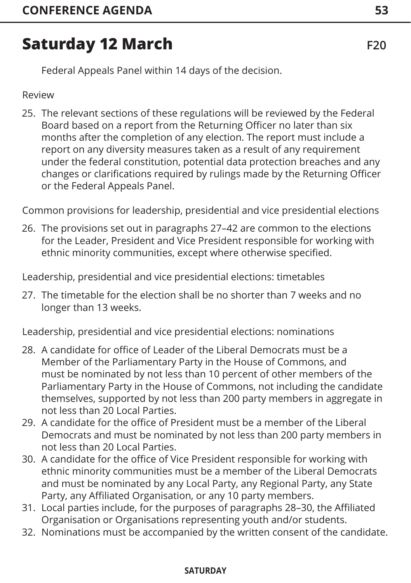Federal Appeals Panel within 14 days of the decision.

Review

25. The relevant sections of these regulations will be reviewed by the Federal Board based on a report from the Returning Officer no later than six months after the completion of any election. The report must include a report on any diversity measures taken as a result of any requirement under the federal constitution, potential data protection breaches and any changes or clarifications required by rulings made by the Returning Officer or the Federal Appeals Panel.

Common provisions for leadership, presidential and vice presidential elections

26. The provisions set out in paragraphs 27–42 are common to the elections for the Leader, President and Vice President responsible for working with ethnic minority communities, except where otherwise specified.

Leadership, presidential and vice presidential elections: timetables

27. The timetable for the election shall be no shorter than 7 weeks and no longer than 13 weeks.

Leadership, presidential and vice presidential elections: nominations

- 28. A candidate for office of Leader of the Liberal Democrats must be a Member of the Parliamentary Party in the House of Commons, and must be nominated by not less than 10 percent of other members of the Parliamentary Party in the House of Commons, not including the candidate themselves, supported by not less than 200 party members in aggregate in not less than 20 Local Parties.
- 29. A candidate for the office of President must be a member of the Liberal Democrats and must be nominated by not less than 200 party members in not less than 20 Local Parties.
- 30. A candidate for the office of Vice President responsible for working with ethnic minority communities must be a member of the Liberal Democrats and must be nominated by any Local Party, any Regional Party, any State Party, any Affiliated Organisation, or any 10 party members.
- 31. Local parties include, for the purposes of paragraphs 28–30, the Affiliated Organisation or Organisations representing youth and/or students.
- 32. Nominations must be accompanied by the written consent of the candidate.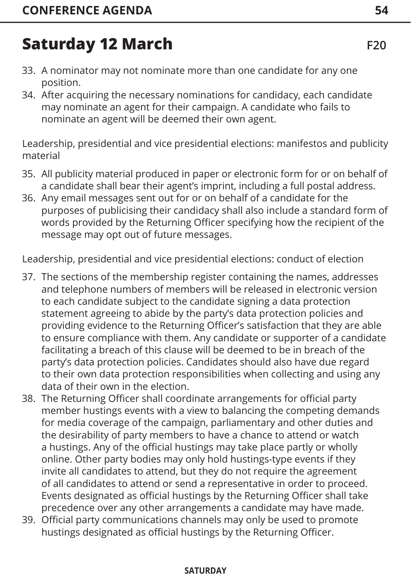- 33. A nominator may not nominate more than one candidate for any one position.
- 34. After acquiring the necessary nominations for candidacy, each candidate may nominate an agent for their campaign. A candidate who fails to nominate an agent will be deemed their own agent.

Leadership, presidential and vice presidential elections: manifestos and publicity material

- 35. All publicity material produced in paper or electronic form for or on behalf of a candidate shall bear their agent's imprint, including a full postal address.
- 36. Any email messages sent out for or on behalf of a candidate for the purposes of publicising their candidacy shall also include a standard form of words provided by the Returning Officer specifying how the recipient of the message may opt out of future messages.

Leadership, presidential and vice presidential elections: conduct of election

- 37. The sections of the membership register containing the names, addresses and telephone numbers of members will be released in electronic version to each candidate subject to the candidate signing a data protection statement agreeing to abide by the party's data protection policies and providing evidence to the Returning Officer's satisfaction that they are able to ensure compliance with them. Any candidate or supporter of a candidate facilitating a breach of this clause will be deemed to be in breach of the party's data protection policies. Candidates should also have due regard to their own data protection responsibilities when collecting and using any data of their own in the election.
- 38. The Returning Officer shall coordinate arrangements for official party member hustings events with a view to balancing the competing demands for media coverage of the campaign, parliamentary and other duties and the desirability of party members to have a chance to attend or watch a hustings. Any of the official hustings may take place partly or wholly online. Other party bodies may only hold hustings-type events if they invite all candidates to attend, but they do not require the agreement of all candidates to attend or send a representative in order to proceed. Events designated as official hustings by the Returning Officer shall take precedence over any other arrangements a candidate may have made.
- 39. Official party communications channels may only be used to promote hustings designated as official hustings by the Returning Officer.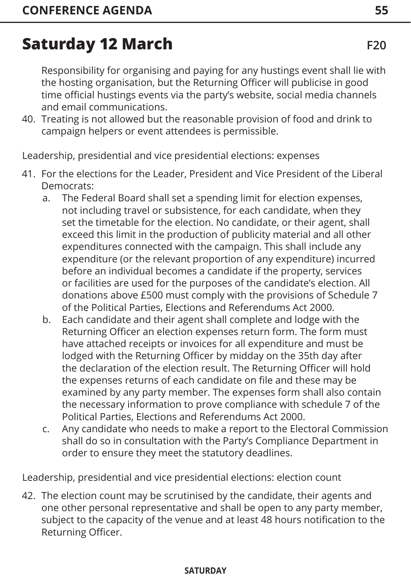Responsibility for organising and paying for any hustings event shall lie with the hosting organisation, but the Returning Officer will publicise in good time official hustings events via the party's website, social media channels and email communications.

40. Treating is not allowed but the reasonable provision of food and drink to campaign helpers or event attendees is permissible.

Leadership, presidential and vice presidential elections: expenses

- 41. For the elections for the Leader, President and Vice President of the Liberal Democrats:
	- a. The Federal Board shall set a spending limit for election expenses, not including travel or subsistence, for each candidate, when they set the timetable for the election. No candidate, or their agent, shall exceed this limit in the production of publicity material and all other expenditures connected with the campaign. This shall include any expenditure (or the relevant proportion of any expenditure) incurred before an individual becomes a candidate if the property, services or facilities are used for the purposes of the candidate's election. All donations above £500 must comply with the provisions of Schedule 7 of the Political Parties, Elections and Referendums Act 2000.
	- b. Each candidate and their agent shall complete and lodge with the Returning Officer an election expenses return form. The form must have attached receipts or invoices for all expenditure and must be lodged with the Returning Officer by midday on the 35th day after the declaration of the election result. The Returning Officer will hold the expenses returns of each candidate on file and these may be examined by any party member. The expenses form shall also contain the necessary information to prove compliance with schedule 7 of the Political Parties, Elections and Referendums Act 2000.
	- c. Any candidate who needs to make a report to the Electoral Commission shall do so in consultation with the Party's Compliance Department in order to ensure they meet the statutory deadlines.

Leadership, presidential and vice presidential elections: election count

42. The election count may be scrutinised by the candidate, their agents and one other personal representative and shall be open to any party member, subject to the capacity of the venue and at least 48 hours notification to the Returning Officer.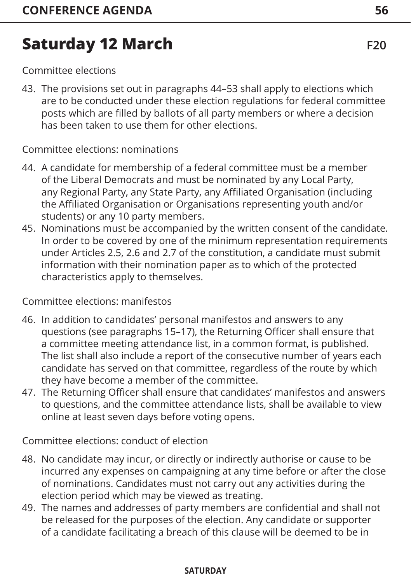Committee elections

43. The provisions set out in paragraphs 44–53 shall apply to elections which are to be conducted under these election regulations for federal committee posts which are filled by ballots of all party members or where a decision has been taken to use them for other elections.

#### Committee elections: nominations

- 44. A candidate for membership of a federal committee must be a member of the Liberal Democrats and must be nominated by any Local Party, any Regional Party, any State Party, any Affiliated Organisation (including the Affiliated Organisation or Organisations representing youth and/or students) or any 10 party members.
- 45. Nominations must be accompanied by the written consent of the candidate. In order to be covered by one of the minimum representation requirements under Articles 2.5, 2.6 and 2.7 of the constitution, a candidate must submit information with their nomination paper as to which of the protected characteristics apply to themselves.

Committee elections: manifestos

- 46. In addition to candidates' personal manifestos and answers to any questions (see paragraphs 15–17), the Returning Officer shall ensure that a committee meeting attendance list, in a common format, is published. The list shall also include a report of the consecutive number of years each candidate has served on that committee, regardless of the route by which they have become a member of the committee.
- 47. The Returning Officer shall ensure that candidates' manifestos and answers to questions, and the committee attendance lists, shall be available to view online at least seven days before voting opens.

Committee elections: conduct of election

- 48. No candidate may incur, or directly or indirectly authorise or cause to be incurred any expenses on campaigning at any time before or after the close of nominations. Candidates must not carry out any activities during the election period which may be viewed as treating.
- 49. The names and addresses of party members are confidential and shall not be released for the purposes of the election. Any candidate or supporter of a candidate facilitating a breach of this clause will be deemed to be in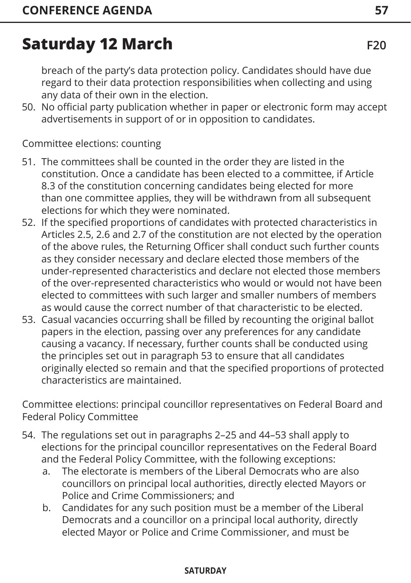breach of the party's data protection policy. Candidates should have due regard to their data protection responsibilities when collecting and using any data of their own in the election.

50. No official party publication whether in paper or electronic form may accept advertisements in support of or in opposition to candidates.

Committee elections: counting

- 51. The committees shall be counted in the order they are listed in the constitution. Once a candidate has been elected to a committee, if Article 8.3 of the constitution concerning candidates being elected for more than one committee applies, they will be withdrawn from all subsequent elections for which they were nominated.
- 52. If the specified proportions of candidates with protected characteristics in Articles 2.5, 2.6 and 2.7 of the constitution are not elected by the operation of the above rules, the Returning Officer shall conduct such further counts as they consider necessary and declare elected those members of the under-represented characteristics and declare not elected those members of the over-represented characteristics who would or would not have been elected to committees with such larger and smaller numbers of members as would cause the correct number of that characteristic to be elected.
- 53. Casual vacancies occurring shall be filled by recounting the original ballot papers in the election, passing over any preferences for any candidate causing a vacancy. If necessary, further counts shall be conducted using the principles set out in paragraph 53 to ensure that all candidates originally elected so remain and that the specified proportions of protected characteristics are maintained.

Committee elections: principal councillor representatives on Federal Board and Federal Policy Committee

- 54. The regulations set out in paragraphs 2–25 and 44–53 shall apply to elections for the principal councillor representatives on the Federal Board and the Federal Policy Committee, with the following exceptions:
	- a. The electorate is members of the Liberal Democrats who are also councillors on principal local authorities, directly elected Mayors or Police and Crime Commissioners; and
	- b. Candidates for any such position must be a member of the Liberal Democrats and a councillor on a principal local authority, directly elected Mayor or Police and Crime Commissioner, and must be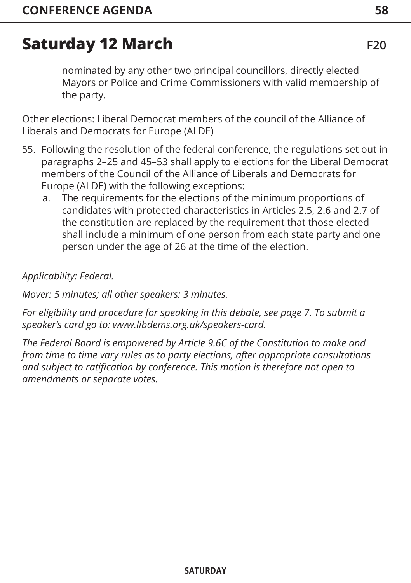nominated by any other two principal councillors, directly elected Mayors or Police and Crime Commissioners with valid membership of the party.

Other elections: Liberal Democrat members of the council of the Alliance of Liberals and Democrats for Europe (ALDE)

- 55. Following the resolution of the federal conference, the regulations set out in paragraphs 2–25 and 45–53 shall apply to elections for the Liberal Democrat members of the Council of the Alliance of Liberals and Democrats for Europe (ALDE) with the following exceptions:
	- a. The requirements for the elections of the minimum proportions of candidates with protected characteristics in Articles 2.5, 2.6 and 2.7 of the constitution are replaced by the requirement that those elected shall include a minimum of one person from each state party and one person under the age of 26 at the time of the election.

#### *Applicability: Federal.*

*Mover: 5 minutes; all other speakers: 3 minutes.* 

*For eligibility and procedure for speaking in this debate, [see page 7](#page-7-0). To submit a speaker's card go to: www.libdems.org.uk/speakers-card.* 

*The Federal Board is empowered by Article 9.6C of the Constitution to make and from time to time vary rules as to party elections, after appropriate consultations and subject to ratification by conference. This motion is therefore not open to amendments or separate votes.*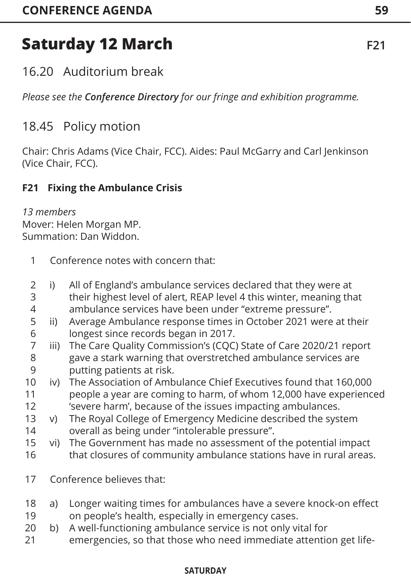## 16.20 Auditorium break

*Please see the Conference Directory for our fringe and exhibition programme.*

## 18.45 Policy motion

Chair: Chris Adams (Vice Chair, FCC). Aides: Paul McGarry and Carl Jenkinson (Vice Chair, FCC).

### **F21 Fixing the Ambulance Crisis**

#### *13 members* Mover: Helen Morgan MP. Summation: Dan Widdon.

- Conference notes with concern that: 1
- i) All of England's ambulance services declared that they were at their highest level of alert, REAP level 4 this winter, meaning that ambulance services have been under "extreme pressure". 2 3 4
- ii) Average Ambulance response times in October 2021 were at their longest since records began in 2017. 5 6
- iii) The Care Quality Commission's (CQC) State of Care 2020/21 report gave a stark warning that overstretched ambulance services are putting patients at risk. 7 8 9
- iv) The Association of Ambulance Chief Executives found that 160,000 people a year are coming to harm, of whom 12,000 have experienced 'severe harm', because of the issues impacting ambulances. 10 11 12
- v) The Royal College of Emergency Medicine described the system overall as being under "intolerable pressure". 13 14
- vi) The Government has made no assessment of the potential impact that closures of community ambulance stations have in rural areas. 15 16
- Conference believes that: 17
- a) Longer waiting times for ambulances have a severe knock-on effect on people's health, especially in emergency cases. 18 19
- b) A well-functioning ambulance service is not only vital for 20
- emergencies, so that those who need immediate attention get life-21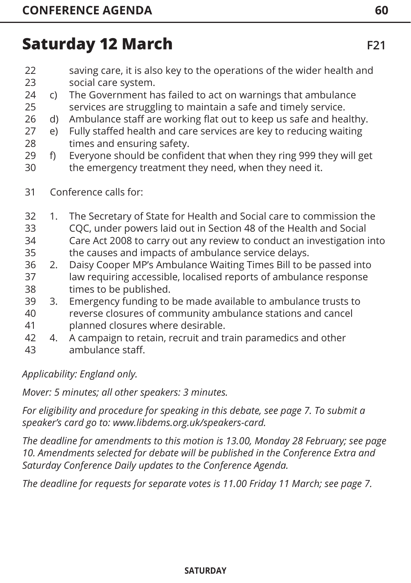- saving care, it is also key to the operations of the wider health and social care system. 22 23
- c) The Government has failed to act on warnings that ambulance services are struggling to maintain a safe and timely service. 24 25
- d) Ambulance staff are working flat out to keep us safe and healthy. 26
- e) Fully staffed health and care services are key to reducing waiting times and ensuring safety. 27 28
- f) Everyone should be confident that when they ring 999 they will get the emergency treatment they need, when they need it. 29 30
- Conference calls for: 31
- 1. The Secretary of State for Health and Social care to commission the CQC, under powers laid out in Section 48 of the Health and Social Care Act 2008 to carry out any review to conduct an investigation into the causes and impacts of ambulance service delays. 32 33 34 35
- 2. Daisy Cooper MP's Ambulance Waiting Times Bill to be passed into law requiring accessible, localised reports of ambulance response times to be published. 36 37 38
- 3. Emergency funding to be made available to ambulance trusts to 39
- reverse closures of community ambulance stations and cancel planned closures where desirable. 40 41
- 4. A campaign to retain, recruit and train paramedics and other ambulance staff. 42 43

*Applicability: England only.*

*Mover: 5 minutes; all other speakers: 3 minutes.* 

*For eligibility and procedure for speaking in this debate, [see page 7.](#page-7-0) To submit a speaker's card go to: www.libdems.org.uk/speakers-card.* 

*The deadline for amendments to this motion is 13.00, Monday 28 February; [see page](#page-10-0)  [10. Am](#page-10-0)endments selected for debate will be published in the Conference Extra and Saturday Conference Daily updates to the Conference Agenda.* 

*The deadline for requests for separate votes is 11.00 Friday 11 March; [see page 7.](#page-7-0)*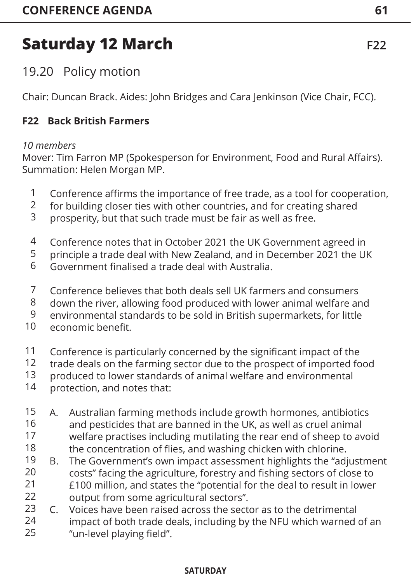## 19.20 Policy motion

Chair: Duncan Brack. Aides: John Bridges and Cara Jenkinson (Vice Chair, FCC).

### **F22 Back British Farmers**

### *10 members*

Mover: Tim Farron MP (Spokesperson for Environment, Food and Rural Affairs). Summation: Helen Morgan MP.

- Conference affirms the importance of free trade, as a tool for cooperation, 1
- for building closer ties with other countries, and for creating shared 2
- prosperity, but that such trade must be fair as well as free. 3
- Conference notes that in October 2021 the UK Government agreed in 4
- principle a trade deal with New Zealand, and in December 2021 the UK 5
- Government finalised a trade deal with Australia. 6
- Conference believes that both deals sell UK farmers and consumers 7
- down the river, allowing food produced with lower animal welfare and 8
- environmental standards to be sold in British supermarkets, for little 9
- economic benefit. 10
- Conference is particularly concerned by the significant impact of the 11
- trade deals on the farming sector due to the prospect of imported food 12
- produced to lower standards of animal welfare and environmental 13
- protection, and notes that: 14
- A. Australian farming methods include growth hormones, antibiotics and pesticides that are banned in the UK, as well as cruel animal welfare practises including mutilating the rear end of sheep to avoid the concentration of flies, and washing chicken with chlorine. 15 16 17 18
- B. The Government's own impact assessment highlights the "adjustment costs" facing the agriculture, forestry and fishing sectors of close to £100 million, and states the "potential for the deal to result in lower output from some agricultural sectors". 19 20 21 22
- C. Voices have been raised across the sector as to the detrimental impact of both trade deals, including by the NFU which warned of an "un-level playing field". 23 24 25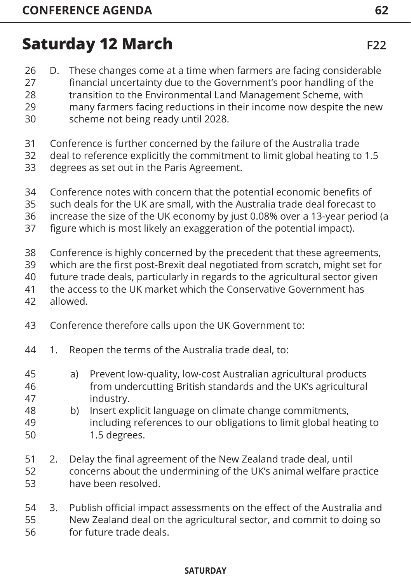- D. These changes come at a time when farmers are facing considerable 26
- financial uncertainty due to the Government's poor handling of the transition to the Environmental Land Management Scheme, with 27 28
- many farmers facing reductions in their income now despite the new scheme not being ready until 2028. 29 30
- Conference is further concerned by the failure of the Australia trade 31
- deal to reference explicitly the commitment to limit global heating to 1.5 32
- degrees as set out in the Paris Agreement. 33
- Conference notes with concern that the potential economic benefits of 34
- such deals for the UK are small, with the Australia trade deal forecast to 35
- increase the size of the UK economy by just 0.08% over a 13-year period (a 36
- figure which is most likely an exaggeration of the potential impact). 37
- Conference is highly concerned by the precedent that these agreements, 38
- which are the first post-Brexit deal negotiated from scratch, might set for 39
- future trade deals, particularly in regards to the agricultural sector given 40
- the access to the UK market which the Conservative Government has 41
- allowed. 42
- Conference therefore calls upon the UK Government to: 43
- 1. Reopen the terms of the Australia trade deal, to: 44
- a) Prevent low-quality, low-cost Australian agricultural products from undercutting British standards and the UK's agricultural industry. 45 46 47
- b) Insert explicit language on climate change commitments, including references to our obligations to limit global heating to 1.5 degrees. 48 49 50
- 2. Delay the final agreement of the New Zealand trade deal, until concerns about the undermining of the UK's animal welfare practice have been resolved. 51 52 53
- 3. Publish official impact assessments on the effect of the Australia and New Zealand deal on the agricultural sector, and commit to doing so for future trade deals. 54 55 56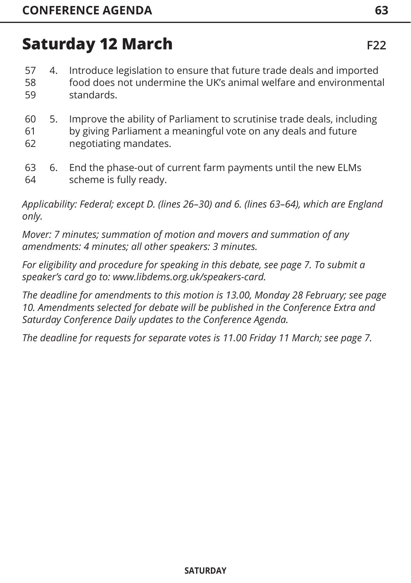- 4. Introduce legislation to ensure that future trade deals and imported food does not undermine the UK's animal welfare and environmental standards. 57 58 59
- 5. Improve the ability of Parliament to scrutinise trade deals, including by giving Parliament a meaningful vote on any deals and future negotiating mandates. 60 61 62
- 6. End the phase-out of current farm payments until the new ELMs scheme is fully ready. 63 64

*Applicability: Federal; except D. (lines 26–30) and 6. (lines 63–64), which are England only.*

*Mover: 7 minutes; summation of motion and movers and summation of any amendments: 4 minutes; all other speakers: 3 minutes.* 

*For eligibility and procedure for speaking in this debate, [see page 7.](#page-7-0) To submit a speaker's card go to: www.libdems.org.uk/speakers-card.* 

*The deadline for amendments to this motion is 13.00, Monday 28 February; [see page](#page-10-0)  [10. Am](#page-10-0)endments selected for debate will be published in the Conference Extra and Saturday Conference Daily updates to the Conference Agenda.* 

*The deadline for requests for separate votes is 11.00 Friday 11 March; [see page 7.](#page-7-0)*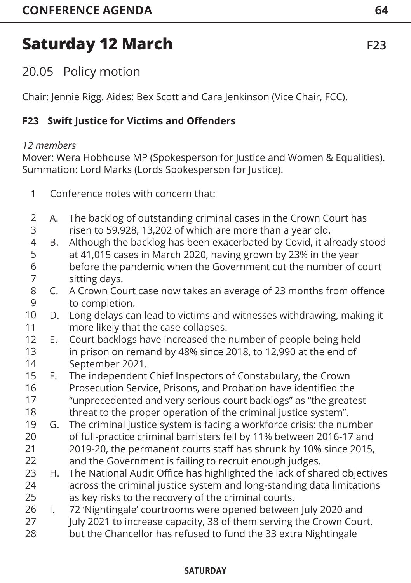## 20.05 Policy motion

Chair: Jennie Rigg. Aides: Bex Scott and Cara Jenkinson (Vice Chair, FCC).

### **F23 Swift Justice for Victims and Offenders**

### *12 members*

Mover: Wera Hobhouse MP (Spokesperson for Justice and Women & Equalities). Summation: Lord Marks (Lords Spokesperson for Justice).

- Conference notes with concern that: 1
- A. The backlog of outstanding criminal cases in the Crown Court has risen to 59,928, 13,202 of which are more than a year old. 2 3
- B. Although the backlog has been exacerbated by Covid, it already stood at 41,015 cases in March 2020, having grown by 23% in the year before the pandemic when the Government cut the number of court sitting days. 4 5 6 7
- C. A Crown Court case now takes an average of 23 months from offence to completion. 8  $\mathsf{q}$
- D. Long delays can lead to victims and witnesses withdrawing, making it more likely that the case collapses. 10 11
- E. Court backlogs have increased the number of people being held in prison on remand by 48% since 2018, to 12,990 at the end of September 2021. 12 13 14
- F. The independent Chief Inspectors of Constabulary, the Crown Prosecution Service, Prisons, and Probation have identified the "unprecedented and very serious court backlogs" as "the greatest threat to the proper operation of the criminal justice system". 15 16 17 18
- G. The criminal justice system is facing a workforce crisis: the number of full-practice criminal barristers fell by 11% between 2016-17 and 2019-20, the permanent courts staff has shrunk by 10% since 2015, and the Government is failing to recruit enough judges. 19 20 21 22
- H. The National Audit Office has highlighted the lack of shared objectives across the criminal justice system and long-standing data limitations as key risks to the recovery of the criminal courts. 23 24 25
- I. 72 'Nightingale' courtrooms were opened between July 2020 and July 2021 to increase capacity, 38 of them serving the Crown Court, 26 27
- but the Chancellor has refused to fund the 33 extra Nightingale 28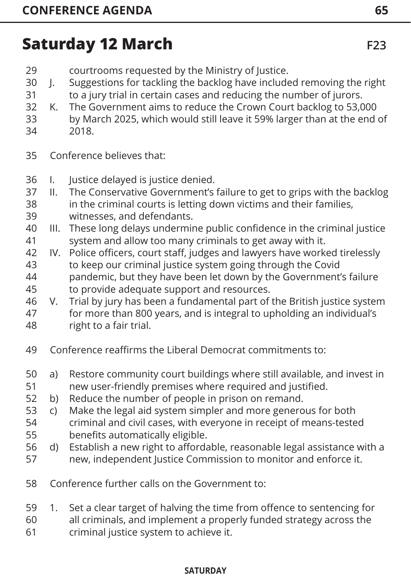- courtrooms requested by the Ministry of Justice. 29
- J. Suggestions for tackling the backlog have included removing the right to a jury trial in certain cases and reducing the number of jurors. 30 31
- K. The Government aims to reduce the Crown Court backlog to 53,000 32
- by March 2025, which would still leave it 59% larger than at the end of 2018. 33 34
- 
- Conference believes that: 35
- I. Justice delayed is justice denied. 36
- II. The Conservative Government's failure to get to grips with the backlog in the criminal courts is letting down victims and their families, witnesses, and defendants. 37 38 39
- III. These long delays undermine public confidence in the criminal justice system and allow too many criminals to get away with it. 40 41
- IV. Police officers, court staff, judges and lawyers have worked tirelessly to keep our criminal justice system going through the Covid pandemic, but they have been let down by the Government's failure 42 43 44
- to provide adequate support and resources. 45
- V. Trial by jury has been a fundamental part of the British justice system for more than 800 years, and is integral to upholding an individual's right to a fair trial. 46 47 48
- Conference reaffirms the Liberal Democrat commitments to: 49
- a) Restore community court buildings where still available, and invest in new user-friendly premises where required and justified. 50 51
- b) Reduce the number of people in prison on remand. 52
- c) Make the legal aid system simpler and more generous for both 53
- criminal and civil cases, with everyone in receipt of means-tested benefits automatically eligible. 54 55
- d) Establish a new right to affordable, reasonable legal assistance with a new, independent Justice Commission to monitor and enforce it. 56 57
- Conference further calls on the Government to: 58
- 1. Set a clear target of halving the time from offence to sentencing for 59
- all criminals, and implement a properly funded strategy across the 60
- criminal justice system to achieve it. 61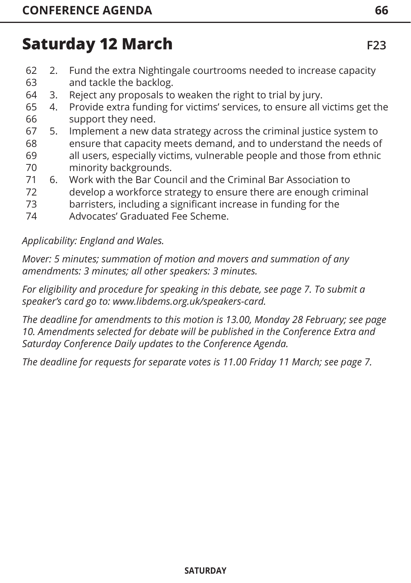- 2. Fund the extra Nightingale courtrooms needed to increase capacity and tackle the backlog. 62 63
- 3. Reject any proposals to weaken the right to trial by jury. 64
- 4. Provide extra funding for victims' services, to ensure all victims get the support they need. 65 66
- 5. Implement a new data strategy across the criminal justice system to ensure that capacity meets demand, and to understand the needs of all users, especially victims, vulnerable people and those from ethnic minority backgrounds. 67 68 69 70
- 6. Work with the Bar Council and the Criminal Bar Association to develop a workforce strategy to ensure there are enough criminal 71 72
- barristers, including a significant increase in funding for the 73
- Advocates' Graduated Fee Scheme. 74

#### *Applicability: England and Wales.*

*Mover: 5 minutes; summation of motion and movers and summation of any amendments: 3 minutes; all other speakers: 3 minutes.* 

*For eligibility and procedure for speaking in this debate, [see page 7](#page-7-0). To submit a speaker's card go to: www.libdems.org.uk/speakers-card.* 

*The deadline for amendments to this motion is 13.00, Monday 28 February; [see page](#page-10-0)  [10. A](#page-10-0)mendments selected for debate will be published in the Conference Extra and Saturday Conference Daily updates to the Conference Agenda.*

*The deadline for requests for separate votes is 11.00 Friday 11 March; [see page 7](#page-7-0).*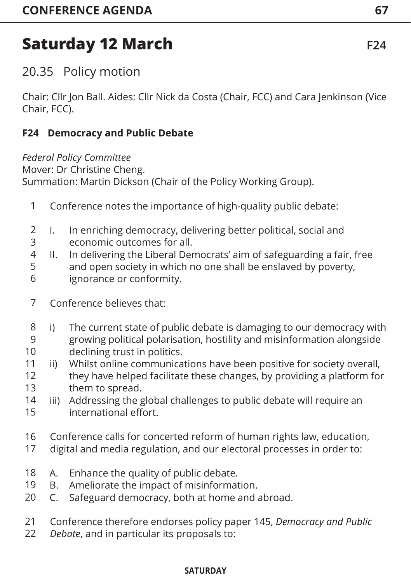20.35 Policy motion

Chair: Cllr Jon Ball. Aides: Cllr Nick da Costa (Chair, FCC) and Cara Jenkinson (Vice Chair, FCC).

#### **F24 Democracy and Public Debate**

*Federal Policy Committee*

Mover: Dr Christine Cheng.

Summation: Martin Dickson (Chair of the Policy Working Group).

- Conference notes the importance of high-quality public debate: 1
- I. In enriching democracy, delivering better political, social and economic outcomes for all. 2 3
- II. In delivering the Liberal Democrats' aim of safeguarding a fair, free and open society in which no one shall be enslaved by poverty, ignorance or conformity. 4 5 6
- Conference believes that: 7
- i) The current state of public debate is damaging to our democracy with growing political polarisation, hostility and misinformation alongside declining trust in politics. 8 9 10
- ii) Whilst online communications have been positive for society overall, they have helped facilitate these changes, by providing a platform for them to spread. 11 12 13
- iii) Addressing the global challenges to public debate will require an international effort. 14 15
- Conference calls for concerted reform of human rights law, education, 16
- digital and media regulation, and our electoral processes in order to: 17
- A. Enhance the quality of public debate. 18
- B. Ameliorate the impact of misinformation. 19
- C. Safeguard democracy, both at home and abroad. 20
- Conference therefore endorses policy paper 145, *Democracy and Public*  21
- *Debate*, and in particular its proposals to: 22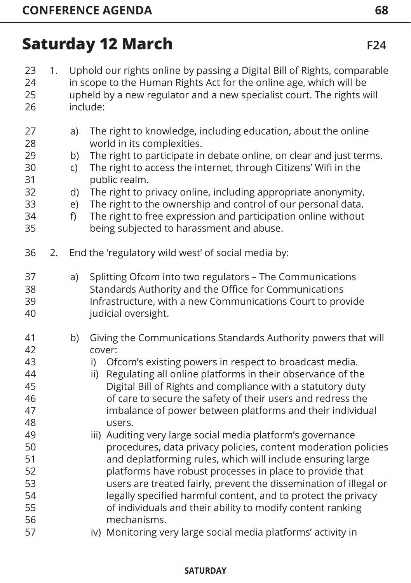| 23<br>24<br>25<br>26                                                                               | 1. | Uphold our rights online by passing a Digital Bill of Rights, comparable<br>in scope to the Human Rights Act for the online age, which will be<br>upheld by a new regulator and a new specialist court. The rights will<br>include: |                                                                                                                                                                                                                                                                                                                                                                                                                                                                                                                                                                                                                                                                                                                                                                                                                                                                                                                                                                   |  |
|----------------------------------------------------------------------------------------------------|----|-------------------------------------------------------------------------------------------------------------------------------------------------------------------------------------------------------------------------------------|-------------------------------------------------------------------------------------------------------------------------------------------------------------------------------------------------------------------------------------------------------------------------------------------------------------------------------------------------------------------------------------------------------------------------------------------------------------------------------------------------------------------------------------------------------------------------------------------------------------------------------------------------------------------------------------------------------------------------------------------------------------------------------------------------------------------------------------------------------------------------------------------------------------------------------------------------------------------|--|
| 27<br>28<br>29<br>30<br>31<br>32<br>33<br>34<br>35                                                 |    | a)<br>b)<br>$\mathsf{C}$<br>d)<br>e)<br>f)                                                                                                                                                                                          | The right to knowledge, including education, about the online<br>world in its complexities.<br>The right to participate in debate online, on clear and just terms.<br>The right to access the internet, through Citizens' Wifi in the<br>public realm.<br>The right to privacy online, including appropriate anonymity.<br>The right to the ownership and control of our personal data.<br>The right to free expression and participation online without<br>being subjected to harassment and abuse.                                                                                                                                                                                                                                                                                                                                                                                                                                                              |  |
| 36                                                                                                 | 2. |                                                                                                                                                                                                                                     | End the 'regulatory wild west' of social media by:                                                                                                                                                                                                                                                                                                                                                                                                                                                                                                                                                                                                                                                                                                                                                                                                                                                                                                                |  |
| 37<br>38<br>39<br>40                                                                               |    | a)                                                                                                                                                                                                                                  | Splitting Ofcom into two regulators - The Communications<br>Standards Authority and the Office for Communications<br>Infrastructure, with a new Communications Court to provide<br>judicial oversight.                                                                                                                                                                                                                                                                                                                                                                                                                                                                                                                                                                                                                                                                                                                                                            |  |
| 41<br>42<br>43<br>44<br>45<br>46<br>47<br>48<br>49<br>50<br>51<br>52<br>53<br>54<br>55<br>56<br>57 |    | b)                                                                                                                                                                                                                                  | Giving the Communications Standards Authority powers that will<br>cover:<br>Ofcom's existing powers in respect to broadcast media.<br>i)<br>Regulating all online platforms in their observance of the<br>ii)<br>Digital Bill of Rights and compliance with a statutory duty<br>of care to secure the safety of their users and redress the<br>imbalance of power between platforms and their individual<br>users.<br>iii) Auditing very large social media platform's governance<br>procedures, data privacy policies, content moderation policies<br>and deplatforming rules, which will include ensuring large<br>platforms have robust processes in place to provide that<br>users are treated fairly, prevent the dissemination of illegal or<br>legally specified harmful content, and to protect the privacy<br>of individuals and their ability to modify content ranking<br>mechanisms.<br>iv) Monitoring very large social media platforms' activity in |  |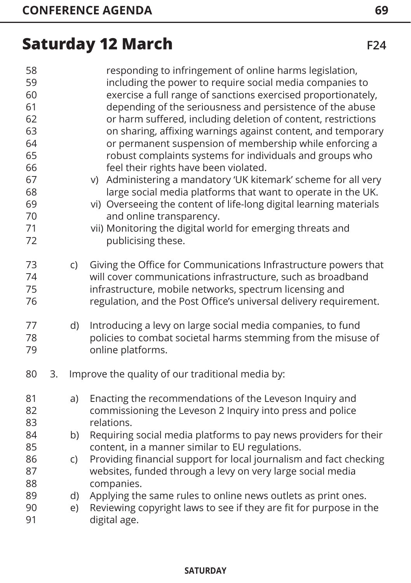| 58<br>59<br>60<br>61<br>62<br>63<br>64<br>65<br>66<br>67<br>68<br>69<br>70<br>71<br>72 |    |          | responding to infringement of online harms legislation,<br>including the power to require social media companies to<br>exercise a full range of sanctions exercised proportionately,<br>depending of the seriousness and persistence of the abuse<br>or harm suffered, including deletion of content, restrictions<br>on sharing, affixing warnings against content, and temporary<br>or permanent suspension of membership while enforcing a<br>robust complaints systems for individuals and groups who<br>feel their rights have been violated.<br>v) Administering a mandatory 'UK kitemark' scheme for all very<br>large social media platforms that want to operate in the UK.<br>vi) Overseeing the content of life-long digital learning materials<br>and online transparency.<br>vii) Monitoring the digital world for emerging threats and<br>publicising these. |
|----------------------------------------------------------------------------------------|----|----------|----------------------------------------------------------------------------------------------------------------------------------------------------------------------------------------------------------------------------------------------------------------------------------------------------------------------------------------------------------------------------------------------------------------------------------------------------------------------------------------------------------------------------------------------------------------------------------------------------------------------------------------------------------------------------------------------------------------------------------------------------------------------------------------------------------------------------------------------------------------------------|
| 73<br>74<br>75<br>76                                                                   |    | C)       | Giving the Office for Communications Infrastructure powers that<br>will cover communications infrastructure, such as broadband<br>infrastructure, mobile networks, spectrum licensing and<br>regulation, and the Post Office's universal delivery requirement.                                                                                                                                                                                                                                                                                                                                                                                                                                                                                                                                                                                                             |
| 77<br>78<br>79                                                                         |    | d)       | Introducing a levy on large social media companies, to fund<br>policies to combat societal harms stemming from the misuse of<br>online platforms.                                                                                                                                                                                                                                                                                                                                                                                                                                                                                                                                                                                                                                                                                                                          |
| 80                                                                                     | 3. |          | Improve the quality of our traditional media by:                                                                                                                                                                                                                                                                                                                                                                                                                                                                                                                                                                                                                                                                                                                                                                                                                           |
| 81<br>82<br>83                                                                         |    | a)       | Enacting the recommendations of the Leveson Inquiry and<br>commissioning the Leveson 2 Inquiry into press and police<br>relations.                                                                                                                                                                                                                                                                                                                                                                                                                                                                                                                                                                                                                                                                                                                                         |
| 84<br>85                                                                               |    | b)       | Requiring social media platforms to pay news providers for their<br>content, in a manner similar to EU regulations.                                                                                                                                                                                                                                                                                                                                                                                                                                                                                                                                                                                                                                                                                                                                                        |
| 86<br>87<br>88                                                                         |    | C)       | Providing financial support for local journalism and fact checking<br>websites, funded through a levy on very large social media<br>companies.                                                                                                                                                                                                                                                                                                                                                                                                                                                                                                                                                                                                                                                                                                                             |
| 89<br>90<br>91                                                                         |    | d)<br>e) | Applying the same rules to online news outlets as print ones.<br>Reviewing copyright laws to see if they are fit for purpose in the<br>digital age.                                                                                                                                                                                                                                                                                                                                                                                                                                                                                                                                                                                                                                                                                                                        |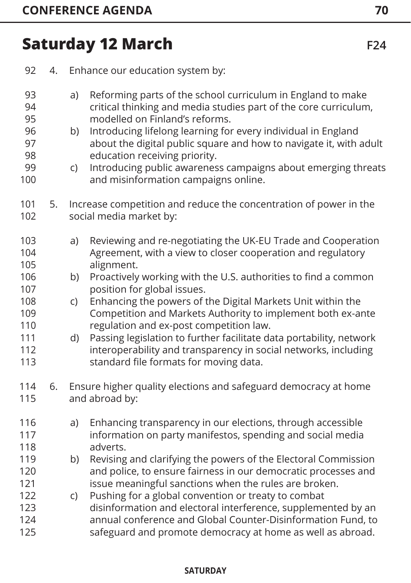| 92                                                                        | 4. | Enhance our education system by:                                                                                                                                                                                                                                                                                                                                                                                                                                                                                                                                                                                                |
|---------------------------------------------------------------------------|----|---------------------------------------------------------------------------------------------------------------------------------------------------------------------------------------------------------------------------------------------------------------------------------------------------------------------------------------------------------------------------------------------------------------------------------------------------------------------------------------------------------------------------------------------------------------------------------------------------------------------------------|
| 93<br>94<br>95<br>96<br>97<br>98<br>99<br>100                             |    | Reforming parts of the school curriculum in England to make<br>a)<br>critical thinking and media studies part of the core curriculum,<br>modelled on Finland's reforms.<br>Introducing lifelong learning for every individual in England<br>b)<br>about the digital public square and how to navigate it, with adult<br>education receiving priority.<br>Introducing public awareness campaigns about emerging threats<br>C)<br>and misinformation campaigns online.                                                                                                                                                            |
| 101<br>102                                                                | 5. | Increase competition and reduce the concentration of power in the<br>social media market by:                                                                                                                                                                                                                                                                                                                                                                                                                                                                                                                                    |
| 103<br>104<br>105<br>106<br>107<br>108<br>109<br>110<br>111<br>112<br>113 |    | Reviewing and re-negotiating the UK-EU Trade and Cooperation<br>a)<br>Agreement, with a view to closer cooperation and regulatory<br>alignment.<br>Proactively working with the U.S. authorities to find a common<br>b)<br>position for global issues.<br>Enhancing the powers of the Digital Markets Unit within the<br>C)<br>Competition and Markets Authority to implement both ex-ante<br>regulation and ex-post competition law.<br>Passing legislation to further facilitate data portability, network<br>d)<br>interoperability and transparency in social networks, including<br>standard file formats for moving data. |
| 114<br>115                                                                | 6. | Ensure higher quality elections and safeguard democracy at home<br>and abroad by:                                                                                                                                                                                                                                                                                                                                                                                                                                                                                                                                               |
| 116<br>117<br>118                                                         |    | Enhancing transparency in our elections, through accessible<br>a)<br>information on party manifestos, spending and social media<br>adverts.                                                                                                                                                                                                                                                                                                                                                                                                                                                                                     |
| 119<br>120<br>121<br>122<br>123                                           |    | Revising and clarifying the powers of the Electoral Commission<br>b)<br>and police, to ensure fairness in our democratic processes and<br>issue meaningful sanctions when the rules are broken.<br>Pushing for a global convention or treaty to combat<br>C)<br>disinformation and electoral interference, supplemented by an                                                                                                                                                                                                                                                                                                   |
| 124<br>125                                                                |    | annual conference and Global Counter-Disinformation Fund, to<br>safeguard and promote democracy at home as well as abroad.                                                                                                                                                                                                                                                                                                                                                                                                                                                                                                      |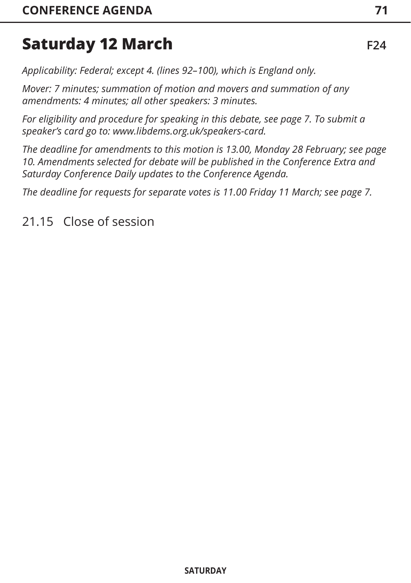*Applicability: Federal; except 4. (lines 92–100), which is England only.*

*Mover: 7 minutes; summation of motion and movers and summation of any amendments: 4 minutes; all other speakers: 3 minutes.* 

*For eligibility and procedure for speaking in this debate, [see page 7](#page-7-0). To submit a speaker's card go to: www.libdems.org.uk/speakers-card.* 

*The deadline for amendments to this motion is 13.00, Monday 28 February; [see page](#page-10-0)  [10. A](#page-10-0)mendments selected for debate will be published in the Conference Extra and Saturday Conference Daily updates to the Conference Agenda.* 

*The deadline for requests for separate votes is 11.00 Friday 11 March; [see page 7](#page-7-0).*

21.15 Close of session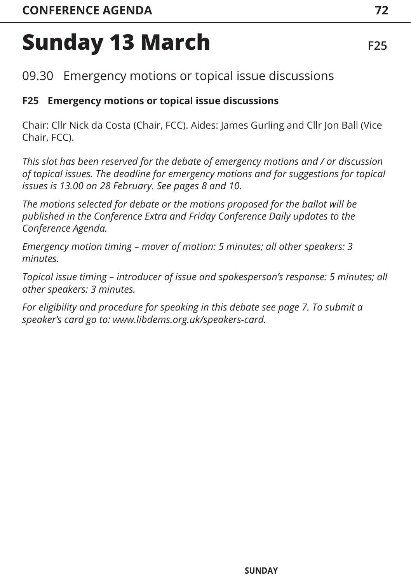09.30 Emergency motions or topical issue discussions

## **F25 Emergency motions or topical issue discussions**

Chair: Cllr Nick da Costa (Chair, FCC). Aides: James Gurling and Cllr Jon Ball (Vice Chair, FCC).

*This slot has been reserved for the debate of emergency motions and / or discussion of topical issues. The deadline for emergency motions and for suggestions for topical issues is 13.00 on 28 February. [See pages 8](#page-8-0) [and 10.](#page-10-0)* 

*The motions selected for debate or the motions proposed for the ballot will be published in the Conference Extra and Friday Conference Daily updates to the Conference Agenda.* 

*Emergency motion timing – mover of motion: 5 minutes; all other speakers: 3 minutes.*

*Topical issue timing – introducer of issue and spokesperson's response: 5 minutes; all other speakers: 3 minutes.* 

*For eligibility and procedure for speaking in this debat[e see page 7. T](#page-7-0)o submit a speaker's card go to: www.libdems.org.uk/speakers-card.*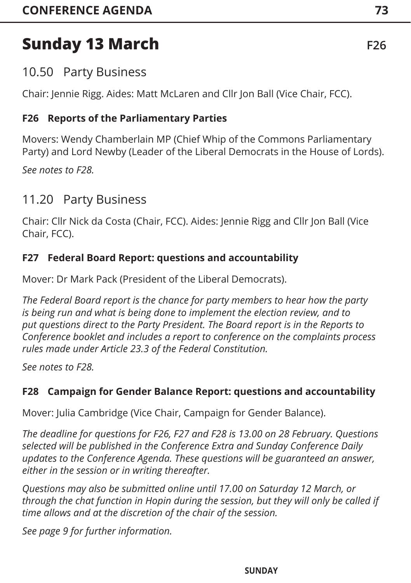## 10.50 Party Business

Chair: Jennie Rigg. Aides: Matt McLaren and Cllr Jon Ball (Vice Chair, FCC).

## **F26 Reports of the Parliamentary Parties**

Movers: Wendy Chamberlain MP (Chief Whip of the Commons Parliamentary Party) and Lord Newby (Leader of the Liberal Democrats in the House of Lords).

*See notes to F28.*

## 11.20 Party Business

Chair: Cllr Nick da Costa (Chair, FCC). Aides: Jennie Rigg and Cllr Jon Ball (Vice Chair, FCC).

## **F27 Federal Board Report: questions and accountability**

Mover: Dr Mark Pack (President of the Liberal Democrats).

*The Federal Board report is the chance for party members to hear how the party is being run and what is being done to implement the election review, and to put questions direct to the Party President. The Board report is in the Reports to Conference booklet and includes a report to conference on the complaints process rules made under Article 23.3 of the Federal Constitution.*

*See notes to F28.*

## **F28 Campaign for Gender Balance Report: questions and accountability**

Mover: Julia Cambridge (Vice Chair, Campaign for Gender Balance).

*The deadline for questions for F26, F27 and F28 is 13.00 on 28 February. Questions selected will be published in the Conference Extra and Sunday Conference Daily updates to the Conference Agenda. These questions will be guaranteed an answer, either in the session or in writing thereafter.* 

*Questions may also be submitted online until 17.00 on Saturday 12 March, or through the chat function in Hopin during the session, but they will only be called if time allows and at the discretion of the chair of the session.*

*[See page 9 fo](#page-9-0)r further information.*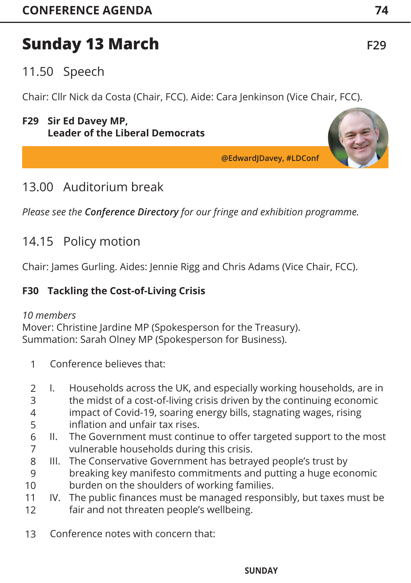## 11.50 Speech

Chair: Cllr Nick da Costa (Chair, FCC). Aide: Cara Jenkinson (Vice Chair, FCC).

## **F29 Sir Ed Davey MP, Leader of the Liberal Democrats**

**@EdwardJDavey, #LDConf**

## 13.00 Auditorium break

*Please see the Conference Directory for our fringe and exhibition programme.*

## 14.15 Policy motion

Chair: James Gurling. Aides: Jennie Rigg and Chris Adams (Vice Chair, FCC).

## **F30 Tackling the Cost-of-Living Crisis**

## *10 members*

Mover: Christine Jardine MP (Spokesperson for the Treasury). Summation: Sarah Olney MP (Spokesperson for Business).

- Conference believes that: 1
- I. Households across the UK, and especially working households, are in the midst of a cost-of-living crisis driven by the continuing economic impact of Covid-19, soaring energy bills, stagnating wages, rising inflation and unfair tax rises. 2 3 4 5
- II. The Government must continue to offer targeted support to the most vulnerable households during this crisis. 6 7
- III. The Conservative Government has betrayed people's trust by breaking key manifesto commitments and putting a huge economic burden on the shoulders of working families. 8 9 10
- IV. The public finances must be managed responsibly, but taxes must be fair and not threaten people's wellbeing. 11 12
- Conference notes with concern that: 13

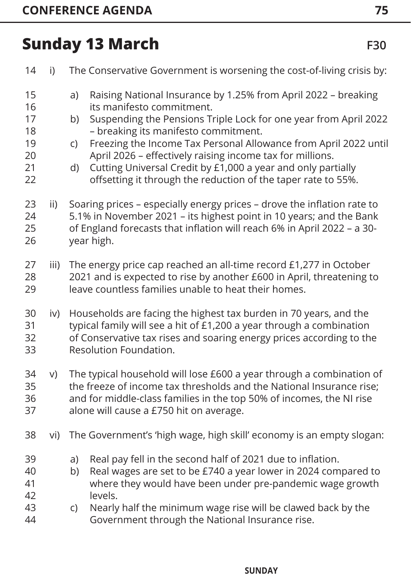| 14                                           | i)   | The Conservative Government is worsening the cost-of-living crisis by:                                                                                                                                                                                                                                                                                                                                                                                                                            |
|----------------------------------------------|------|---------------------------------------------------------------------------------------------------------------------------------------------------------------------------------------------------------------------------------------------------------------------------------------------------------------------------------------------------------------------------------------------------------------------------------------------------------------------------------------------------|
| 15<br>16<br>17<br>18<br>19<br>20<br>21<br>22 |      | Raising National Insurance by 1.25% from April 2022 - breaking<br>a)<br>its manifesto commitment.<br>Suspending the Pensions Triple Lock for one year from April 2022<br>b)<br>- breaking its manifesto commitment.<br>Freezing the Income Tax Personal Allowance from April 2022 until<br>C)<br>April 2026 - effectively raising income tax for millions.<br>Cutting Universal Credit by £1,000 a year and only partially<br>d)<br>offsetting it through the reduction of the taper rate to 55%. |
| 23<br>24<br>25<br>26                         | ii)  | Soaring prices - especially energy prices - drove the inflation rate to<br>5.1% in November 2021 - its highest point in 10 years; and the Bank<br>of England forecasts that inflation will reach 6% in April 2022 - a 30-<br>year high.                                                                                                                                                                                                                                                           |
| 27<br>28<br>29                               | iii) | The energy price cap reached an all-time record £1,277 in October<br>2021 and is expected to rise by another £600 in April, threatening to<br>leave countless families unable to heat their homes.                                                                                                                                                                                                                                                                                                |
| 30<br>31<br>32<br>33                         | iv)  | Households are facing the highest tax burden in 70 years, and the<br>typical family will see a hit of £1,200 a year through a combination<br>of Conservative tax rises and soaring energy prices according to the<br>Resolution Foundation.                                                                                                                                                                                                                                                       |
| 34<br>35<br>36<br>37                         | V)   | The typical household will lose £600 a year through a combination of<br>the freeze of income tax thresholds and the National Insurance rise;<br>and for middle-class families in the top 50% of incomes, the NI rise<br>alone will cause a £750 hit on average.                                                                                                                                                                                                                                   |
| 38                                           | vi)  | The Government's 'high wage, high skill' economy is an empty slogan:                                                                                                                                                                                                                                                                                                                                                                                                                              |
| 39<br>40<br>41<br>42                         |      | Real pay fell in the second half of 2021 due to inflation.<br>a)<br>Real wages are set to be £740 a year lower in 2024 compared to<br>b)<br>where they would have been under pre-pandemic wage growth<br>levels.                                                                                                                                                                                                                                                                                  |
| 43<br>44                                     |      | Nearly half the minimum wage rise will be clawed back by the<br>$\mathsf{C}$<br>Government through the National Insurance rise.                                                                                                                                                                                                                                                                                                                                                                   |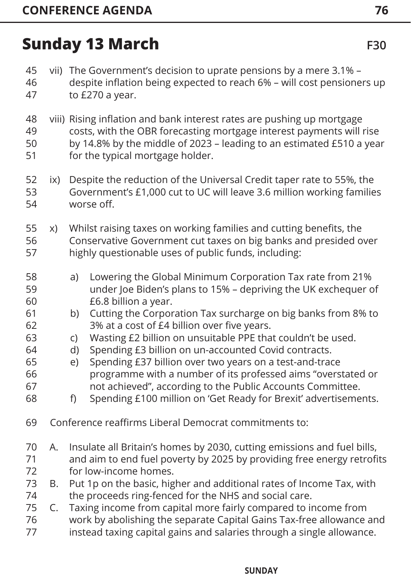vii) The Government's decision to uprate pensions by a mere 3.1% – despite inflation being expected to reach 6% – will cost pensioners up to £270 a year. viii) Rising inflation and bank interest rates are pushing up mortgage costs, with the OBR forecasting mortgage interest payments will rise by 14.8% by the middle of 2023 – leading to an estimated £510 a year for the typical mortgage holder. ix) Despite the reduction of the Universal Credit taper rate to 55%, the Government's £1,000 cut to UC will leave 3.6 million working families worse off. x) Whilst raising taxes on working families and cutting benefits, the Conservative Government cut taxes on big banks and presided over highly questionable uses of public funds, including: a) Lowering the Global Minimum Corporation Tax rate from 21% under Joe Biden's plans to 15% – depriving the UK exchequer of £6.8 billion a year. b) Cutting the Corporation Tax surcharge on big banks from 8% to 3% at a cost of £4 billion over five years. c) Wasting £2 billion on unsuitable PPE that couldn't be used. d) Spending £3 billion on un-accounted Covid contracts. e) Spending £37 billion over two years on a test-and-trace programme with a number of its professed aims "overstated or not achieved", according to the Public Accounts Committee. f) Spending £100 million on 'Get Ready for Brexit' advertisements. Conference reaffirms Liberal Democrat commitments to: A. Insulate all Britain's homes by 2030, cutting emissions and fuel bills, and aim to end fuel poverty by 2025 by providing free energy retrofits for low-income homes. B. Put 1p on the basic, higher and additional rates of Income Tax, with the proceeds ring-fenced for the NHS and social care. C. Taxing income from capital more fairly compared to income from work by abolishing the separate Capital Gains Tax-free allowance and instead taxing capital gains and salaries through a single allowance. 45 46 47 48 49 50 51 52 53 54 55 56 57 58 59 60 61 62 63 64 65 66 67 68 69 70 71 72 73 74 75 76 77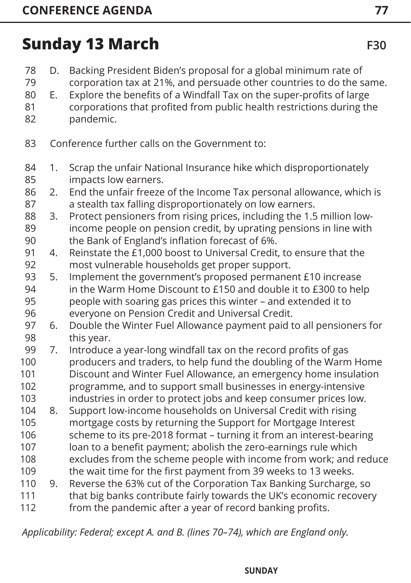- D. Backing President Biden's proposal for a global minimum rate of corporation tax at 21%, and persuade other countries to do the same. E. Explore the benefits of a Windfall Tax on the super-profits of large corporations that profited from public health restrictions during the 78 79 80 81
- pandemic. 82
	- Conference further calls on the Government to: 83
	- 1. Scrap the unfair National Insurance hike which disproportionately impacts low earners. 84 85
	- 2. End the unfair freeze of the Income Tax personal allowance, which is a stealth tax falling disproportionately on low earners. 86 87
	- 3. Protect pensioners from rising prices, including the 1.5 million lowincome people on pension credit, by uprating pensions in line with the Bank of England's inflation forecast of 6%. 88 89 90
	- 4. Reinstate the £1,000 boost to Universal Credit, to ensure that the most vulnerable households get proper support. 91 92
	- 5. Implement the government's proposed permanent £10 increase in the Warm Home Discount to £150 and double it to £300 to help people with soaring gas prices this winter – and extended it to everyone on Pension Credit and Universal Credit. 93 94 95 96
	- 6. Double the Winter Fuel Allowance payment paid to all pensioners for this year. 97 98
- 7. Introduce a year-long windfall tax on the record profits of gas producers and traders, to help fund the doubling of the Warm Home Discount and Winter Fuel Allowance, an emergency home insulation programme, and to support small businesses in energy-intensive industries in order to protect jobs and keep consumer prices low. 99 100 101 102 103
- 8. Support low-income households on Universal Credit with rising 104
- mortgage costs by returning the Support for Mortgage Interest scheme to its pre-2018 format – turning it from an interest-bearing loan to a benefit payment; abolish the zero-earnings rule which excludes from the scheme people with income from work; and reduce 105 106 107 108
- the wait time for the first payment from 39 weeks to 13 weeks. 109
- 9. Reverse the 63% cut of the Corporation Tax Banking Surcharge, so 110
- that big banks contribute fairly towards the UK's economic recovery 111
- from the pandemic after a year of record banking profits. 112

*Applicability: Federal; except A. and B. (lines 70–74), which are England only.*

#### **INFORMATION AGENDA INDEX FRIDAY SATURDAY SUNDAY MONDAY STANDING CONDITIONS**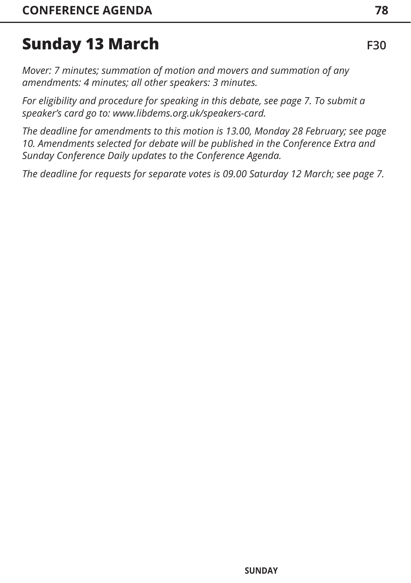*Mover: 7 minutes; summation of motion and movers and summation of any amendments: 4 minutes; all other speakers: 3 minutes.* 

*For eligibility and procedure for speaking in this debate, [see page 7](#page-7-0). To submit a speaker's card go to: www.libdems.org.uk/speakers-card.* 

*The deadline for amendments to this motion is 13.00, Monday 28 February; [see page](#page-10-0)  [10. Am](#page-10-0)endments selected for debate will be published in the Conference Extra and Sunday Conference Daily updates to the Conference Agenda.* 

*The deadline for requests for separate votes is 09.00 Saturday 12 March; [see page 7](#page-7-0).*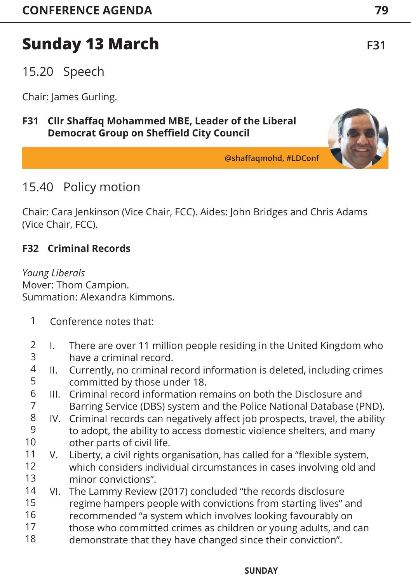15.20 Speech

Chair: James Gurling.

## **F31 Cllr Shaffaq Mohammed MBE, Leader of the Liberal Democrat Group on Sheffield City Council**

**@shaffaqmohd, #LDConf**

## 15.40 Policy motion

Chair: Cara Jenkinson (Vice Chair, FCC). Aides: John Bridges and Chris Adams (Vice Chair, FCC).

## **F32 Criminal Records**

*Young Liberals*  Mover: Thom Campion. Summation: Alexandra Kimmons.

- Conference notes that: 1
- I. There are over 11 million people residing in the United Kingdom who have a criminal record. 2 3
- II. Currently, no criminal record information is deleted, including crimes committed by those under 18. 4 5
- III. Criminal record information remains on both the Disclosure and Barring Service (DBS) system and the Police National Database (PND). 6 7
- IV. Criminal records can negatively affect job prospects, travel, the ability to adopt, the ability to access domestic violence shelters, and many other parts of civil life. 8 9 10
- V. Liberty, a civil rights organisation, has called for a "flexible system, which considers individual circumstances in cases involving old and minor convictions". 11 12 13
- VI. The Lammy Review (2017) concluded "the records disclosure 14
- regime hampers people with convictions from starting lives" and 15
- recommended "a system which involves looking favourably on 16
- those who committed crimes as children or young adults, and can 17
- demonstrate that they have changed since their conviction". 18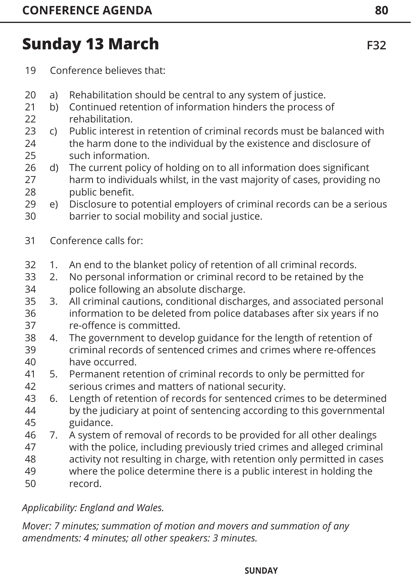- Conference believes that: 19
- a) Rehabilitation should be central to any system of justice. 20
- b) Continued retention of information hinders the process of rehabilitation. 21 22
- c) Public interest in retention of criminal records must be balanced with the harm done to the individual by the existence and disclosure of such information. 23 24 25
- d) The current policy of holding on to all information does significant harm to individuals whilst, in the vast majority of cases, providing no public benefit. 26 27 28
- e) Disclosure to potential employers of criminal records can be a serious barrier to social mobility and social justice. 29 30
- Conference calls for: 31
- 1. An end to the blanket policy of retention of all criminal records. 32
- 2. No personal information or criminal record to be retained by the police following an absolute discharge. 33 34
- 3. All criminal cautions, conditional discharges, and associated personal information to be deleted from police databases after six years if no re-offence is committed. 35 36 37
- 4. The government to develop guidance for the length of retention of criminal records of sentenced crimes and crimes where re-offences have occurred. 38 39 40
- 5. Permanent retention of criminal records to only be permitted for serious crimes and matters of national security. 41 42
- 6. Length of retention of records for sentenced crimes to be determined by the judiciary at point of sentencing according to this governmental guidance. 43 44 45
- 7. A system of removal of records to be provided for all other dealings with the police, including previously tried crimes and alleged criminal activity not resulting in charge, with retention only permitted in cases 46 47 48
- where the police determine there is a public interest in holding the record. 49 50

*Applicability: England and Wales.*

*Mover: 7 minutes; summation of motion and movers and summation of any amendments: 4 minutes; all other speakers: 3 minutes.*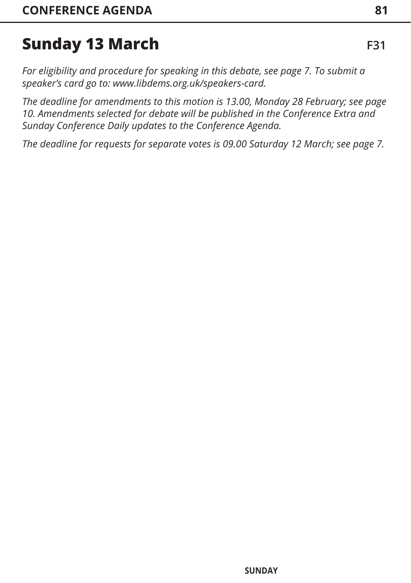*For eligibility and procedure for speaking in this debate, [see page 7.](#page-7-0) To submit a speaker's card go to: www.libdems.org.uk/speakers-card.* 

*The deadline for amendments to this motion is 13.00, Monday 28 February; [see page](#page-10-0)  [10. Am](#page-10-0)endments selected for debate will be published in the Conference Extra and Sunday Conference Daily updates to the Conference Agenda.* 

*The deadline for requests for separate votes is 09.00 Saturday 12 March; [see page 7](#page-7-0).*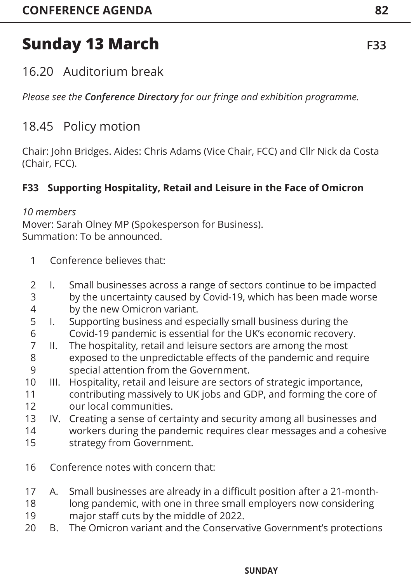## 16.20 Auditorium break

*Please see the Conference Directory for our fringe and exhibition programme.*

## 18.45 Policy motion

Chair: John Bridges. Aides: Chris Adams (Vice Chair, FCC) and Cllr Nick da Costa (Chair, FCC).

## **F33 Supporting Hospitality, Retail and Leisure in the Face of Omicron**

## *10 members*

Mover: Sarah Olney MP (Spokesperson for Business). Summation: To be announced.

- Conference believes that: 1
- I. Small businesses across a range of sectors continue to be impacted 2 3
- by the uncertainty caused by Covid-19, which has been made worse by the new Omicron variant. 4
- I. Supporting business and especially small business during the Covid-19 pandemic is essential for the UK's economic recovery. 5 6
- II. The hospitality, retail and leisure sectors are among the most exposed to the unpredictable effects of the pandemic and require special attention from the Government. 7 8 9
- III. Hospitality, retail and leisure are sectors of strategic importance, contributing massively to UK jobs and GDP, and forming the core of 10 11
- our local communities. 12
- IV. Creating a sense of certainty and security among all businesses and 13
- workers during the pandemic requires clear messages and a cohesive strategy from Government. 14 15
- Conference notes with concern that: 16
- A. Small businesses are already in a difficult position after a 21-month-17
- long pandemic, with one in three small employers now considering major staff cuts by the middle of 2022. 18 19
- B. The Omicron variant and the Conservative Government's protections 20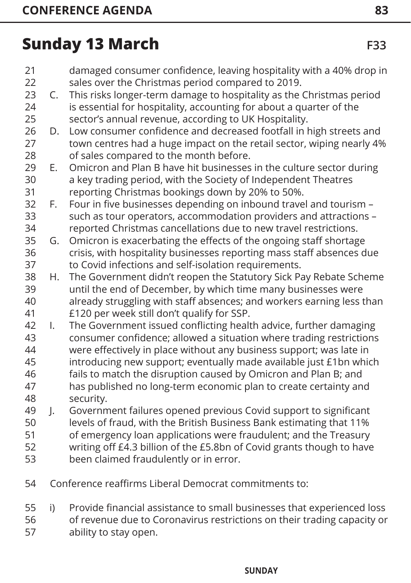- damaged consumer confidence, leaving hospitality with a 40% drop in sales over the Christmas period compared to 2019. C. This risks longer-term damage to hospitality as the Christmas period is essential for hospitality, accounting for about a quarter of the sector's annual revenue, according to UK Hospitality. D. Low consumer confidence and decreased footfall in high streets and town centres had a huge impact on the retail sector, wiping nearly 4% of sales compared to the month before. E. Omicron and Plan B have hit businesses in the culture sector during a key trading period, with the Society of Independent Theatres reporting Christmas bookings down by 20% to 50%. F. Four in five businesses depending on inbound travel and tourism – such as tour operators, accommodation providers and attractions – reported Christmas cancellations due to new travel restrictions. G. Omicron is exacerbating the effects of the ongoing staff shortage crisis, with hospitality businesses reporting mass staff absences due to Covid infections and self-isolation requirements. H. The Government didn't reopen the Statutory Sick Pay Rebate Scheme until the end of December, by which time many businesses were already struggling with staff absences; and workers earning less than £120 per week still don't qualify for SSP. I. The Government issued conflicting health advice, further damaging consumer confidence; allowed a situation where trading restrictions were effectively in place without any business support; was late in introducing new support; eventually made available just £1bn which fails to match the disruption caused by Omicron and Plan B; and has published no long-term economic plan to create certainty and security. J. Government failures opened previous Covid support to significant levels of fraud, with the British Business Bank estimating that 11% of emergency loan applications were fraudulent; and the Treasury writing off £4.3 billion of the £5.8bn of Covid grants though to have been claimed fraudulently or in error.
- Conference reaffirms Liberal Democrat commitments to: 54
- i) Provide financial assistance to small businesses that experienced loss of revenue due to Coronavirus restrictions on their trading capacity or ability to stay open. 55 56 57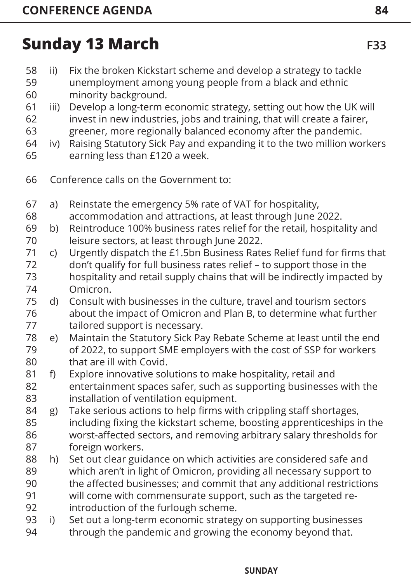- ii) Fix the broken Kickstart scheme and develop a strategy to tackle unemployment among young people from a black and ethnic minority background. 58 59 60
- iii) Develop a long-term economic strategy, setting out how the UK will 61
- invest in new industries, jobs and training, that will create a fairer, greener, more regionally balanced economy after the pandemic. 62 63
- iv) Raising Statutory Sick Pay and expanding it to the two million workers earning less than £120 a week. 64 65
- 
- Conference calls on the Government to: 66
- a) Reinstate the emergency 5% rate of VAT for hospitality, 67
- accommodation and attractions, at least through June 2022. 68
- b) Reintroduce 100% business rates relief for the retail, hospitality and leisure sectors, at least through June 2022. 69 70
- c) Urgently dispatch the £1.5bn Business Rates Relief fund for firms that don't qualify for full business rates relief – to support those in the hospitality and retail supply chains that will be indirectly impacted by Omicron. 71 72 73 74
- d) Consult with businesses in the culture, travel and tourism sectors about the impact of Omicron and Plan B, to determine what further tailored support is necessary. 75 76 77
- e) Maintain the Statutory Sick Pay Rebate Scheme at least until the end of 2022, to support SME employers with the cost of SSP for workers that are ill with Covid. 78 79 80
- f) Explore innovative solutions to make hospitality, retail and entertainment spaces safer, such as supporting businesses with the installation of ventilation equipment. 81 82 83
- g) Take serious actions to help firms with crippling staff shortages, including fixing the kickstart scheme, boosting apprenticeships in the worst-affected sectors, and removing arbitrary salary thresholds for foreign workers. 84 85 86 87
- h) Set out clear guidance on which activities are considered safe and which aren't in light of Omicron, providing all necessary support to 88 89
- the affected businesses; and commit that any additional restrictions  $90$
- will come with commensurate support, such as the targeted reintroduction of the furlough scheme. 91 92
- i) Set out a long-term economic strategy on supporting businesses through the pandemic and growing the economy beyond that. 93 94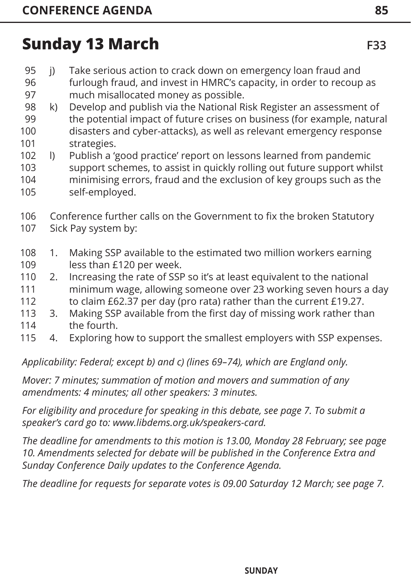- j) Take serious action to crack down on emergency loan fraud and 95
- furlough fraud, and invest in HMRC's capacity, in order to recoup as much misallocated money as possible. 96 97
- k) Develop and publish via the National Risk Register an assessment of the potential impact of future crises on business (for example, natural disasters and cyber-attacks), as well as relevant emergency response strategies. 98 99 100 101
- l) Publish a 'good practice' report on lessons learned from pandemic support schemes, to assist in quickly rolling out future support whilst minimising errors, fraud and the exclusion of key groups such as the self-employed. 102 103 104 105
- Conference further calls on the Government to fix the broken Statutory 106
- Sick Pay system by: 107
- 1. Making SSP available to the estimated two million workers earning less than £120 per week. 108 109
- 2. Increasing the rate of SSP so it's at least equivalent to the national minimum wage, allowing someone over 23 working seven hours a day to claim £62.37 per day (pro rata) rather than the current £19.27. 110 111 112
- 3. Making SSP available from the first day of missing work rather than 113
- the fourth. 114
- 4. Exploring how to support the smallest employers with SSP expenses. 115

*Applicability: Federal; except b) and c) (lines 69–74), which are England only.*

*Mover: 7 minutes; summation of motion and movers and summation of any amendments: 4 minutes; all other speakers: 3 minutes.* 

*For eligibility and procedure for speaking in this debate, [see page 7.](#page-7-0) To submit a speaker's card go to: www.libdems.org.uk/speakers-card.* 

*The deadline for amendments to this motion is 13.00, Monday 28 February; [see page](#page-10-0)  [10. Am](#page-10-0)endments selected for debate will be published in the Conference Extra and Sunday Conference Daily updates to the Conference Agenda.* 

*The deadline for requests for separate votes is 09.00 Saturday 12 March; [see page 7.](#page-7-0)*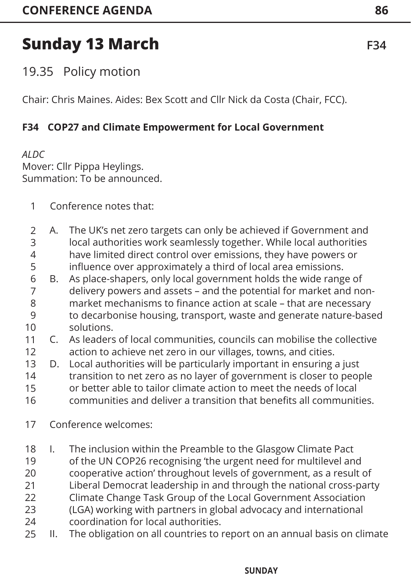19.35 Policy motion

Chair: Chris Maines. Aides: Bex Scott and Cllr Nick da Costa (Chair, FCC).

## **F34 COP27 and Climate Empowerment for Local Government**

*ALDC* Mover: Cllr Pippa Heylings. Summation: To be announced.

- Conference notes that: 1
- A. The UK's net zero targets can only be achieved if Government and local authorities work seamlessly together. While local authorities have limited direct control over emissions, they have powers or influence over approximately a third of local area emissions. 2 3 4 5
- B. As place-shapers, only local government holds the wide range of delivery powers and assets – and the potential for market and nonmarket mechanisms to finance action at scale – that are necessary to decarbonise housing, transport, waste and generate nature-based solutions. 6 7 8  $\overline{Q}$ 10
- C. As leaders of local communities, councils can mobilise the collective action to achieve net zero in our villages, towns, and cities. 11 12
- D. Local authorities will be particularly important in ensuring a just transition to net zero as no layer of government is closer to people or better able to tailor climate action to meet the needs of local communities and deliver a transition that benefits all communities. 13 14 15 16
- Conference welcomes: 17
- I. The inclusion within the Preamble to the Glasgow Climate Pact 18
- of the UN COP26 recognising 'the urgent need for multilevel and 19
- cooperative action' throughout levels of government, as a result of 20
- Liberal Democrat leadership in and through the national cross-party 21
- Climate Change Task Group of the Local Government Association 22
- (LGA) working with partners in global advocacy and international coordination for local authorities. 23 24
- II. The obligation on all countries to report on an annual basis on climate 25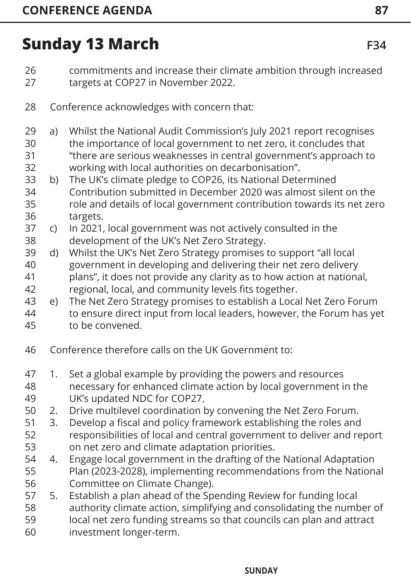- commitments and increase their climate ambition through increased targets at COP27 in November 2022. 26 27
- Conference acknowledges with concern that: 28
- a) Whilst the National Audit Commission's July 2021 report recognises the importance of local government to net zero, it concludes that 29 30
- "there are serious weaknesses in central government's approach to working with local authorities on decarbonisation". 31 32
- b) The UK's climate pledge to COP26, its National Determined Contribution submitted in December 2020 was almost silent on the role and details of local government contribution towards its net zero targets. 33 34 35 36
- c) In 2021, local government was not actively consulted in the development of the UK's Net Zero Strategy. 37 38
- d) Whilst the UK's Net Zero Strategy promises to support "all local government in developing and delivering their net zero delivery plans", it does not provide any clarity as to how action at national, regional, local, and community levels fits together. 39 40 41 42
- e) The Net Zero Strategy promises to establish a Local Net Zero Forum to ensure direct input from local leaders, however, the Forum has yet 43 44
- to be convened. 45
- Conference therefore calls on the UK Government to: 46
- 1. Set a global example by providing the powers and resources necessary for enhanced climate action by local government in the UK's updated NDC for COP27. 47 48 49
- 2. Drive multilevel coordination by convening the Net Zero Forum. 50
- 3. Develop a fiscal and policy framework establishing the roles and responsibilities of local and central government to deliver and report on net zero and climate adaptation priorities. 51 52 53
- 4. Engage local government in the drafting of the National Adaptation Plan (2023-2028), implementing recommendations from the National Committee on Climate Change). 54 55 56
- 5. Establish a plan ahead of the Spending Review for funding local 57
- authority climate action, simplifying and consolidating the number of 58
- local net zero funding streams so that councils can plan and attract 59
- investment longer-term. 60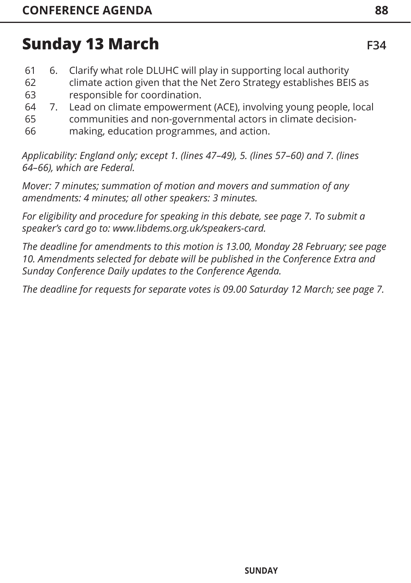| 61 | 6.            | Clarify what role DLUHC will play in supporting local authority     |
|----|---------------|---------------------------------------------------------------------|
| 62 |               | climate action given that the Net Zero Strategy establishes BEIS as |
| 63 |               | responsible for coordination.                                       |
| 64 | $\mathcal{L}$ | Lead on climate empowerment (ACE), involving young people, local    |
| 65 |               | communities and non-governmental actors in climate decision-        |

making, education programmes, and action. 66

*Applicability: England only; except 1. (lines 47–49), 5. (lines 57–60) and 7. (lines 64–66), which are Federal.*

*Mover: 7 minutes; summation of motion and movers and summation of any amendments: 4 minutes; all other speakers: 3 minutes.* 

*For eligibility and procedure for speaking in this debate, [see page 7](#page-7-0). To submit a speaker's card go to: www.libdems.org.uk/speakers-card.* 

*The deadline for amendments to this motion is 13.00, Monday 28 February; [see page](#page-10-0)  [10. Am](#page-10-0)endments selected for debate will be published in the Conference Extra and Sunday Conference Daily updates to the Conference Agenda.* 

*The deadline for requests for separate votes is 09.00 Saturday 12 March; [see page 7](#page-7-0).*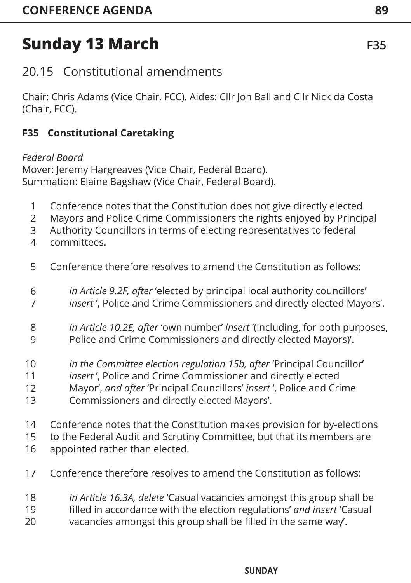Chair: Chris Adams (Vice Chair, FCC). Aides: Cllr Jon Ball and Cllr Nick da Costa (Chair, FCC).

## **F35 Constitutional Caretaking**

## *Federal Board*

Mover: Jeremy Hargreaves (Vice Chair, Federal Board). Summation: Elaine Bagshaw (Vice Chair, Federal Board).

- Conference notes that the Constitution does not give directly elected 1
- Mayors and Police Crime Commissioners the rights enjoyed by Principal 2
- Authority Councillors in terms of electing representatives to federal 3
- committees. 4
- Conference therefore resolves to amend the Constitution as follows: 5
- *In Article 9.2F, after* 'elected by principal local authority councillors' 6
- *insert* ', Police and Crime Commissioners and directly elected Mayors'. 7
- *In Article 10.2E, after* 'own number' *insert* '(including, for both purposes, Police and Crime Commissioners and directly elected Mayors)'. 8 9
- *In the Committee election regulation 15b, after* 'Principal Councillor' 10
- *insert* ', Police and Crime Commissioner and directly elected 11
- Mayor', *and after* 'Principal Councillors' *insert* ', Police and Crime 12
- Commissioners and directly elected Mayors'. 13
- Conference notes that the Constitution makes provision for by-elections 14

to the Federal Audit and Scrutiny Committee, but that its members are 15

- appointed rather than elected. 16
- Conference therefore resolves to amend the Constitution as follows: 17
- *In Article 16.3A, delete* 'Casual vacancies amongst this group shall be 18
- filled in accordance with the election regulations' *and insert* 'Casual 19
- vacancies amongst this group shall be filled in the same way'. 20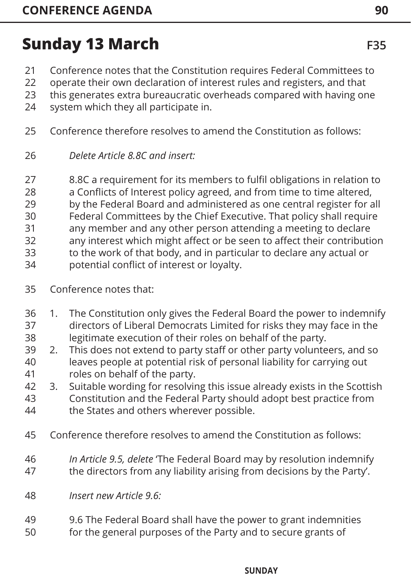- Conference notes that the Constitution requires Federal Committees to 21
- operate their own declaration of interest rules and registers, and that 22
- this generates extra bureaucratic overheads compared with having one 23
- system which they all participate in. 24
- Conference therefore resolves to amend the Constitution as follows: 25
- *Delete Article 8.8C and insert:* 26
- 8.8C a requirement for its members to fulfil obligations in relation to 27
- a Conflicts of Interest policy agreed, and from time to time altered, 28
- by the Federal Board and administered as one central register for all 29
- Federal Committees by the Chief Executive. That policy shall require 30
- any member and any other person attending a meeting to declare 31
- any interest which might affect or be seen to affect their contribution 32
- to the work of that body, and in particular to declare any actual or 33
- potential conflict of interest or loyalty. 34
- Conference notes that: 35
- 1. The Constitution only gives the Federal Board the power to indemnify directors of Liberal Democrats Limited for risks they may face in the 36 37
- legitimate execution of their roles on behalf of the party. 38
- 2. This does not extend to party staff or other party volunteers, and so leaves people at potential risk of personal liability for carrying out roles on behalf of the party. 39 40 41
- 3. Suitable wording for resolving this issue already exists in the Scottish 42
- Constitution and the Federal Party should adopt best practice from the States and others wherever possible. 43 44
- Conference therefore resolves to amend the Constitution as follows: 45
- *In Article 9.5, delete* 'The Federal Board may by resolution indemnify the directors from any liability arising from decisions by the Party'. 46 47
- *Insert new Article 9.6:* 48
- 9.6 The Federal Board shall have the power to grant indemnities for the general purposes of the Party and to secure grants of 49 50

#### **INFORMATION AGENDA INDEX FRIDAY SATURDAY SUNDAY MONDAY STANDING CONDITIONS**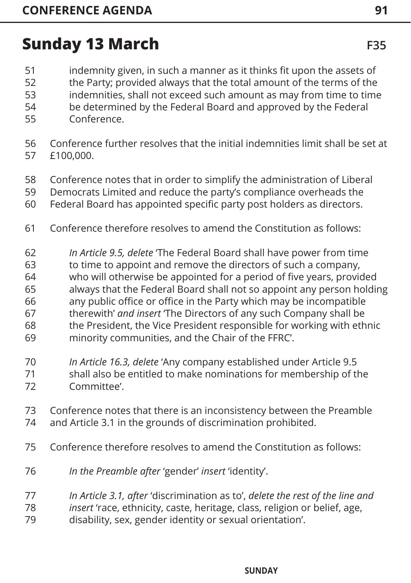- indemnity given, in such a manner as it thinks fit upon the assets of 51
- the Party; provided always that the total amount of the terms of the 52
- indemnities, shall not exceed such amount as may from time to time 53
- be determined by the Federal Board and approved by the Federal 54
- Conference. 55
- Conference further resolves that the initial indemnities limit shall be set at £100,000. 56 57
- Conference notes that in order to simplify the administration of Liberal 58
- Democrats Limited and reduce the party's compliance overheads the 59
- Federal Board has appointed specific party post holders as directors. 60
- Conference therefore resolves to amend the Constitution as follows: 61
- *In Article 9.5, delete* 'The Federal Board shall have power from time 62
- to time to appoint and remove the directors of such a company, 63
- who will otherwise be appointed for a period of five years, provided 64
- always that the Federal Board shall not so appoint any person holding 65
- any public office or office in the Party which may be incompatible therewith' *and insert* 'The Directors of any such Company shall be 66 67
- the President, the Vice President responsible for working with ethnic 68
- minority communities, and the Chair of the FFRC'. 69
- *In Article 16.3, delete* 'Any company established under Article 9.5 70
- shall also be entitled to make nominations for membership of the Committee'. 71 72
- Conference notes that there is an inconsistency between the Preamble and Article 3.1 in the grounds of discrimination prohibited. 73 74
- Conference therefore resolves to amend the Constitution as follows: 75
- *In the Preamble after* 'gender' *insert* 'identity'. 76
- *In Article 3.1, after* 'discrimination as to', *delete the rest of the line and*  77
- *insert* 'race, ethnicity, caste, heritage, class, religion or belief, age, 78
- disability, sex, gender identity or sexual orientation'. 79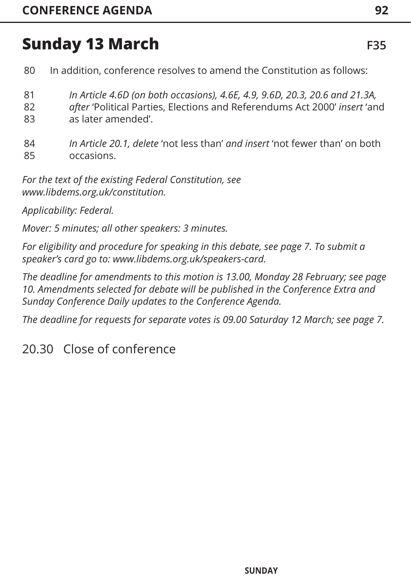- In addition, conference resolves to amend the Constitution as follows: 80
- *In Article 4.6D (on both occasions), 4.6E, 4.9, 9.6D, 20.3, 20.6 and 21.3A,*  81
- *after* 'Political Parties, Elections and Referendums Act 2000' *insert* 'and as later amended'. 82 83
- *In Article 20.1, delete* 'not less than' *and insert* 'not fewer than' on both occasions. 84 85

*For the text of the existing Federal Constitution, see www.libdems.org.uk/constitution.*

*Applicability: Federal.*

*Mover: 5 minutes; all other speakers: 3 minutes.* 

*For eligibility and procedure for speaking in this debate, [see page 7](#page-7-0). To submit a speaker's card go to: www.libdems.org.uk/speakers-card.* 

*The deadline for amendments to this motion is 13.00, Monday 28 February; [see page](#page-10-0)  [10. Am](#page-10-0)endments selected for debate will be published in the Conference Extra and Sunday Conference Daily updates to the Conference Agenda.* 

*The deadline for requests for separate votes is 09.00 Saturday 12 March; [see page 7](#page-7-0).*

20.30 Close of conference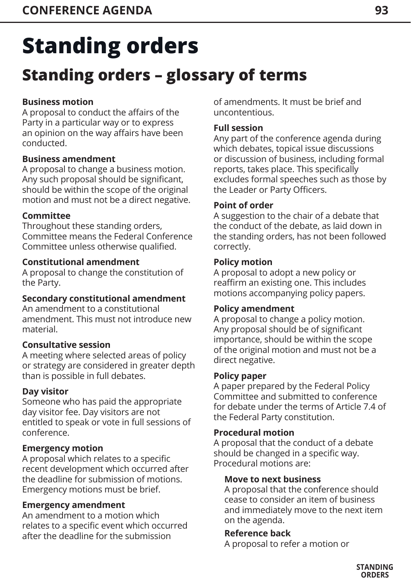## **Standing orders – glossary of terms**

## **Business motion**

A proposal to conduct the affairs of the Party in a particular way or to express an opinion on the way affairs have been conducted.

## **Business amendment**

A proposal to change a business motion. Any such proposal should be significant, should be within the scope of the original motion and must not be a direct negative.

## **Committee**

Throughout these standing orders, Committee means the Federal Conference Committee unless otherwise qualified.

## **Constitutional amendment**

A proposal to change the constitution of the Party.

## **Secondary constitutional amendment**

An amendment to a constitutional amendment. This must not introduce new material.

## **Consultative session**

A meeting where selected areas of policy or strategy are considered in greater depth than is possible in full debates.

## **Day visitor**

Someone who has paid the appropriate day visitor fee. Day visitors are not entitled to speak or vote in full sessions of conference.

## **Emergency motion**

A proposal which relates to a specific recent development which occurred after the deadline for submission of motions. Emergency motions must be brief.

## **Emergency amendment**

An amendment to a motion which relates to a specific event which occurred after the deadline for the submission

of amendments. It must be brief and uncontentious.

## **Full session**

Any part of the conference agenda during which debates, topical issue discussions or discussion of business, including formal reports, takes place. This specifically excludes formal speeches such as those by the Leader or Party Officers.

### **Point of order**

A suggestion to the chair of a debate that the conduct of the debate, as laid down in the standing orders, has not been followed correctly.

### **Policy motion**

A proposal to adopt a new policy or reaffirm an existing one. This includes motions accompanying policy papers.

## **Policy amendment**

A proposal to change a policy motion. Any proposal should be of significant importance, should be within the scope of the original motion and must not be a direct negative.

### **Policy paper**

A paper prepared by the Federal Policy Committee and submitted to conference for debate under the terms of Article 7.4 of the Federal Party constitution.

## **Procedural motion**

A proposal that the conduct of a debate should be changed in a specific way. Procedural motions are:

### **Move to next business**

A proposal that the conference should cease to consider an item of business and immediately move to the next item on the agenda.

### **Reference back**

A proposal to refer a motion or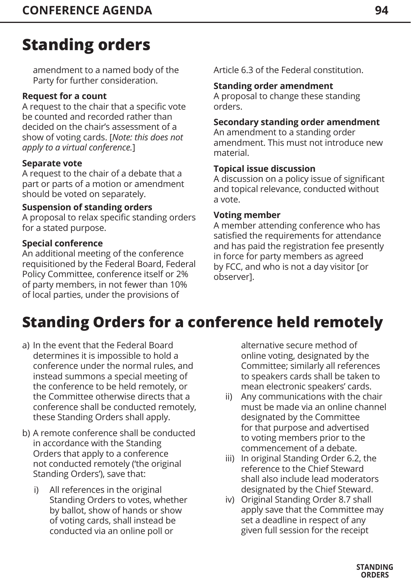amendment to a named body of the Party for further consideration.

#### **Request for a count**

A request to the chair that a specific vote be counted and recorded rather than decided on the chair's assessment of a show of voting cards. [*Note: this does not apply to a virtual conference.*]

#### **Separate vote**

A request to the chair of a debate that a part or parts of a motion or amendment should be voted on separately.

#### **Suspension of standing orders**

A proposal to relax specific standing orders for a stated purpose.

#### **Special conference**

An additional meeting of the conference requisitioned by the Federal Board, Federal Policy Committee, conference itself or 2% of party members, in not fewer than 10% of local parties, under the provisions of

Article 6.3 of the Federal constitution.

#### **Standing order amendment**

A proposal to change these standing orders.

#### **Secondary standing order amendment**

An amendment to a standing order amendment. This must not introduce new material.

#### **Topical issue discussion**

A discussion on a policy issue of significant and topical relevance, conducted without a vote.

#### **Voting member**

A member attending conference who has satisfied the requirements for attendance and has paid the registration fee presently in force for party members as agreed by FCC, and who is not a day visitor [or observer].

## **Standing Orders for a conference held remotely**

- a) In the event that the Federal Board determines it is impossible to hold a conference under the normal rules, and instead summons a special meeting of the conference to be held remotely, or the Committee otherwise directs that a conference shall be conducted remotely, these Standing Orders shall apply.
- b) A remote conference shall be conducted in accordance with the Standing Orders that apply to a conference not conducted remotely ('the original Standing Orders'), save that:
	- i) All references in the original Standing Orders to votes, whether by ballot, show of hands or show of voting cards, shall instead be conducted via an online poll or

alternative secure method of online voting, designated by the Committee; similarly all references to speakers cards shall be taken to mean electronic speakers' cards.

- ii) Any communications with the chair must be made via an online channel designated by the Committee for that purpose and advertised to voting members prior to the commencement of a debate.
- iii) In original Standing Order 6.2, the reference to the Chief Steward shall also include lead moderators designated by the Chief Steward.
- iv) Original Standing Order 8.7 shall apply save that the Committee may set a deadline in respect of any given full session for the receipt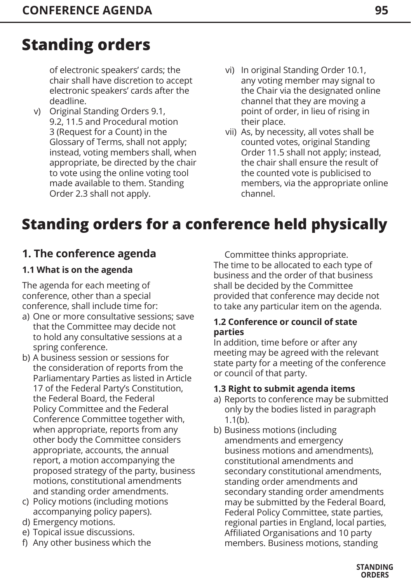of electronic speakers' cards; the chair shall have discretion to accept electronic speakers' cards after the deadline.

- v) Original Standing Orders 9.1, 9.2, 11.5 and Procedural motion 3 (Request for a Count) in the Glossary of Terms, shall not apply; instead, voting members shall, when appropriate, be directed by the chair to vote using the online voting tool made available to them. Standing Order 2.3 shall not apply.
- vi) In original Standing Order 10.1, any voting member may signal to the Chair via the designated online channel that they are moving a point of order, in lieu of rising in their place.
- vii) As, by necessity, all votes shall be counted votes, original Standing Order 11.5 shall not apply; instead, the chair shall ensure the result of the counted vote is publicised to members, via the appropriate online channel.

## **Standing orders for a conference held physically**

## **1. The conference agenda**

## **1.1 What is on the agenda**

The agenda for each meeting of conference, other than a special conference, shall include time for:

- a) One or more consultative sessions; save that the Committee may decide not to hold any consultative sessions at a spring conference.
- b) A business session or sessions for the consideration of reports from the Parliamentary Parties as listed in Article 17 of the Federal Party's Constitution, the Federal Board, the Federal Policy Committee and the Federal Conference Committee together with, when appropriate, reports from any other body the Committee considers appropriate, accounts, the annual report, a motion accompanying the proposed strategy of the party, business motions, constitutional amendments and standing order amendments.
- c) Policy motions (including motions accompanying policy papers).
- d) Emergency motions.
- e) Topical issue discussions.
- f) Any other business which the

Committee thinks appropriate. The time to be allocated to each type of business and the order of that business shall be decided by the Committee provided that conference may decide not to take any particular item on the agenda.

#### **1.2 Conference or council of state parties**

In addition, time before or after any meeting may be agreed with the relevant state party for a meeting of the conference or council of that party.

### **1.3 Right to submit agenda items**

- a) Reports to conference may be submitted only by the bodies listed in paragraph 1.1(b).
- b) Business motions (including amendments and emergency business motions and amendments), constitutional amendments and secondary constitutional amendments, standing order amendments and secondary standing order amendments may be submitted by the Federal Board, Federal Policy Committee, state parties, regional parties in England, local parties, Affiliated Organisations and 10 party members. Business motions, standing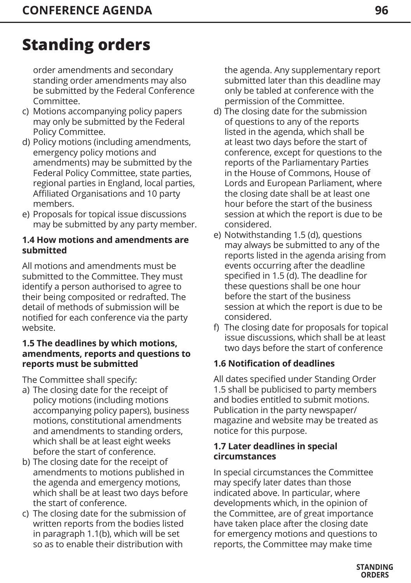order amendments and secondary standing order amendments may also be submitted by the Federal Conference Committee.

- c) Motions accompanying policy papers may only be submitted by the Federal Policy Committee.
- d) Policy motions (including amendments, emergency policy motions and amendments) may be submitted by the Federal Policy Committee, state parties, regional parties in England, local parties, Affiliated Organisations and 10 party members.
- e) Proposals for topical issue discussions may be submitted by any party member.

#### **1.4 How motions and amendments are submitted**

All motions and amendments must be submitted to the Committee. They must identify a person authorised to agree to their being composited or redrafted. The detail of methods of submission will be notified for each conference via the party website.

#### **1.5 The deadlines by which motions, amendments, reports and questions to reports must be submitted**

The Committee shall specify:

- a) The closing date for the receipt of policy motions (including motions accompanying policy papers), business motions, constitutional amendments and amendments to standing orders, which shall be at least eight weeks before the start of conference.
- b) The closing date for the receipt of amendments to motions published in the agenda and emergency motions, which shall be at least two days before the start of conference.
- c) The closing date for the submission of written reports from the bodies listed in paragraph 1.1(b), which will be set so as to enable their distribution with

the agenda. Any supplementary report submitted later than this deadline may only be tabled at conference with the permission of the Committee.

- d) The closing date for the submission of questions to any of the reports listed in the agenda, which shall be at least two days before the start of conference, except for questions to the reports of the Parliamentary Parties in the House of Commons, House of Lords and European Parliament, where the closing date shall be at least one hour before the start of the business session at which the report is due to be considered.
- e) Notwithstanding 1.5 (d), questions may always be submitted to any of the reports listed in the agenda arising from events occurring after the deadline specified in 1.5 (d). The deadline for these questions shall be one hour before the start of the business session at which the report is due to be considered.
- f) The closing date for proposals for topical issue discussions, which shall be at least two days before the start of conference

## **1.6 Notification of deadlines**

All dates specified under Standing Order 1.5 shall be publicised to party members and bodies entitled to submit motions. Publication in the party newspaper/ magazine and website may be treated as notice for this purpose.

#### **1.7 Later deadlines in special circumstances**

In special circumstances the Committee may specify later dates than those indicated above. In particular, where developments which, in the opinion of the Committee, are of great importance have taken place after the closing date for emergency motions and questions to reports, the Committee may make time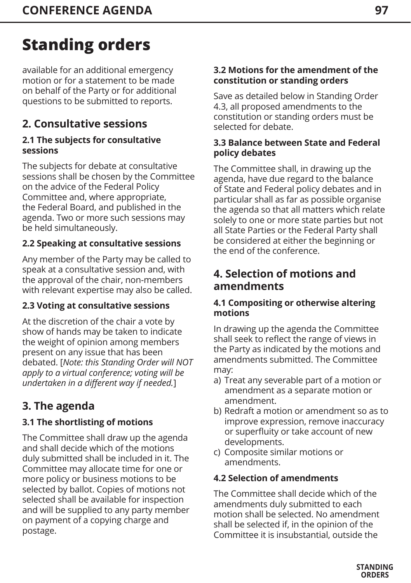available for an additional emergency motion or for a statement to be made on behalf of the Party or for additional questions to be submitted to reports.

## **2. Consultative sessions**

#### **2.1 The subjects for consultative sessions**

The subjects for debate at consultative sessions shall be chosen by the Committee on the advice of the Federal Policy Committee and, where appropriate, the Federal Board, and published in the agenda. Two or more such sessions may be held simultaneously.

## **2.2 Speaking at consultative sessions**

Any member of the Party may be called to speak at a consultative session and, with the approval of the chair, non-members with relevant expertise may also be called.

## **2.3 Voting at consultative sessions**

At the discretion of the chair a vote by show of hands may be taken to indicate the weight of opinion among members present on any issue that has been debated. [*Note: this Standing Order will NOT apply to a virtual conference; voting will be undertaken in a different way if needed.*]

## **3. The agenda**

## **3.1 The shortlisting of motions**

The Committee shall draw up the agenda and shall decide which of the motions duly submitted shall be included in it. The Committee may allocate time for one or more policy or business motions to be selected by ballot. Copies of motions not selected shall be available for inspection and will be supplied to any party member on payment of a copying charge and postage.

#### **3.2 Motions for the amendment of the constitution or standing orders**

Save as detailed below in Standing Order 4.3, all proposed amendments to the constitution or standing orders must be selected for debate.

#### **3.3 Balance between State and Federal policy debates**

The Committee shall, in drawing up the agenda, have due regard to the balance of State and Federal policy debates and in particular shall as far as possible organise the agenda so that all matters which relate solely to one or more state parties but not all State Parties or the Federal Party shall be considered at either the beginning or the end of the conference.

## **4. Selection of motions and amendments**

#### **4.1 Compositing or otherwise altering motions**

In drawing up the agenda the Committee shall seek to reflect the range of views in the Party as indicated by the motions and amendments submitted. The Committee may:

- a) Treat any severable part of a motion or amendment as a separate motion or amendment.
- b) Redraft a motion or amendment so as to improve expression, remove inaccuracy or superfluity or take account of new developments.
- c) Composite similar motions or amendments.

### **4.2 Selection of amendments**

The Committee shall decide which of the amendments duly submitted to each motion shall be selected. No amendment shall be selected if, in the opinion of the Committee it is insubstantial, outside the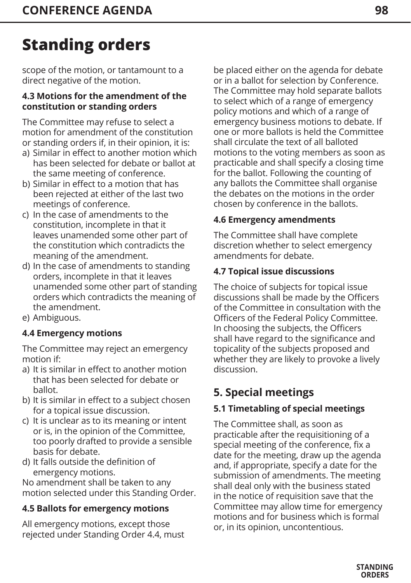scope of the motion, or tantamount to a direct negative of the motion.

#### **4.3 Motions for the amendment of the constitution or standing orders**

The Committee may refuse to select a motion for amendment of the constitution or standing orders if, in their opinion, it is:

- a) Similar in effect to another motion which has been selected for debate or ballot at the same meeting of conference.
- b) Similar in effect to a motion that has been rejected at either of the last two meetings of conference.
- c) In the case of amendments to the constitution, incomplete in that it leaves unamended some other part of the constitution which contradicts the meaning of the amendment.
- d) In the case of amendments to standing orders, incomplete in that it leaves unamended some other part of standing orders which contradicts the meaning of the amendment.
- e) Ambiguous.

## **4.4 Emergency motions**

The Committee may reject an emergency motion if:

- a) It is similar in effect to another motion that has been selected for debate or ballot.
- b) It is similar in effect to a subject chosen for a topical issue discussion.
- c) It is unclear as to its meaning or intent or is, in the opinion of the Committee, too poorly drafted to provide a sensible basis for debate.
- d) It falls outside the definition of emergency motions.

No amendment shall be taken to any motion selected under this Standing Order.

## **4.5 Ballots for emergency motions**

All emergency motions, except those rejected under Standing Order 4.4, must be placed either on the agenda for debate or in a ballot for selection by Conference. The Committee may hold separate ballots to select which of a range of emergency policy motions and which of a range of emergency business motions to debate. If one or more ballots is held the Committee shall circulate the text of all balloted motions to the voting members as soon as practicable and shall specify a closing time for the ballot. Following the counting of any ballots the Committee shall organise the debates on the motions in the order chosen by conference in the ballots.

### **4.6 Emergency amendments**

The Committee shall have complete discretion whether to select emergency amendments for debate.

## **4.7 Topical issue discussions**

The choice of subjects for topical issue discussions shall be made by the Officers of the Committee in consultation with the Officers of the Federal Policy Committee. In choosing the subjects, the Officers shall have regard to the significance and topicality of the subjects proposed and whether they are likely to provoke a lively discussion.

## **5. Special meetings**

## **5.1 Timetabling of special meetings**

The Committee shall, as soon as practicable after the requisitioning of a special meeting of the conference, fix a date for the meeting, draw up the agenda and, if appropriate, specify a date for the submission of amendments. The meeting shall deal only with the business stated in the notice of requisition save that the Committee may allow time for emergency motions and for business which is formal or, in its opinion, uncontentious.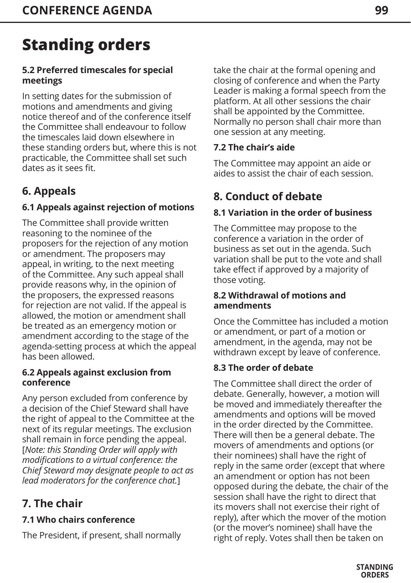### **5.2 Preferred timescales for special meetings**

In setting dates for the submission of motions and amendments and giving notice thereof and of the conference itself the Committee shall endeavour to follow the timescales laid down elsewhere in these standing orders but, where this is not practicable, the Committee shall set such dates as it sees fit.

## **6. Appeals**

## **6.1 Appeals against rejection of motions**

The Committee shall provide written reasoning to the nominee of the proposers for the rejection of any motion or amendment. The proposers may appeal, in writing, to the next meeting of the Committee. Any such appeal shall provide reasons why, in the opinion of the proposers, the expressed reasons for rejection are not valid. If the appeal is allowed, the motion or amendment shall be treated as an emergency motion or amendment according to the stage of the agenda-setting process at which the appeal has been allowed.

#### **6.2 Appeals against exclusion from conference**

Any person excluded from conference by a decision of the Chief Steward shall have the right of appeal to the Committee at the next of its regular meetings. The exclusion shall remain in force pending the appeal. [*Note: this Standing Order will apply with modifications to a virtual conference: the Chief Steward may designate people to act as lead moderators for the conference chat.*]

## **7. The chair**

## **7.1 Who chairs conference**

The President, if present, shall normally

take the chair at the formal opening and closing of conference and when the Party Leader is making a formal speech from the platform. At all other sessions the chair shall be appointed by the Committee. Normally no person shall chair more than one session at any meeting.

### **7.2 The chair's aide**

The Committee may appoint an aide or aides to assist the chair of each session.

## **8. Conduct of debate**

## **8.1 Variation in the order of business**

The Committee may propose to the conference a variation in the order of business as set out in the agenda. Such variation shall be put to the vote and shall take effect if approved by a majority of those voting.

#### **8.2 Withdrawal of motions and amendments**

Once the Committee has included a motion or amendment, or part of a motion or amendment, in the agenda, may not be withdrawn except by leave of conference.

## **8.3 The order of debate**

The Committee shall direct the order of debate. Generally, however, a motion will be moved and immediately thereafter the amendments and options will be moved in the order directed by the Committee. There will then be a general debate. The movers of amendments and options (or their nominees) shall have the right of reply in the same order (except that where an amendment or option has not been opposed during the debate, the chair of the session shall have the right to direct that its movers shall not exercise their right of reply), after which the mover of the motion (or the mover's nominee) shall have the right of reply. Votes shall then be taken on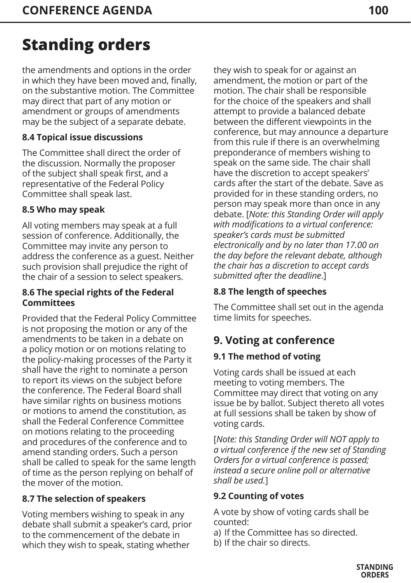the amendments and options in the order in which they have been moved and, finally, on the substantive motion. The Committee may direct that part of any motion or amendment or groups of amendments may be the subject of a separate debate.

## **8.4 Topical issue discussions**

The Committee shall direct the order of the discussion. Normally the proposer of the subject shall speak first, and a representative of the Federal Policy Committee shall speak last.

### **8.5 Who may speak**

All voting members may speak at a full session of conference. Additionally, the Committee may invite any person to address the conference as a guest. Neither such provision shall prejudice the right of the chair of a session to select speakers.

#### **8.6 The special rights of the Federal Committees**

Provided that the Federal Policy Committee is not proposing the motion or any of the amendments to be taken in a debate on a policy motion or on motions relating to the policy-making processes of the Party it shall have the right to nominate a person to report its views on the subject before the conference. The Federal Board shall have similar rights on business motions or motions to amend the constitution, as shall the Federal Conference Committee on motions relating to the proceeding and procedures of the conference and to amend standing orders. Such a person shall be called to speak for the same length of time as the person replying on behalf of the mover of the motion.

## **8.7 The selection of speakers**

Voting members wishing to speak in any debate shall submit a speaker's card, prior to the commencement of the debate in which they wish to speak, stating whether

they wish to speak for or against an amendment, the motion or part of the motion. The chair shall be responsible for the choice of the speakers and shall attempt to provide a balanced debate between the different viewpoints in the conference, but may announce a departure from this rule if there is an overwhelming preponderance of members wishing to speak on the same side. The chair shall have the discretion to accept speakers' cards after the start of the debate. Save as provided for in these standing orders, no person may speak more than once in any debate. [*Note: this Standing Order will apply with modifications to a virtual conference: speaker's cards must be submitted electronically and by no later than 17.00 on the day before the relevant debate, although the chair has a discretion to accept cards submitted after the deadline*.]

## **8.8 The length of speeches**

The Committee shall set out in the agenda time limits for speeches.

## **9. Voting at conference**

## **9.1 The method of voting**

Voting cards shall be issued at each meeting to voting members. The Committee may direct that voting on any issue be by ballot. Subject thereto all votes at full sessions shall be taken by show of voting cards.

[*Note: this Standing Order will NOT apply to a virtual conference if the new set of Standing Orders for a virtual conference is passed; instead a secure online poll or alternative shall be used.*]

## **9.2 Counting of votes**

A vote by show of voting cards shall be counted:

- a) If the Committee has so directed.
- b) If the chair so directs.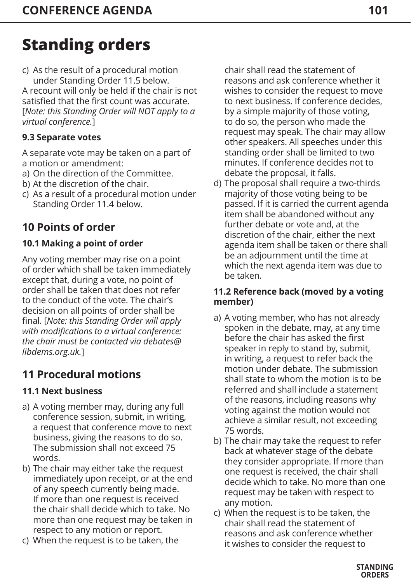c) As the result of a procedural motion under Standing Order 11.5 below. A recount will only be held if the chair is not satisfied that the first count was accurate. [*Note: this Standing Order will NOT apply to a virtual conference.*]

## **9.3 Separate votes**

A separate vote may be taken on a part of a motion or amendment:

- a) On the direction of the Committee.
- b) At the discretion of the chair.
- c) As a result of a procedural motion under Standing Order 11.4 below.

## **10 Points of order**

## **10.1 Making a point of order**

Any voting member may rise on a point of order which shall be taken immediately except that, during a vote, no point of order shall be taken that does not refer to the conduct of the vote. The chair's decision on all points of order shall be final. [*Note: this Standing Order will apply with modifications to a virtual conference: the chair must be contacted via debates@ libdems.org.uk.*]

## **11 Procedural motions**

### **11.1 Next business**

- a) A voting member may, during any full conference session, submit, in writing, a request that conference move to next business, giving the reasons to do so. The submission shall not exceed 75 words.
- b) The chair may either take the request immediately upon receipt, or at the end of any speech currently being made. If more than one request is received the chair shall decide which to take. No more than one request may be taken in respect to any motion or report.
- c) When the request is to be taken, the

chair shall read the statement of reasons and ask conference whether it wishes to consider the request to move to next business. If conference decides, by a simple majority of those voting, to do so, the person who made the request may speak. The chair may allow other speakers. All speeches under this standing order shall be limited to two minutes. If conference decides not to debate the proposal, it falls.

d) The proposal shall require a two-thirds majority of those voting being to be passed. If it is carried the current agenda item shall be abandoned without any further debate or vote and, at the discretion of the chair, either the next agenda item shall be taken or there shall be an adjournment until the time at which the next agenda item was due to be taken.

#### **11.2 Reference back (moved by a voting member)**

- a) A voting member, who has not already spoken in the debate, may, at any time before the chair has asked the first speaker in reply to stand by, submit, in writing, a request to refer back the motion under debate. The submission shall state to whom the motion is to be referred and shall include a statement of the reasons, including reasons why voting against the motion would not achieve a similar result, not exceeding 75 words.
- b) The chair may take the request to refer back at whatever stage of the debate they consider appropriate. If more than one request is received, the chair shall decide which to take. No more than one request may be taken with respect to any motion.
- c) When the request is to be taken, the chair shall read the statement of reasons and ask conference whether it wishes to consider the request to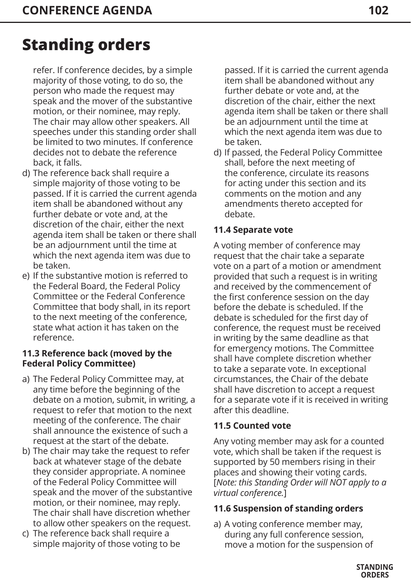refer. If conference decides, by a simple majority of those voting, to do so, the person who made the request may speak and the mover of the substantive motion, or their nominee, may reply. The chair may allow other speakers. All speeches under this standing order shall be limited to two minutes. If conference decides not to debate the reference back, it falls.

- d) The reference back shall require a simple majority of those voting to be passed. If it is carried the current agenda item shall be abandoned without any further debate or vote and, at the discretion of the chair, either the next agenda item shall be taken or there shall be an adjournment until the time at which the next agenda item was due to be taken.
- e) If the substantive motion is referred to the Federal Board, the Federal Policy Committee or the Federal Conference Committee that body shall, in its report to the next meeting of the conference, state what action it has taken on the reference.

### **11.3 Reference back (moved by the Federal Policy Committee)**

- a) The Federal Policy Committee may, at any time before the beginning of the debate on a motion, submit, in writing, a request to refer that motion to the next meeting of the conference. The chair shall announce the existence of such a request at the start of the debate.
- b) The chair may take the request to refer back at whatever stage of the debate they consider appropriate. A nominee of the Federal Policy Committee will speak and the mover of the substantive motion, or their nominee, may reply. The chair shall have discretion whether to allow other speakers on the request.
- c) The reference back shall require a simple majority of those voting to be

passed. If it is carried the current agenda item shall be abandoned without any further debate or vote and, at the discretion of the chair, either the next agenda item shall be taken or there shall be an adjournment until the time at which the next agenda item was due to be taken.

d) If passed, the Federal Policy Committee shall, before the next meeting of the conference, circulate its reasons for acting under this section and its comments on the motion and any amendments thereto accepted for debate.

### **11.4 Separate vote**

A voting member of conference may request that the chair take a separate vote on a part of a motion or amendment provided that such a request is in writing and received by the commencement of the first conference session on the day before the debate is scheduled. If the debate is scheduled for the first day of conference, the request must be received in writing by the same deadline as that for emergency motions. The Committee shall have complete discretion whether to take a separate vote. In exceptional circumstances, the Chair of the debate shall have discretion to accept a request for a separate vote if it is received in writing after this deadline.

### **11.5 Counted vote**

Any voting member may ask for a counted vote, which shall be taken if the request is supported by 50 members rising in their places and showing their voting cards. [*Note: this Standing Order will NOT apply to a virtual conference.*]

## **11.6 Suspension of standing orders**

a) A voting conference member may, during any full conference session, move a motion for the suspension of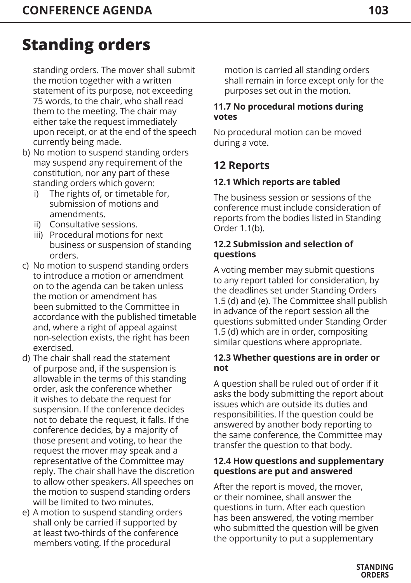standing orders. The mover shall submit the motion together with a written statement of its purpose, not exceeding 75 words, to the chair, who shall read them to the meeting. The chair may either take the request immediately upon receipt, or at the end of the speech currently being made.

- b) No motion to suspend standing orders may suspend any requirement of the constitution, nor any part of these standing orders which govern:
	- The rights of, or timetable for, submission of motions and amendments.
	- ii) Consultative sessions.
	- iii) Procedural motions for next business or suspension of standing orders.
- c) No motion to suspend standing orders to introduce a motion or amendment on to the agenda can be taken unless the motion or amendment has been submitted to the Committee in accordance with the published timetable and, where a right of appeal against non-selection exists, the right has been exercised.
- d) The chair shall read the statement of purpose and, if the suspension is allowable in the terms of this standing order, ask the conference whether it wishes to debate the request for suspension. If the conference decides not to debate the request, it falls. If the conference decides, by a majority of those present and voting, to hear the request the mover may speak and a representative of the Committee may reply. The chair shall have the discretion to allow other speakers. All speeches on the motion to suspend standing orders will be limited to two minutes.
- e) A motion to suspend standing orders shall only be carried if supported by at least two-thirds of the conference members voting. If the procedural

motion is carried all standing orders shall remain in force except only for the purposes set out in the motion.

### **11.7 No procedural motions during votes**

No procedural motion can be moved during a vote.

## **12 Reports**

## **12.1 Which reports are tabled**

The business session or sessions of the conference must include consideration of reports from the bodies listed in Standing Order 1.1(b).

#### **12.2 Submission and selection of questions**

A voting member may submit questions to any report tabled for consideration, by the deadlines set under Standing Orders 1.5 (d) and (e). The Committee shall publish in advance of the report session all the questions submitted under Standing Order 1.5 (d) which are in order, compositing similar questions where appropriate.

#### **12.3 Whether questions are in order or not**

A question shall be ruled out of order if it asks the body submitting the report about issues which are outside its duties and responsibilities. If the question could be answered by another body reporting to the same conference, the Committee may transfer the question to that body.

#### **12.4 How questions and supplementary questions are put and answered**

After the report is moved, the mover, or their nominee, shall answer the questions in turn. After each question has been answered, the voting member who submitted the question will be given the opportunity to put a supplementary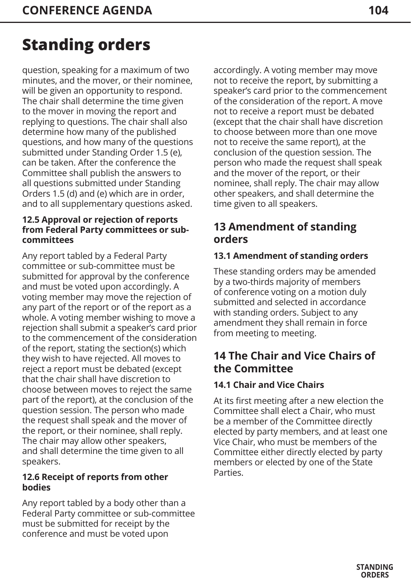question, speaking for a maximum of two minutes, and the mover, or their nominee, will be given an opportunity to respond. The chair shall determine the time given to the mover in moving the report and replying to questions. The chair shall also determine how many of the published questions, and how many of the questions submitted under Standing Order 1.5 (e), can be taken. After the conference the Committee shall publish the answers to all questions submitted under Standing Orders 1.5 (d) and (e) which are in order, and to all supplementary questions asked.

#### **12.5 Approval or rejection of reports from Federal Party committees or subcommittees**

Any report tabled by a Federal Party committee or sub-committee must be submitted for approval by the conference and must be voted upon accordingly. A voting member may move the rejection of any part of the report or of the report as a whole. A voting member wishing to move a rejection shall submit a speaker's card prior to the commencement of the consideration of the report, stating the section(s) which they wish to have rejected. All moves to reject a report must be debated (except that the chair shall have discretion to choose between moves to reject the same part of the report), at the conclusion of the question session. The person who made the request shall speak and the mover of the report, or their nominee, shall reply. The chair may allow other speakers, and shall determine the time given to all speakers.

#### **12.6 Receipt of reports from other bodies**

Any report tabled by a body other than a Federal Party committee or sub-committee must be submitted for receipt by the conference and must be voted upon

accordingly. A voting member may move not to receive the report, by submitting a speaker's card prior to the commencement of the consideration of the report. A move not to receive a report must be debated (except that the chair shall have discretion to choose between more than one move not to receive the same report), at the conclusion of the question session. The person who made the request shall speak and the mover of the report, or their nominee, shall reply. The chair may allow other speakers, and shall determine the time given to all speakers.

## **13 Amendment of standing orders**

### **13.1 Amendment of standing orders**

These standing orders may be amended by a two-thirds majority of members of conference voting on a motion duly submitted and selected in accordance with standing orders. Subject to any amendment they shall remain in force from meeting to meeting.

## **14 The Chair and Vice Chairs of the Committee**

## **14.1 Chair and Vice Chairs**

At its first meeting after a new election the Committee shall elect a Chair, who must be a member of the Committee directly elected by party members, and at least one Vice Chair, who must be members of the Committee either directly elected by party members or elected by one of the State **Parties**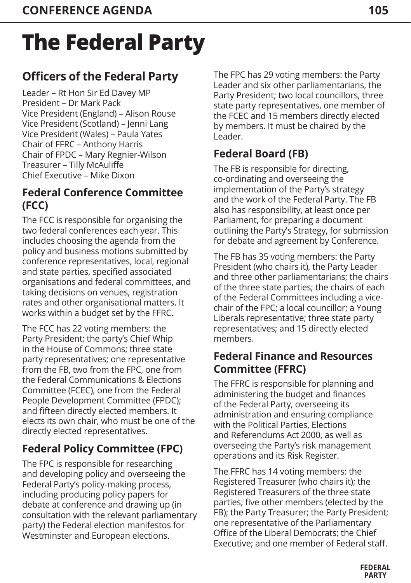# **The Federal Party**

## **Officers of the Federal Party**

Leader – Rt Hon Sir Ed Davey MP President – Dr Mark Pack Vice President (England) – Alison Rouse Vice President (Scotland) – Jenni Lang Vice President (Wales) – Paula Yates Chair of FFRC – Anthony Harris Chair of FPDC – Mary Regnier-Wilson Treasurer – Tilly McAuliffe Chief Executive – Mike Dixon

## **Federal Conference Committee (FCC)**

The FCC is responsible for organising the two federal conferences each year. This includes choosing the agenda from the policy and business motions submitted by conference representatives, local, regional and state parties, specified associated organisations and federal committees, and taking decisions on venues, registration rates and other organisational matters. It works within a budget set by the FFRC.

The FCC has 22 voting members: the Party President; the party's Chief Whip in the House of Commons; three state party representatives; one representative from the FB, two from the FPC, one from the Federal Communications & Elections Committee (FCEC), one from the Federal People Development Committee (FPDC); and fifteen directly elected members. It elects its own chair, who must be one of the directly elected representatives.

## **Federal Policy Committee (FPC)**

The FPC is responsible for researching and developing policy and overseeing the Federal Party's policy-making process, including producing policy papers for debate at conference and drawing up (in consultation with the relevant parliamentary party) the Federal election manifestos for Westminster and European elections.

The FPC has 29 voting members: the Party Leader and six other parliamentarians, the Party President; two local councillors, three state party representatives, one member of the FCEC and 15 members directly elected by members. It must be chaired by the Leader.

## **Federal Board (FB)**

The FB is responsible for directing, co-ordinating and overseeing the implementation of the Party's strategy and the work of the Federal Party. The FB also has responsibility, at least once per Parliament, for preparing a document outlining the Party's Strategy, for submission for debate and agreement by Conference.

The FB has 35 voting members: the Party President (who chairs it), the Party Leader and three other parliamentarians; the chairs of the three state parties; the chairs of each of the Federal Committees including a vicechair of the FPC; a local councillor; a Young Liberals representative; three state party representatives; and 15 directly elected members.

## **Federal Finance and Resources Committee (FFRC)**

The FFRC is responsible for planning and administering the budget and finances of the Federal Party, overseeing its administration and ensuring compliance with the Political Parties, Elections and Referendums Act 2000, as well as overseeing the Party's risk management operations and its Risk Register.

The FFRC has 14 voting members: the Registered Treasurer (who chairs it); the Registered Treasurers of the three state parties; five other members (elected by the FB); the Party Treasurer; the Party President; one representative of the Parliamentary Office of the Liberal Democrats; the Chief Executive; and one member of Federal staff.